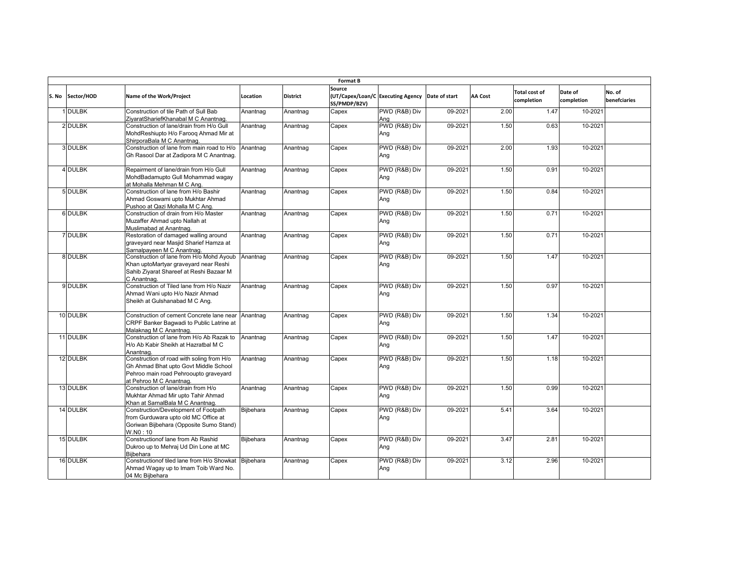| <b>Format B</b>  |                                                                                                                                                        |                  |                 |                        |                                                 |         |                |                                    |                       |                        |  |
|------------------|--------------------------------------------------------------------------------------------------------------------------------------------------------|------------------|-----------------|------------------------|-------------------------------------------------|---------|----------------|------------------------------------|-----------------------|------------------------|--|
| S. No Sector/HOD | Name of the Work/Project                                                                                                                               | Location         | <b>District</b> | Source<br>SS/PMDP/B2V) | (UT/Capex/Loan/C Executing Agency Date of start |         | <b>AA Cost</b> | <b>Total cost of</b><br>completion | Date of<br>completion | No. of<br>benefciaries |  |
| <b>DULBK</b>     | Construction of tile Path of Sull Bab<br>ZiyaratShariefKhanabal M C Anantnag.                                                                          | Anantnag         | Anantnag        | Capex                  | PWD (R&B) Div<br>Ana                            | 09-2021 | 2.00           | 1.47                               | 10-2021               |                        |  |
| 2 DULBK          | Construction of lane/drain from H/o Gull<br>MohdReshiupto H/o Faroog Ahmad Mir at<br>ShirporaBala M C Anantnag.                                        | Anantnag         | Anantnag        | Capex                  | PWD (R&B) Div<br>Ang                            | 09-2021 | 1.50           | 0.63                               | 10-2021               |                        |  |
| 3 DULBK          | Construction of lane from main road to H/o<br>Gh Rasool Dar at Zadipora M C Anantnag.                                                                  | Anantnag         | Anantnag        | Capex                  | PWD (R&B) Div<br>Ang                            | 09-2021 | 2.00           | 1.93                               | 10-2021               |                        |  |
| 4 DULBK          | Repairment of lane/drain from H/o Gull<br>MohdBadamupto Gull Mohammad wagay<br>at Mohalla Mehman M C Ang.                                              | Anantnag         | Anantnag        | Capex                  | PWD (R&B) Div<br>Ang                            | 09-2021 | 1.50           | 0.91                               | 10-2021               |                        |  |
| 5 DULBK          | Construction of lane from H/o Bashir<br>Ahmad Goswami upto Mukhtar Ahmad<br>Pushoo at Qazi Mohalla M C Ang.                                            | Anantnag         | Anantnag        | Capex                  | PWD (R&B) Div<br>Ang                            | 09-2021 | 1.50           | 0.84                               | 10-2021               |                        |  |
| 6 DULBK          | Construction of drain from H/o Master<br>Muzaffer Ahmad upto Nallah at<br>Muslimabad at Anantnag.                                                      | Anantnag         | Anantnag        | Capex                  | PWD (R&B) Div<br>Ang                            | 09-2021 | 1.50           | 0.71                               | 10-2021               |                        |  |
| 7 DULBK          | Restoration of damaged walling around<br>graveyard near Masjid Sharief Hamza at<br>Sarnalpayeen M C Anantnag.                                          | Anantnag         | Anantnag        | Capex                  | PWD (R&B) Div<br>Ang                            | 09-2021 | 1.50           | 0.71                               | 10-2021               |                        |  |
| 8 DULBK          | Construction of lane from H/o Mohd Ayoub<br>Khan uptoMartyar graveyard near Reshi<br>Sahib Ziyarat Shareef at Reshi Bazaar M<br>C Anantnag.            | Anantnag         | Anantnag        | Capex                  | PWD (R&B) Div<br>Ang                            | 09-2021 | 1.50           | 1.47                               | 10-2021               |                        |  |
| 9 DULBK          | Construction of Tiled lane from H/o Nazir<br>Ahmad Wani upto H/o Nazir Ahmad<br>Sheikh at Gulshanabad M C Ang.                                         | Anantnag         | Anantnag        | Capex                  | PWD (R&B) Div<br>Ang                            | 09-2021 | 1.50           | 0.97                               | 10-2021               |                        |  |
| 10 DULBK         | Construction of cement Concrete lane near<br>CRPF Banker Bagwadi to Public Latrine at<br>Malaknag M C Anantnag.                                        | Anantnag         | Anantnag        | Capex                  | PWD (R&B) Div<br>Ang                            | 09-2021 | 1.50           | 1.34                               | 10-2021               |                        |  |
| 11 DULBK         | Construction of lane from H/o Ab Razak to<br>H/o Ab Kabir Sheikh at Hazratbal M C<br>Anantnag.                                                         | Anantnag         | Anantnag        | Capex                  | PWD (R&B) Div<br>Ang                            | 09-2021 | 1.50           | 1.47                               | 10-2021               |                        |  |
| 12 DULBK         | Construction of road with soling from H/o<br>Gh Ahmad Bhat upto Govt Middle School<br>Pehroo main road Pehrooupto graveyard<br>at Pehroo M C Anantnag. | Anantnag         | Anantnag        | Capex                  | PWD (R&B) Div<br>Ang                            | 09-2021 | 1.50           | 1.18                               | 10-2021               |                        |  |
| 13 DULBK         | Construction of lane/drain from H/o<br>Mukhtar Ahmad Mir upto Tahir Ahmad<br>Khan at SarnalBala M C Anantnag.                                          | Anantnag         | Anantnag        | Capex                  | PWD (R&B) Div<br>Ang                            | 09-2021 | 1.50           | 0.99                               | 10-2021               |                        |  |
| 14 DULBK         | Construction/Development of Footpath<br>from Gurduwara upto old MC Office at<br>Goriwan Bijbehara (Opposite Sumo Stand)<br>W.N0:10                     | Bijbehara        | Anantnag        | Capex                  | PWD (R&B) Div<br>Ang                            | 09-2021 | 5.41           | 3.64                               | 10-2021               |                        |  |
| 15 DULBK         | Constructionof lane from Ab Rashid<br>Dukroo up to Mehraj Ud Din Lone at MC<br>Bijbehara                                                               | Bijbehara        | Anantnag        | Capex                  | PWD (R&B) Div<br>Ang                            | 09-2021 | 3.47           | 2.81                               | 10-2021               |                        |  |
| 16 DULBK         | Constructionof tiled lane from H/o Showkat<br>Ahmad Wagay up to Imam Toib Ward No.<br>04 Mc Bijbehara                                                  | <b>Biibehara</b> | Anantnag        | Capex                  | PWD (R&B) Div<br>Ang                            | 09-2021 | 3.12           | 2.96                               | 10-2021               |                        |  |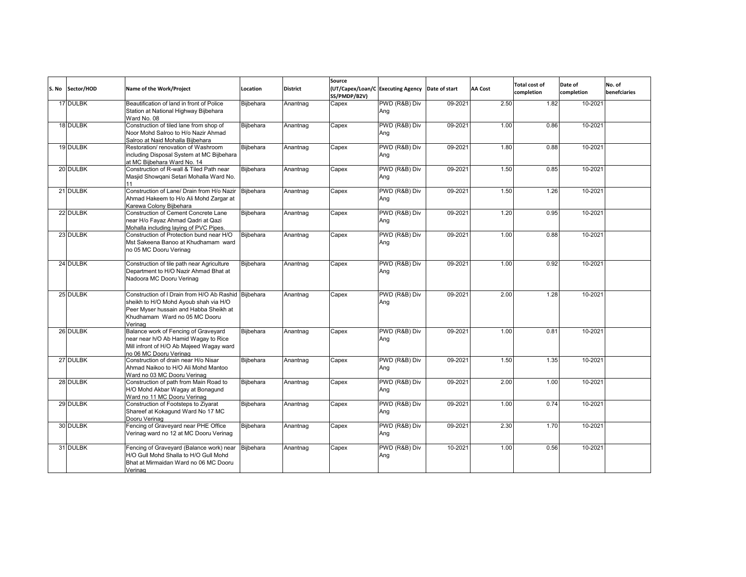| S. No | Sector/HOD | Name of the Work/Project                                                                                                                                                            | Location  | <b>District</b> | Source<br>SS/PMDP/B2V) | (UT/Capex/Loan/C Executing Agency Date of start |         | <b>AA Cost</b> | <b>Total cost of</b><br>completion | Date of<br>completion | No. of<br>benefciaries |
|-------|------------|-------------------------------------------------------------------------------------------------------------------------------------------------------------------------------------|-----------|-----------------|------------------------|-------------------------------------------------|---------|----------------|------------------------------------|-----------------------|------------------------|
|       | 17 DULBK   | Beautification of land in front of Police<br>Station at National Highway Biibehara<br>Ward No. 08                                                                                   | Bijbehara | Anantnag        | Capex                  | PWD (R&B) Div<br>Ana                            | 09-2021 | 2.50           | 1.82                               | 10-2021               |                        |
|       | 18 DULBK   | Construction of tiled lane from shop of<br>Noor Mohd Salroo to H/o Nazir Ahmad<br>Salroo at Naid Mohalla Biibehara                                                                  | Bijbehara | Anantnag        | Capex                  | PWD (R&B) Div<br>Ang                            | 09-2021 | 1.00           | 0.86                               | 10-2021               |                        |
|       | 19 DULBK   | Restoration/ renovation of Washroom<br>including Disposal System at MC Bijbehara<br>at MC Biibehara Ward No. 14                                                                     | Biibehara | Anantnag        | Capex                  | PWD (R&B) Div<br>Ang                            | 09-2021 | 1.80           | 0.88                               | 10-2021               |                        |
|       | 20 DULBK   | Construction of R-wall & Tiled Path near<br>Masjid Showgani Setari Mohalla Ward No.<br>11                                                                                           | Bijbehara | Anantnag        | Capex                  | PWD (R&B) Div<br>Ang                            | 09-2021 | 1.50           | 0.85                               | 10-2021               |                        |
|       | 21 DULBK   | Construction of Lane/ Drain from H/o Nazir<br>Ahmad Hakeem to H/o Ali Mohd Zargar at<br>Karewa Colony Bijbehara                                                                     | Bijbehara | Anantnag        | Capex                  | PWD (R&B) Div<br>Ang                            | 09-2021 | 1.50           | 1.26                               | 10-2021               |                        |
|       | 22 DULBK   | Construction of Cement Concrete Lane<br>near H/o Fayaz Ahmad Qadri at Qazi<br>Mohalla including laying of PVC Pipes.                                                                | Bijbehara | Anantnag        | Capex                  | PWD (R&B) Div<br>Ang                            | 09-2021 | 1.20           | 0.95                               | 10-2021               |                        |
|       | 23 DULBK   | Construction of Protection bund near H/O<br>Mst Sakeena Banoo at Khudhamam ward<br>no 05 MC Dooru Verinag                                                                           | Bijbehara | Anantnag        | Capex                  | PWD (R&B) Div<br>Ang                            | 09-2021 | 1.00           | 0.88                               | 10-2021               |                        |
|       | 24 DULBK   | Construction of tile path near Agriculture<br>Department to H/O Nazir Ahmad Bhat at<br>Nadoora MC Dooru Verinag                                                                     | Bijbehara | Anantnag        | Capex                  | PWD (R&B) Div<br>Ang                            | 09-2021 | 1.00           | 0.92                               | 10-2021               |                        |
|       | 25 DULBK   | Construction of I Drain from H/O Ab Rashid Bijbehara<br>sheikh to H/O Mohd Ayoub shah via H/O<br>Peer Myser hussain and Habba Sheikh at<br>Khudhamam Ward no 05 MC Dooru<br>Verinag |           | Anantnag        | Capex                  | PWD (R&B) Div<br>Ang                            | 09-2021 | 2.00           | 1.28                               | 10-2021               |                        |
|       | 26 DULBK   | Balance work of Fencing of Graveyard<br>near near h/O Ab Hamid Wagay to Rice<br>Mill infront of H/O Ab Majeed Wagay ward<br>no 06 MC Dooru Verinag                                  | Bijbehara | Anantnag        | Capex                  | PWD (R&B) Div<br>Ang                            | 09-2021 | 1.00           | 0.81                               | 10-2021               |                        |
|       | 27 DULBK   | Construction of drain near H/o Nisar<br>Ahmad Naikoo to H/O Ali Mohd Mantoo<br>Ward no 03 MC Dooru Verinag                                                                          | Bijbehara | Anantnag        | Capex                  | PWD (R&B) Div<br>Ang                            | 09-2021 | 1.50           | 1.35                               | 10-2021               |                        |
|       | 28 DULBK   | Construction of path from Main Road to<br>H/O Mohd Akbar Wagay at Bonagund<br>Ward no 11 MC Dooru Verinag                                                                           | Bijbehara | Anantnag        | Capex                  | PWD (R&B) Div<br>Ang                            | 09-2021 | 2.00           | 1.00                               | 10-2021               |                        |
|       | 29 DULBK   | Construction of Footsteps to Ziyarat<br>Shareef at Kokagund Ward No 17 MC<br>Dooru Verinag                                                                                          | Bijbehara | Anantnag        | Capex                  | PWD (R&B) Div<br>Ang                            | 09-2021 | 1.00           | 0.74                               | 10-2021               |                        |
|       | 30 DULBK   | Fencing of Graveyard near PHE Office<br>Verinag ward no 12 at MC Dooru Verinag                                                                                                      | Bijbehara | Anantnag        | Capex                  | PWD (R&B) Div<br>Ang                            | 09-2021 | 2.30           | 1.70                               | 10-2021               |                        |
|       | 31 DULBK   | Fencing of Graveyard (Balance work) near<br>H/O Gull Mohd Shalla to H/O Gull Mohd<br>Bhat at Mirmaidan Ward no 06 MC Dooru<br>Verinag                                               | Bijbehara | Anantnag        | Capex                  | PWD (R&B) Div<br>Ang                            | 10-2021 | 1.00           | 0.56                               | 10-2021               |                        |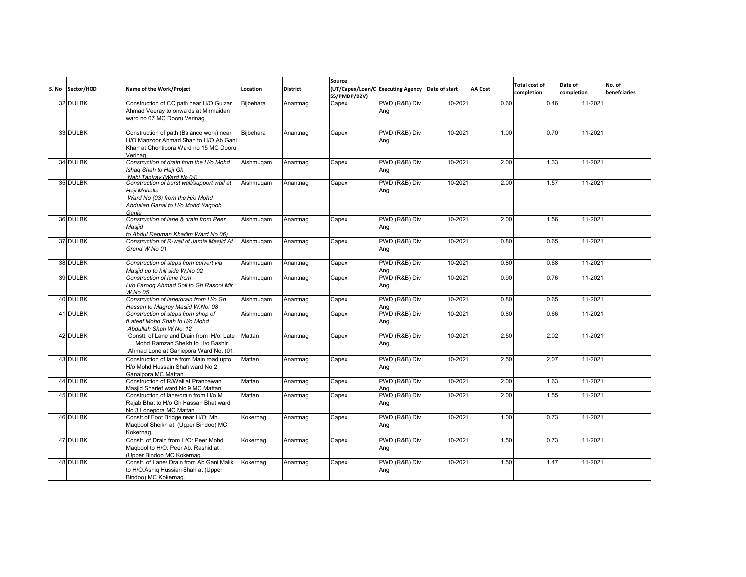| S. No Sector/HOD | Name of the Work/Project                                                                                                                   | Location         | <b>District</b> | Source<br>SS/PMDP/B2V) | (UT/Capex/Loan/C Executing Agency Date of start |         | <b>AA Cost</b> | <b>Total cost of</b><br>completion | Date of<br>completion | No. of<br>benefciaries |
|------------------|--------------------------------------------------------------------------------------------------------------------------------------------|------------------|-----------------|------------------------|-------------------------------------------------|---------|----------------|------------------------------------|-----------------------|------------------------|
| 32 DULBK         | Construction of CC path near H/O Gulzar<br>Ahmad Veeray to onwards at Mirmaidan<br>ward no 07 MC Dooru Verinag                             | Bijbehara        | Anantnag        | Capex                  | PWD (R&B) Div<br>Ang                            | 10-2021 | 0.60           | 0.46                               | 11-2021               |                        |
| 33 DULBK         | Construction of path (Balance work) near<br>H/O Manzoor Ahmad Shah to H/O Ab Gani<br>Khan at Chontipora Ward no 15 MC Dooru<br>Verinag     | <b>Biibehara</b> | Anantnag        | Capex                  | PWD (R&B) Div<br>Ang                            | 10-2021 | 1.00           | 0.70                               | 11-2021               |                        |
| 34 DULBK         | Construction of drain from the H/o Mohd<br>Ishaq Shah to Haji Gh<br>Nabi Tantray (Ward No 04)                                              | Aishmugam        | Anantnag        | Capex                  | PWD (R&B) Div<br>Ang                            | 10-2021 | 2.00           | 1.33                               | 11-2021               |                        |
| 35 DULBK         | Construction of burst wall/support wall at<br>Haji Mohalla<br>Ward No (03) from the H/o Mohd<br>Abdullah Ganai to H/o Mohd Yaqoob<br>Ganie | Aishmuqam        | Anantnag        | Capex                  | PWD (R&B) Div<br>Ang                            | 10-2021 | 2.00           | 1.57                               | 11-2021               |                        |
| 36 DULBK         | Construction of lane & drain from Peer<br>Masjid<br>to Abdul Rehman Khadim Ward No 06)                                                     | Aishmugam        | Anantnag        | Capex                  | PWD (R&B) Div<br>Ang                            | 10-2021 | 2.00           | 1.56                               | 11-2021               |                        |
| 37 DULBK         | Construction of R-wall of Jamia Masjid At<br>Grend W.No 01                                                                                 | Aishmugam        | Anantnag        | Capex                  | PWD (R&B) Div<br>Ang                            | 10-2021 | 0.80           | 0.65                               | 11-2021               |                        |
| 38 DULBK         | Construction of steps from culvert via<br>Masjid up to hill side W.No 02                                                                   | Aishmugam        | Anantnag        | Capex                  | PWD (R&B) Div<br>Ana                            | 10-2021 | 0.80           | 0.68                               | 11-2021               |                        |
| 39 DULBK         | Construction of lane from<br>H/o Faroog Ahmad Sofi to Gh Rasool Mir<br>W.No 05                                                             | Aishmuqam        | Anantnag        | Capex                  | PWD (R&B) Div<br>Ang                            | 10-2021 | 0.90           | 0.76                               | 11-2021               |                        |
| 40 DULBK         | Construction of lane/drain from H/o Gh<br>Hassan to Magray Masiid W.No: 08                                                                 | Aishmugam        | Anantnag        | Capex                  | PWD (R&B) Div<br>Ana                            | 10-2021 | 0.80           | 0.65                               | 11-2021               |                        |
| 41 DULBK         | Construction of steps from shop of<br>fLateef Mohd Shah to H/o Mohd<br>Abdullah Shah W.No: 12                                              | Aishmugam        | Anantnag        | Capex                  | PWD (R&B) Div<br>Ang                            | 10-2021 | 0.80           | 0.66                               | 11-2021               |                        |
| 42 DULBK         | Constt. of Lane and Drain from H/o. Late<br>Mohd Ramzan Sheikh to H/o Bashir<br>Ahmad Lone at Ganiepora Ward No. (01.                      | Mattan           | Anantnag        | Capex                  | PWD (R&B) Div<br>Ang                            | 10-2021 | 2.50           | 2.02                               | 11-2021               |                        |
| 43 DULBK         | Construction of lane from Main road upto<br>H/o Mohd Hussain Shah ward No 2<br>Ganaipora MC Mattan                                         | Mattan           | Anantnag        | Capex                  | PWD (R&B) Div<br>Ana                            | 10-2021 | 2.50           | 2.07                               | 11-2021               |                        |
| 44 DULBK         | Construction of R/Wall at Pranbawan<br>Masjid Sharief ward No 9 MC Mattan                                                                  | Mattan           | Anantnag        | Capex                  | PWD (R&B) Div<br>Ana                            | 10-2021 | 2.00           | 1.63                               | 11-2021               |                        |
| 45 DULBK         | Construction of lane/drain from H/o M<br>Rajab Bhat to H/o Gh Hassan Bhat ward<br>No 3 Lonepora MC Mattan                                  | Mattan           | Anantnag        | Capex                  | PWD (R&B) Div<br>Ana                            | 10-2021 | 2.00           | 1.55                               | 11-2021               |                        |
| 46 DULBK         | Constt.of Foot Bridge near H/O: Mh.<br>Magbool Sheikh at (Upper Bindoo) MC<br>Kokernag.                                                    | Kokernag         | Anantnag        | Capex                  | PWD (R&B) Div<br>Ana                            | 10-2021 | 1.00           | 0.73                               | 11-2021               |                        |
| 47 DULBK         | Constt. of Drain from H/O: Peer Mohd<br>Magbool to H/O: Peer Ab. Rashid at<br>(Upper Bindoo MC Kokernag.                                   | Kokernag         | Anantnag        | Capex                  | PWD (R&B) Div<br>Ang                            | 10-2021 | 1.50           | 0.73                               | 11-2021               |                        |
| 48 DULBK         | Constt. of Lane/ Drain from Ab Gani Malik<br>to H/O:Ashiq Hussian Shah at (Upper<br>Bindoo) MC Kokernag.                                   | Kokernag         | Anantnag        | Capex                  | PWD (R&B) Div<br>Ang                            | 10-2021 | 1.50           | 1.47                               | 11-2021               |                        |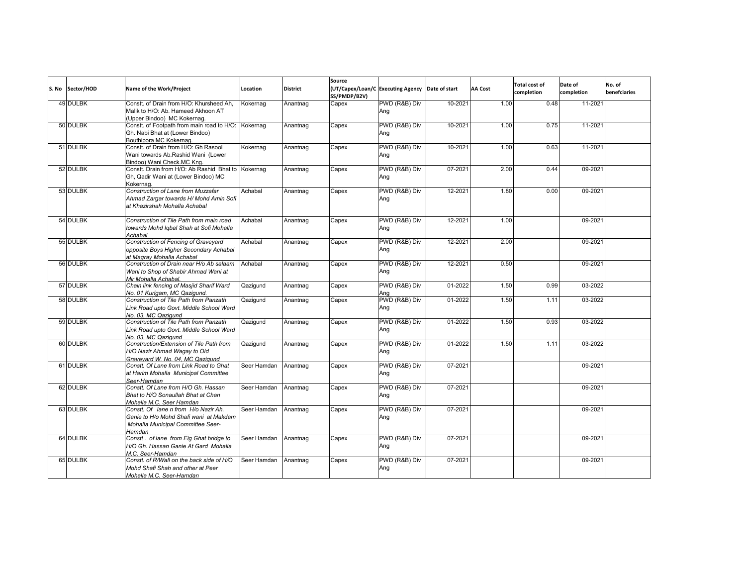| S. No | Sector/HOD | Name of the Work/Project                                                                                                      | Location    | <b>District</b> | Source<br>SS/PMDP/B2V) | (UT/Capex/Loan/C Executing Agency Date of start |             | <b>AA Cost</b> | <b>Total cost of</b><br>completion | Date of<br>completion | No. of<br>benefciaries |
|-------|------------|-------------------------------------------------------------------------------------------------------------------------------|-------------|-----------------|------------------------|-------------------------------------------------|-------------|----------------|------------------------------------|-----------------------|------------------------|
|       | 49 DULBK   | Constt. of Drain from H/O: Khursheed Ah.<br>Malik to H/O: Ab. Hameed Akhoon AT<br>(Upper Bindoo) MC Kokernag.                 | Kokernag    | Anantnag        | Capex                  | PWD (R&B) Div<br>Ang                            | 10-2021     | 1.00           | 0.48                               | 11-2021               |                        |
|       | 50 DULBK   | Constt. of Footpath from main road to H/O:<br>Gh. Nabi Bhat at (Lower Bindoo)<br>Bouthipora MC Kokernag.                      | Kokernag    | Anantnag        | Capex                  | PWD (R&B) Div<br>Ang                            | 10-2021     | 1.00           | 0.75                               | 11-2021               |                        |
|       | 51 DULBK   | Constt. of Drain from H/O: Gh Rasool<br>Wani towards Ab.Rashid Wani (Lower<br>Bindoo) Wani Check.MC Kng.                      | Kokernag    | Anantnag        | Capex                  | PWD (R&B) Div<br>Ang                            | 10-2021     | 1.00           | 0.63                               | 11-2021               |                        |
|       | 52 DULBK   | Constt. Drain from H/O: Ab Rashid Bhat to<br>Gh, Qadir Wani at (Lower Bindoo) MC<br>Kokernag.                                 | Kokernag    | Anantnag        | Capex                  | PWD (R&B) Div<br>Ang                            | 07-2021     | 2.00           | 0.44                               | 09-2021               |                        |
|       | 53 DULBK   | Construction of Lane from Muzzafar<br>Ahmad Zargar towards H/ Mohd Amin Sofi<br>at Khazirshah Mohalla Achabal                 | Achabal     | Anantnag        | Capex                  | PWD (R&B) Div<br>Ang                            | 12-2021     | 1.80           | 0.00                               | 09-2021               |                        |
|       | 54 DULBK   | Construction of Tile Path from main road<br>towards Mohd Igbal Shah at Sofi Mohalla<br>Achabal                                | Achabal     | Anantnag        | Capex                  | PWD (R&B) Div<br>Ang                            | 12-2021     | 1.00           |                                    | 09-2021               |                        |
|       | 55 DULBK   | Construction of Fencing of Graveyard<br>opposite Boys Higher Secondary Achabal<br>at Magray Mohalla Achabal                   | Achabal     | Anantnag        | Capex                  | PWD (R&B) Div<br>Ang                            | 12-2021     | 2.00           |                                    | 09-2021               |                        |
|       | 56 DULBK   | Construction of Drain near H/o Ab salaam<br>Wani to Shop of Shabir Ahmad Wani at<br>Mir Mohalla Achabal                       | Achabal     | Anantnag        | Capex                  | PWD (R&B) Div<br>Ang                            | 12-2021     | 0.50           |                                    | 09-2021               |                        |
|       | 57 DULBK   | Chain link fencing of Masjid Sharif Ward<br>No. 01 Kurigam, MC Qazigund.                                                      | Qazigund    | Anantnag        | Capex                  | PWD (R&B) Div<br>Ana                            | 01-2022     | 1.50           | 0.99                               | 03-2022               |                        |
|       | 58 DULBK   | Construction of Tile Path from Panzath<br>Link Road upto Govt. Middle School Ward<br>No. 03. MC Qazigund                      | Qazigund    | Anantnag        | Capex                  | PWD (R&B) Div<br>Ang                            | 01-2022     | 1.50           | 1.11                               | 03-2022               |                        |
|       | 59 DULBK   | Construction of Tile Path from Panzath<br>Link Road upto Govt. Middle School Ward<br>No. 03. MC Qazigund                      | Qaziqund    | Anantnag        | Capex                  | PWD (R&B) Div<br>Ang                            | 01-2022     | 1.50           | 0.93                               | 03-2022               |                        |
|       | 60 DULBK   | Construction/Extension of Tile Path from<br>H/O Nazir Ahmad Wagay to Old<br>Graveyard W. No. 04, MC Qazigund                  | Qazigund    | Anantnag        | Capex                  | PWD (R&B) Div<br>Ang                            | 01-2022     | 1.50           | 1.11                               | 03-2022               |                        |
|       | 61 DULBK   | Constt. Of Lane from Link Road to Ghat<br>at Harim Mohalla Municipal Committee<br>Seer-Hamdan                                 | Seer Hamdan | Anantnag        | Capex                  | PWD (R&B) Div<br>Ang                            | 07-2021     |                |                                    | 09-2021               |                        |
|       | 62 DULBK   | Constt. Of Lane from H/O Gh. Hassan<br>Bhat to H/O Sonaullah Bhat at Chan<br>Mohalla M.C. Seer Hamdan                         | Seer Hamdan | Anantnag        | Capex                  | PWD (R&B) Div<br>Ang                            | $07 - 2021$ |                |                                    | 09-2021               |                        |
|       | 63 DULBK   | Constt. Of lane n from H/o Nazir Ah.<br>Ganie to H/o Mohd Shafi wani at Makdam<br>Mohalla Municipal Committee Seer-<br>Hamdan | Seer Hamdan | Anantnag        | Capex                  | PWD (R&B) Div<br>Ang                            | 07-2021     |                |                                    | 09-2021               |                        |
|       | 64 DULBK   | Constt. of lane from Eig Ghat bridge to<br>H/O Gh. Hassan Ganie At Gard Mohalla<br>M.C. Seer-Hamdan                           | Seer Hamdan | Anantnag        | Capex                  | PWD (R&B) Div<br>Ang                            | 07-2021     |                |                                    | 09-2021               |                        |
|       | 65 DULBK   | Constt. of R/Wall on the back side of H/O<br>Mohd Shafi Shah and other at Peer<br>Mohalla M.C. Seer-Hamdan                    | Seer Hamdan | Anantnag        | Capex                  | PWD (R&B) Div<br>Ang                            | 07-2021     |                |                                    | 09-2021               |                        |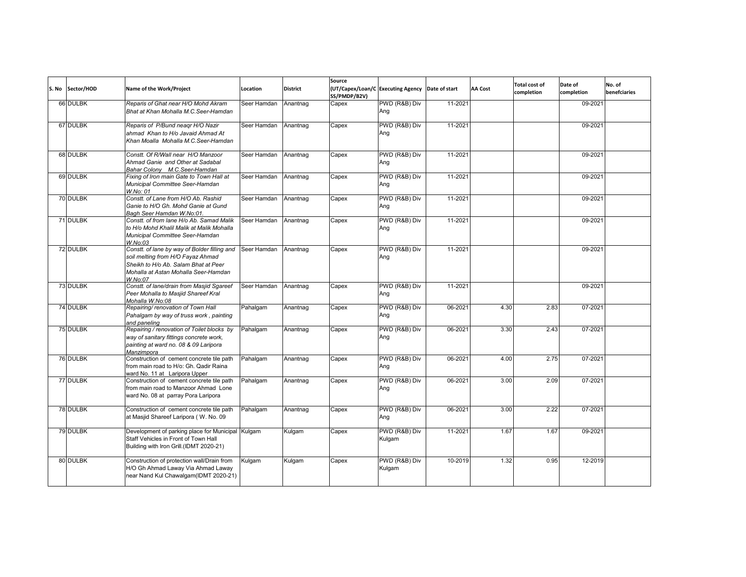| S. No | Sector/HOD | Name of the Work/Project                                                                                                                                                     | Location    | <b>District</b> | Source<br>SS/PMDP/B2V) | (UT/Capex/Loan/C Executing Agency Date of start |         | <b>AA Cost</b> | <b>Total cost of</b><br>completion | Date of<br>completion | No. of<br>benefciaries |
|-------|------------|------------------------------------------------------------------------------------------------------------------------------------------------------------------------------|-------------|-----------------|------------------------|-------------------------------------------------|---------|----------------|------------------------------------|-----------------------|------------------------|
|       | 66 DULBK   | Reparis of Ghat near H/O Mohd Akram<br>Bhat at Khan Mohalla M.C.Seer-Hamdan                                                                                                  | Seer Hamdan | Anantnag        | Capex                  | PWD (R&B) Div<br>Ang                            | 11-2021 |                |                                    | 09-2021               |                        |
|       | 67 DULBK   | Reparis of P/Bund neagr H/O Nazir<br>ahmad Khan to H/o Javaid Ahmad At<br>Khan Moalla Mohalla M.C.Seer-Hamdan                                                                | Seer Hamdan | Anantnag        | Capex                  | PWD (R&B) Div<br>Ang                            | 11-2021 |                |                                    | 09-2021               |                        |
|       | 68 DULBK   | Constt. Of R/Wall near H/O Manzoor<br>Ahmad Ganie and Other at Sadabal<br>Bahar Colony M.C.Seer-Hamdan                                                                       | Seer Hamdan | Anantnag        | Capex                  | PWD (R&B) Div<br>Ang                            | 11-2021 |                |                                    | 09-2021               |                        |
|       | 69 DULBK   | Fixing of Iron main Gate to Town Hall at<br>Municipal Committee Seer-Hamdan<br>W.No: 01                                                                                      | Seer Hamdan | Anantnag        | Capex                  | PWD (R&B) Div<br>Ang                            | 11-2021 |                |                                    | 09-2021               |                        |
|       | 70 DULBK   | Constt. of Lane from H/O Ab. Rashid<br>Ganie to H/O Gh. Mohd Ganie at Gund<br>Bagh Seer Hamdan W.No:01.                                                                      | Seer Hamdan | Anantnag        | Capex                  | PWD (R&B) Div<br>Ang                            | 11-2021 |                |                                    | 09-2021               |                        |
|       | 71 DULBK   | Constt. of from lane H/o Ab. Samad Malik<br>to H/o Mohd Khalil Malik at Malik Mohalla<br>Municipal Committee Seer-Hamdan<br>W.No:03                                          | Seer Hamdan | Anantnag        | Capex                  | PWD (R&B) Div<br>Ang                            | 11-2021 |                |                                    | 09-2021               |                        |
|       | 72 DULBK   | Constt. of lane by way of Bolder filling and<br>soil melting from H/O Fayaz Ahmad<br>Sheikh to H/o Ab. Salam Bhat at Peer<br>Mohalla at Astan Mohalla Seer-Hamdan<br>W.No:07 | Seer Hamdan | Anantnag        | Capex                  | PWD (R&B) Div<br>Ang                            | 11-2021 |                |                                    | 09-2021               |                        |
|       | 73 DULBK   | Constt. of lane/drain from Masjid Sgareef<br>Peer Mohalla to Masjid Shareef Kral<br>Mohalla W.No:08                                                                          | Seer Hamdan | Anantnag        | Capex                  | PWD (R&B) Div<br>Ang                            | 11-2021 |                |                                    | 09-2021               |                        |
|       | 74 DULBK   | Repairing/ renovation of Town Hall<br>Pahalgam by way of truss work, painting<br>and paneling                                                                                | Pahalgam    | Anantnag        | Capex                  | PWD (R&B) Div<br>Ang                            | 06-2021 | 4.30           | 2.83                               | 07-2021               |                        |
|       | 75 DULBK   | Repairing / renovation of Toilet blocks by<br>way of sanitary fittings concrete work,<br>painting at ward no. 08 & 09 Laripora<br>Manzimpora                                 | Pahalgam    | Anantnag        | Capex                  | PWD (R&B) Div<br>Ang                            | 06-2021 | 3.30           | 2.43                               | 07-2021               |                        |
|       | 76 DULBK   | Construction of cement concrete tile path<br>from main road to H/o: Gh. Qadir Raina<br>ward No. 11 at Laripora Upper                                                         | Pahalgam    | Anantnag        | Capex                  | PWD (R&B) Div<br>Ang                            | 06-2021 | 4.00           | 2.75                               | 07-2021               |                        |
|       | 77 DULBK   | Construction of cement concrete tile path<br>from main road to Manzoor Ahmad Lone<br>ward No. 08 at parray Pora Laripora                                                     | Pahalgam    | Anantnag        | Capex                  | PWD (R&B) Div<br>Ang                            | 06-2021 | 3.00           | 2.09                               | 07-2021               |                        |
|       | 78 DULBK   | Construction of cement concrete tile path<br>at Masjid Shareef Laripora (W. No. 09                                                                                           | Pahalgam    | Anantnag        | Capex                  | PWD (R&B) Div<br>Ang                            | 06-2021 | 3.00           | 2.22                               | 07-2021               |                        |
|       | 79 DULBK   | Development of parking place for Municipal Kulgam<br>Staff Vehicles in Front of Town Hall<br>Building with Iron Grill.(IDMT 2020-21)                                         |             | Kulgam          | Capex                  | PWD (R&B) Div<br>Kulgam                         | 11-2021 | 1.67           | 1.67                               | 09-2021               |                        |
|       | 80 DULBK   | Construction of protection wall/Drain from<br>H/O Gh Ahmad Laway Via Ahmad Laway<br>near Nand Kul Chawalgam (IDMT 2020-21)                                                   | Kulgam      | Kulgam          | Capex                  | PWD (R&B) Div<br>Kulgam                         | 10-2019 | 1.32           | 0.95                               | 12-2019               |                        |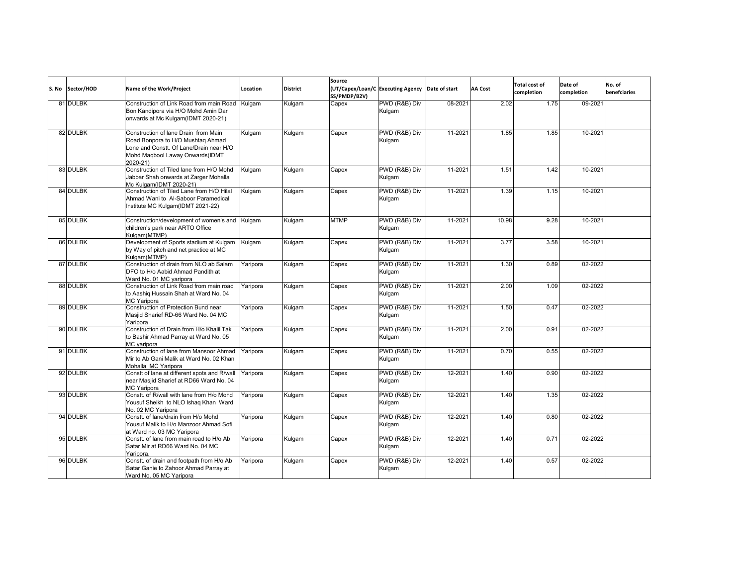| S. No | Sector/HOD | Name of the Work/Project                                                                                                                                             | Location | <b>District</b> | Source<br>SS/PMDP/B2V) | (UT/Capex/Loan/C Executing Agency Date of start |         | AA Cost | <b>Total cost of</b><br>completion | Date of<br>completion | No. of<br>benefciaries |
|-------|------------|----------------------------------------------------------------------------------------------------------------------------------------------------------------------|----------|-----------------|------------------------|-------------------------------------------------|---------|---------|------------------------------------|-----------------------|------------------------|
|       | 81 DULBK   | Construction of Link Road from main Road<br>Bon Kandipora via H/O Mohd Amin Dar<br>onwards at Mc Kulgam(IDMT 2020-21)                                                | Kulgam   | Kulgam          | Capex                  | PWD (R&B) Div<br>Kulgam                         | 08-2021 | 2.02    | 1.75                               | 09-2021               |                        |
|       | 82 DULBK   | Construction of lane Drain from Main<br>Road Bonpora to H/O Mushtag Ahmad<br>Lone and Constt. Of Lane/Drain near H/O<br>Mohd Magbool Laway Onwards (IDMT<br>2020-21) | Kulgam   | Kulgam          | Capex                  | PWD (R&B) Div<br>Kulgam                         | 11-2021 | 1.85    | 1.85                               | 10-2021               |                        |
|       | 83 DULBK   | Construction of Tiled lane from H/O Mohd<br>Jabbar Shah onwards at Zarger Mohalla<br>Mc Kulgam(IDMT 2020-21)                                                         | Kulgam   | Kulgam          | Capex                  | PWD (R&B) Div<br>Kulgam                         | 11-2021 | 1.51    | 1.42                               | 10-2021               |                        |
|       | 84 DULBK   | Construction of Tiled Lane from H/O Hilal<br>Ahmad Wani to Al-Saboor Paramedical<br>Institute MC Kulgam(IDMT 2021-22)                                                | Kulgam   | Kulgam          | Capex                  | PWD (R&B) Div<br>Kulgam                         | 11-2021 | 1.39    | 1.15                               | 10-2021               |                        |
|       | 85 DULBK   | Construction/development of women's and<br>children's park near ARTO Office<br>Kulgam(MTMP)                                                                          | Kulgam   | Kulgam          | <b>MTMP</b>            | PWD (R&B) Div<br>Kulgam                         | 11-2021 | 10.98   | 9.28                               | 10-2021               |                        |
|       | 86 DULBK   | Development of Sports stadium at Kulgam<br>by Way of pitch and net practice at MC<br>Kulgam(MTMP)                                                                    | Kulgam   | Kulgam          | Capex                  | PWD (R&B) Div<br>Kulgam                         | 11-2021 | 3.77    | 3.58                               | 10-2021               |                        |
|       | 87 DULBK   | Construction of drain from NLO ab Salam<br>DFO to H/o Aabid Ahmad Pandith at<br>Ward No. 01 MC varipora                                                              | Yaripora | Kulgam          | Capex                  | PWD (R&B) Div<br>Kulgam                         | 11-2021 | 1.30    | 0.89                               | 02-2022               |                        |
|       | 88 DULBK   | Construction of Link Road from main road<br>to Aashig Hussain Shah at Ward No. 04<br>MC Yaripora                                                                     | Yaripora | Kulgam          | Capex                  | PWD (R&B) Div<br>Kulgam                         | 11-2021 | 2.00    | 1.09                               | 02-2022               |                        |
|       | 89 DULBK   | Construction of Protection Bund near<br>Masiid Sharief RD-66 Ward No. 04 MC<br>Yaripora                                                                              | Yaripora | Kulgam          | Capex                  | PWD (R&B) Div<br>Kulgam                         | 11-2021 | 1.50    | 0.47                               | 02-2022               |                        |
|       | 90 DULBK   | Construction of Drain from H/o Khalil Tak<br>to Bashir Ahmad Parray at Ward No. 05<br>MC varipora                                                                    | Yaripora | Kulgam          | Capex                  | PWD (R&B) Div<br>Kulaam                         | 11-2021 | 2.00    | 0.91                               | 02-2022               |                        |
|       | 91 DULBK   | Construction of lane from Mansoor Ahmad<br>Mir to Ab Gani Malik at Ward No. 02 Khan<br>Mohalla MC Yaripora                                                           | Yaripora | Kulgam          | Capex                  | PWD (R&B) Div<br>Kulgam                         | 11-2021 | 0.70    | 0.55                               | 02-2022               |                        |
|       | 92 DULBK   | Constt of lane at different spots and R/wall<br>near Masiid Sharief at RD66 Ward No. 04<br>MC Yaripora                                                               | Yaripora | Kulgam          | Capex                  | PWD (R&B) Div<br>Kulgam                         | 12-2021 | 1.40    | 0.90                               | 02-2022               |                        |
|       | 93 DULBK   | Constt. of R/wall with lane from H/o Mohd<br>Yousuf Sheikh to NLO Ishaq Khan Ward<br>No. 02 MC Yaripora                                                              | Yaripora | Kulgam          | Capex                  | PWD (R&B) Div<br>Kulgam                         | 12-2021 | 1.40    | 1.35                               | 02-2022               |                        |
|       | 94 DULBK   | Constt. of lane/drain from H/o Mohd<br>Yousuf Malik to H/o Manzoor Ahmad Sofi<br>at Ward no. 03 MC Yaripora                                                          | Yaripora | Kulgam          | Capex                  | PWD (R&B) Div<br>Kulgam                         | 12-2021 | 1.40    | 0.80                               | 02-2022               |                        |
|       | 95 DULBK   | Constt. of lane from main road to H/o Ab<br>Satar Mir at RD66 Ward No. 04 MC<br>Yaripora.                                                                            | Yaripora | Kulgam          | Capex                  | PWD (R&B) Div<br>Kulgam                         | 12-2021 | 1.40    | 0.71                               | 02-2022               |                        |
|       | 96 DULBK   | Constt. of drain and footpath from H/o Ab<br>Satar Ganie to Zahoor Ahmad Parray at<br>Ward No. 05 MC Yaripora                                                        | Yaripora | Kulgam          | Capex                  | PWD (R&B) Div<br>Kulgam                         | 12-2021 | 1.40    | 0.57                               | 02-2022               |                        |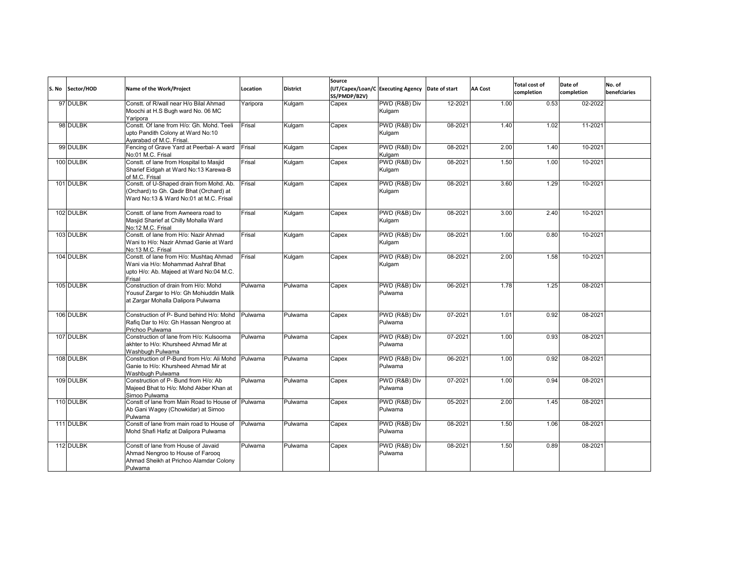| S. No | Sector/HOD | Name of the Work/Project                                                                                                           | Location | <b>District</b> | Source<br>SS/PMDP/B2V) | (UT/Capex/Loan/C Executing Agency Date of start |         | <b>AA Cost</b> | <b>Total cost of</b><br>completion | Date of<br>completion | No. of<br>benefciaries |
|-------|------------|------------------------------------------------------------------------------------------------------------------------------------|----------|-----------------|------------------------|-------------------------------------------------|---------|----------------|------------------------------------|-----------------------|------------------------|
|       | 97 DULBK   | Constt. of R/wall near H/o Bilal Ahmad<br>Moochi at H.S Bugh ward No. 06 MC<br>Yaripora                                            | Yaripora | Kulgam          | Capex                  | PWD (R&B) Div<br>Kulgam                         | 12-2021 | 1.00           | 0.53                               | 02-2022               |                        |
|       | 98 DULBK   | Constt, Of lane from H/o: Gh, Mohd, Teeli<br>upto Pandith Colony at Ward No:10<br>Ayarabad of M.C. Frisal.                         | Frisal   | Kulgam          | Capex                  | PWD (R&B) Div<br>Kulgam                         | 08-2021 | 1.40           | 1.02                               | 11-2021               |                        |
|       | 99 DULBK   | Fencing of Grave Yard at Peerbal- A ward<br>No:01 M.C. Frisal                                                                      | Frisal   | Kulgam          | Capex                  | PWD (R&B) Div<br>Kulgam                         | 08-2021 | 2.00           | 1.40                               | 10-2021               |                        |
|       | 100 DULBK  | Constt. of lane from Hospital to Masjid<br>Sharief Eidgah at Ward No:13 Karewa-B<br>of M.C. Frisal                                 | Frisal   | Kulgam          | Capex                  | PWD (R&B) Div<br>Kulgam                         | 08-2021 | 1.50           | 1.00                               | 10-2021               |                        |
|       | 101 DULBK  | Constt. of U-Shaped drain from Mohd. Ab.<br>(Orchard) to Gh. Qadir Bhat (Orchard) at<br>Ward No:13 & Ward No:01 at M.C. Frisal     | Frisal   | Kulgam          | Capex                  | PWD (R&B) Div<br>Kulgam                         | 08-2021 | 3.60           | 1.29                               | 10-2021               |                        |
|       | 102 DULBK  | Constt, of lane from Awneera road to<br>Masjid Sharief at Chilly Mohalla Ward<br>No:12 M.C. Frisal                                 | Frisal   | Kulgam          | Capex                  | PWD (R&B) Div<br>Kulgam                         | 08-2021 | 3.00           | 2.40                               | 10-2021               |                        |
|       | 103 DULBK  | Constt. of lane from H/o: Nazir Ahmad<br>Wani to H/o: Nazir Ahmad Ganie at Ward<br>No:13 M.C. Frisal                               | Frisal   | Kulgam          | Capex                  | PWD (R&B) Div<br>Kulgam                         | 08-2021 | 1.00           | 0.80                               | 10-2021               |                        |
|       | 104 DULBK  | Constt. of lane from H/o: Mushtaq Ahmad<br>Wani via H/o: Mohammad Ashraf Bhat<br>upto H/o: Ab. Majeed at Ward No:04 M.C.<br>Frisal | Frisal   | Kulgam          | Capex                  | PWD (R&B) Div<br>Kulgam                         | 08-2021 | 2.00           | 1.58                               | 10-2021               |                        |
|       | 105 DULBK  | Construction of drain from H/o: Mohd<br>Yousuf Zargar to H/o: Gh Mohiuddin Malik<br>at Zargar Mohalla Dalipora Pulwama             | Pulwama  | Pulwama         | Capex                  | PWD (R&B) Div<br>Pulwama                        | 06-2021 | 1.78           | 1.25                               | 08-2021               |                        |
|       | 106 DULBK  | Construction of P- Bund behind H/o: Mohd<br>Rafiq Dar to H/o: Gh Hassan Nengroo at<br>Prichoo Pulwama                              | Pulwama  | Pulwama         | Capex                  | PWD (R&B) Div<br>Pulwama                        | 07-2021 | 1.01           | 0.92                               | 08-2021               |                        |
|       | 107 DULBK  | Construction of lane from H/o: Kulsooma<br>akhter to H/o: Khursheed Ahmad Mir at<br>Washbugh Pulwama                               | Pulwama  | Pulwama         | Capex                  | PWD (R&B) Div<br>Pulwama                        | 07-2021 | 1.00           | 0.93                               | 08-2021               |                        |
|       | 108 DULBK  | Construction of P-Bund from H/o: Ali Mohd<br>Ganie to H/o: Khursheed Ahmad Mir at<br>Washbugh Pulwama                              | Pulwama  | Pulwama         | Capex                  | PWD (R&B) Div<br>Pulwama                        | 06-2021 | 1.00           | 0.92                               | 08-2021               |                        |
|       | 109 DULBK  | Construction of P- Bund from H/o: Ab<br>Majeed Bhat to H/o: Mohd Akber Khan at<br>Sirnoo Pulwama                                   | Pulwama  | Pulwama         | Capex                  | PWD (R&B) Div<br>Pulwama                        | 07-2021 | 1.00           | 0.94                               | 08-2021               |                        |
|       | 110 DULBK  | Constt of lane from Main Road to House of Pulwama<br>Ab Gani Wagey (Chowkidar) at Sirnoo<br>Pulwama                                |          | Pulwama         | Capex                  | PWD (R&B) Div<br>Pulwama                        | 05-2021 | 2.00           | 1.45                               | 08-2021               |                        |
|       | 111 DULBK  | Constt of lane from main road to House of<br>Mohd Shafi Hafiz at Dalipora Pulwama                                                  | Pulwama  | Pulwama         | Capex                  | PWD (R&B) Div<br>Pulwama                        | 08-2021 | 1.50           | 1.06                               | 08-2021               |                        |
|       | 112 DULBK  | Constt of lane from House of Javaid<br>Ahmad Nengroo to House of Faroog<br>Ahmad Sheikh at Prichoo Alamdar Colony<br>Pulwama       | Pulwama  | Pulwama         | Capex                  | PWD (R&B) Div<br>Pulwama                        | 08-2021 | 1.50           | 0.89                               | 08-2021               |                        |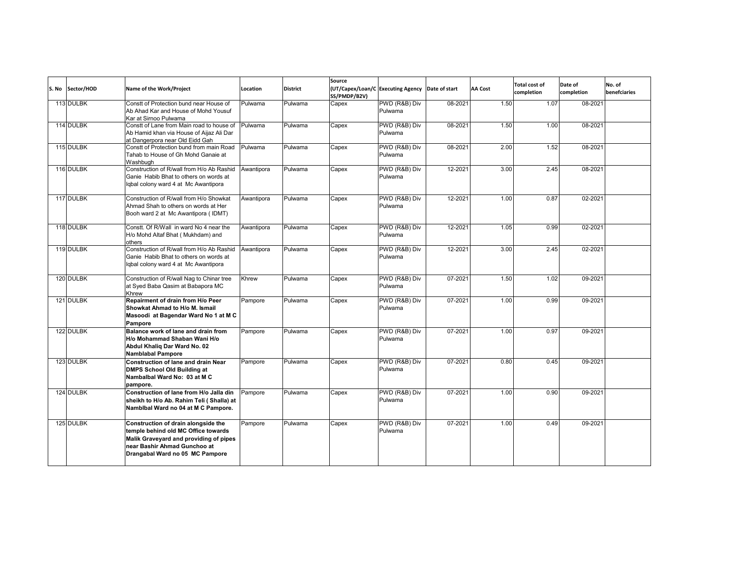| S. No Sector/HOD | Name of the Work/Project                                                                                                                                                                | Location   | <b>District</b> | Source<br>SS/PMDP/B2V) | (UT/Capex/Loan/C Executing Agency Date of start |         | <b>AA Cost</b> | <b>Total cost of</b><br>completion | Date of<br>completion | No. of<br>benefciaries |
|------------------|-----------------------------------------------------------------------------------------------------------------------------------------------------------------------------------------|------------|-----------------|------------------------|-------------------------------------------------|---------|----------------|------------------------------------|-----------------------|------------------------|
| 113 DULBK        | Constt of Protection bund near House of<br>Ab Ahad Kar and House of Mohd Yousuf<br>Kar at Sirnoo Pulwama                                                                                | Pulwama    | Pulwama         | Capex                  | PWD (R&B) Div<br>Pulwama                        | 08-2021 | 1.50           | 1.07                               | 08-2021               |                        |
| 114 DULBK        | Constt of Lane from Main road to house of<br>Ab Hamid khan via House of Aijaz Ali Dar<br>at Dangerpora near Old Eidd Gah                                                                | Pulwama    | Pulwama         | Capex                  | PWD (R&B) Div<br>Pulwama                        | 08-2021 | 1.50           | 1.00                               | 08-2021               |                        |
| 115 DULBK        | Constt of Protection bund from main Road<br>Tahab to House of Gh Mohd Ganaie at<br>Washbugh                                                                                             | Pulwama    | Pulwama         | Capex                  | PWD (R&B) Div<br>Pulwama                        | 08-2021 | 2.00           | 1.52                               | 08-2021               |                        |
| 116 DULBK        | Construction of R/wall from H/o Ab Rashid<br>Ganie Habib Bhat to others on words at<br>lgbal colony ward 4 at Mc Awantipora                                                             | Awantipora | Pulwama         | Capex                  | PWD (R&B) Div<br>Pulwama                        | 12-2021 | 3.00           | 2.45                               | 08-2021               |                        |
| 117 DULBK        | Construction of R/wall from H/o Showkat<br>Ahmad Shah to others on words at Her<br>Booh ward 2 at Mc Awantipora (IDMT)                                                                  | Awantipora | Pulwama         | Capex                  | PWD (R&B) Div<br>Pulwama                        | 12-2021 | 1.00           | 0.87                               | 02-2021               |                        |
| 118 DULBK        | Constt. Of R/Wall in ward No 4 near the<br>H/o Mohd Altaf Bhat (Mukhdam) and<br>others                                                                                                  | Awantipora | Pulwama         | Capex                  | PWD (R&B) Div<br>Pulwama                        | 12-2021 | 1.05           | 0.99                               | 02-2021               |                        |
| 119 DULBK        | Construction of R/wall from H/o Ab Rashid<br>Ganie Habib Bhat to others on words at<br>Iqbal colony ward 4 at Mc Awantipora                                                             | Awantipora | Pulwama         | Capex                  | PWD (R&B) Div<br>Pulwama                        | 12-2021 | 3.00           | 2.45                               | 02-2021               |                        |
| 120 DULBK        | Construction of R/wall Nag to Chinar tree<br>at Syed Baba Qasim at Babapora MC<br>Khrew                                                                                                 | Khrew      | Pulwama         | Capex                  | PWD (R&B) Div<br>Pulwama                        | 07-2021 | 1.50           | 1.02                               | 09-2021               |                        |
| 121 DULBK        | Repairment of drain from H/o Peer<br>Showkat Ahmad to H/o M. Ismail<br>Masoodi at Bagendar Ward No 1 at M C<br>Pampore                                                                  | Pampore    | Pulwama         | Capex                  | PWD (R&B) Div<br>Pulwama                        | 07-2021 | 1.00           | 0.99                               | 09-2021               |                        |
| 122 DULBK        | Balance work of lane and drain from<br>H/o Mohammad Shaban Wani H/o<br>Abdul Khalig Dar Ward No. 02<br><b>Namblabal Pampore</b>                                                         | Pampore    | Pulwama         | Capex                  | PWD (R&B) Div<br>Pulwama                        | 07-2021 | 1.00           | 0.97                               | 09-2021               |                        |
| 123 DULBK        | Construction of lane and drain Near<br><b>DMPS School Old Building at</b><br>Nambalbal Ward No: 03 at M C<br>pampore.                                                                   | Pampore    | Pulwama         | Capex                  | PWD (R&B) Div<br>Pulwama                        | 07-2021 | 0.80           | 0.45                               | 09-2021               |                        |
| 124 DULBK        | Construction of lane from H/o Jalla din<br>sheikh to H/o Ab. Rahim Teli (Shalla) at<br>Nambibal Ward no 04 at M C Pampore.                                                              | Pampore    | Pulwama         | Capex                  | PWD (R&B) Div<br>Pulwama                        | 07-2021 | 1.00           | 0.90                               | 09-2021               |                        |
| 125 DULBK        | Construction of drain alongside the<br>temple behind old MC Office towards<br>Malik Graveyard and providing of pipes<br>near Bashir Ahmad Gunchoo at<br>Drangabal Ward no 05 MC Pampore | Pampore    | Pulwama         | Capex                  | PWD (R&B) Div<br>Pulwama                        | 07-2021 | 1.00           | 0.49                               | 09-2021               |                        |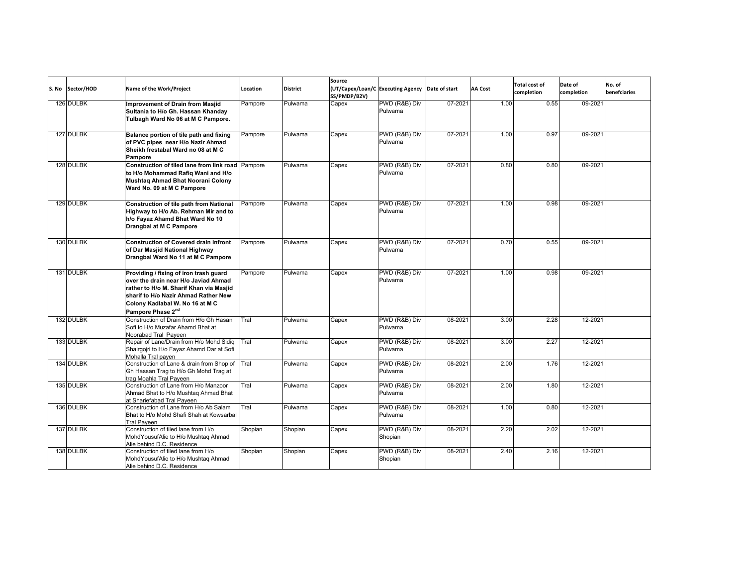| S. No Sector/HOD | Name of the Work/Project                                                                                                                                                                                                              | Location | <b>District</b> | Source<br>(UT/Capex/Loan/C Executing Agency Date of start<br>SS/PMDP/B2V) |                          |         | <b>AA Cost</b> | Total cost of<br>completion | Date of<br>completion | No. of<br>benefciaries |
|------------------|---------------------------------------------------------------------------------------------------------------------------------------------------------------------------------------------------------------------------------------|----------|-----------------|---------------------------------------------------------------------------|--------------------------|---------|----------------|-----------------------------|-----------------------|------------------------|
| 126 DULBK        | Improvement of Drain from Masjid<br>Sultania to H/o Gh. Hassan Khanday<br>Tulbagh Ward No 06 at M C Pampore.                                                                                                                          | Pampore  | Pulwama         | Capex                                                                     | PWD (R&B) Div<br>Pulwama | 07-2021 | 1.00           | 0.55                        | 09-2021               |                        |
| 127 DULBK        | Balance portion of tile path and fixing<br>of PVC pipes near H/o Nazir Ahmad<br>Sheikh frestabal Ward no 08 at M C<br>Pampore                                                                                                         | Pampore  | Pulwama         | Capex                                                                     | PWD (R&B) Div<br>Pulwama | 07-2021 | 1.00           | 0.97                        | 09-2021               |                        |
| 128 DULBK        | Construction of tiled lane from link road<br>to H/o Mohammad Rafiq Wani and H/o<br>Mushtaq Ahmad Bhat Noorani Colony<br>Ward No. 09 at M C Pampore                                                                                    | Pampore  | Pulwama         | Capex                                                                     | PWD (R&B) Div<br>Pulwama | 07-2021 | 0.80           | 0.80                        | 09-2021               |                        |
| 129 DULBK        | <b>Construction of tile path from National</b><br>Highway to H/o Ab. Rehman Mir and to<br>h/o Fayaz Ahamd Bhat Ward No 10<br>Drangbal at M C Pampore                                                                                  | Pampore  | Pulwama         | Capex                                                                     | PWD (R&B) Div<br>Pulwama | 07-2021 | 1.00           | 0.98                        | 09-2021               |                        |
| 130 DULBK        | <b>Construction of Covered drain infront</b><br>of Dar Masjid National Highway<br>Drangbal Ward No 11 at M C Pampore                                                                                                                  | Pampore  | Pulwama         | Capex                                                                     | PWD (R&B) Div<br>Pulwama | 07-2021 | 0.70           | 0.55                        | 09-2021               |                        |
| 131 DULBK        | Providing / fixing of iron trash guard<br>over the drain near H/o Javiad Ahmad<br>rather to H/o M. Sharif Khan via Masjid<br>sharif to H/o Nazir Ahmad Rather New<br>Colony Kadlabal W. No 16 at M C<br>Pampore Phase 2 <sup>nd</sup> | Pampore  | Pulwama         | Capex                                                                     | PWD (R&B) Div<br>Pulwama | 07-2021 | 1.00           | 0.98                        | 09-2021               |                        |
| 132 DULBK        | Construction of Drain from H/o Gh Hasan<br>Sofi to H/o Muzafar Ahamd Bhat at<br>Noorabad Tral Paveen                                                                                                                                  | Tral     | Pulwama         | Capex                                                                     | PWD (R&B) Div<br>Pulwama | 08-2021 | 3.00           | 2.28                        | 12-2021               |                        |
| 133 DULBK        | Repair of Lane/Drain from H/o Mohd Sidig<br>Shairgojri to H/o Fayaz Ahamd Dar at Sofi<br>Mohalla Tral payen                                                                                                                           | Tral     | Pulwama         | Capex                                                                     | PWD (R&B) Div<br>Pulwama | 08-2021 | 3.00           | 2.27                        | 12-2021               |                        |
| 134 DULBK        | Construction of Lane & drain from Shop of<br>Gh Hassan Trag to H/o Gh Mohd Trag at<br>trag Moahla Tral Paveen                                                                                                                         | Tral     | Pulwama         | Capex                                                                     | PWD (R&B) Div<br>Pulwama | 08-2021 | 2.00           | 1.76                        | 12-2021               |                        |
| 135 DULBK        | Construction of Lane from H/o Manzoor<br>Ahmad Bhat to H/o Mushtaq Ahmad Bhat<br>at Shariefabad Tral Paveen                                                                                                                           | Tral     | Pulwama         | Capex                                                                     | PWD (R&B) Div<br>Pulwama | 08-2021 | 2.00           | 1.80                        | 12-2021               |                        |
| 136 DULBK        | Construction of Lane from H/o Ab Salam<br>Bhat to H/o Mohd Shafi Shah at Kowsarbal<br>Tral Paveen                                                                                                                                     | Tral     | Pulwama         | Capex                                                                     | PWD (R&B) Div<br>Pulwama | 08-2021 | 1.00           | 0.80                        | 12-2021               |                        |
| 137 DULBK        | Construction of tiled lane from H/o<br>Mohd Yousuf Alie to H/o Mushtaq Ahmad<br>Alie behind D.C. Residence                                                                                                                            | Shopian  | Shopian         | Capex                                                                     | PWD (R&B) Div<br>Shopian | 08-2021 | 2.20           | 2.02                        | 12-2021               |                        |
| 138 DULBK        | Construction of tiled lane from H/o<br>Mohd Yousuf Alie to H/o Mushtaq Ahmad<br>Alie behind D.C. Residence                                                                                                                            | Shopian  | Shopian         | Capex                                                                     | PWD (R&B) Div<br>Shopian | 08-2021 | 2.40           | 2.16                        | 12-2021               |                        |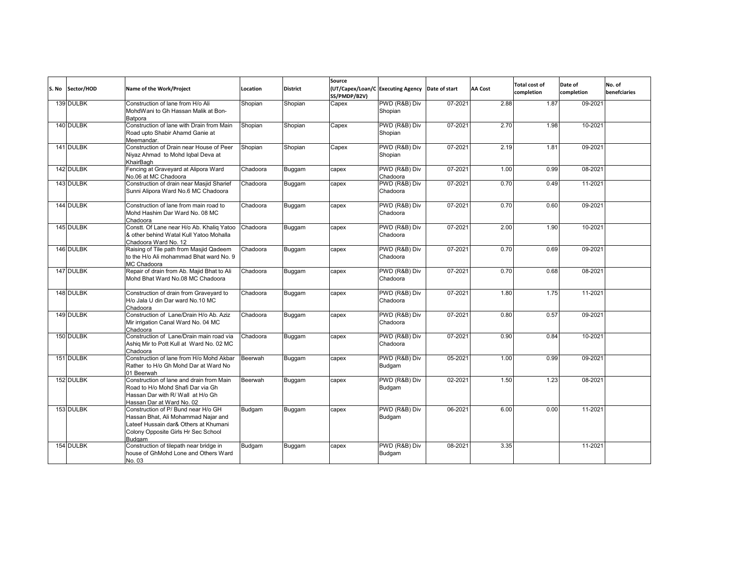| S. No | Sector/HOD | Name of the Work/Project                                                                                                                                             | Location | <b>District</b> | Source<br>SS/PMDP/B2V) | (UT/Capex/Loan/C Executing Agency Date of start |         | <b>AA Cost</b> | <b>Total cost of</b><br>completion | Date of<br>completion | No. of<br>benefciaries |
|-------|------------|----------------------------------------------------------------------------------------------------------------------------------------------------------------------|----------|-----------------|------------------------|-------------------------------------------------|---------|----------------|------------------------------------|-----------------------|------------------------|
|       | 139 DULBK  | Construction of lane from H/o Ali<br>MohdWani to Gh Hassan Malik at Bon-<br>Batpora                                                                                  | Shopian  | Shopian         | Capex                  | PWD (R&B) Div<br>Shopian                        | 07-2021 | 2.88           | 1.87                               | 09-2021               |                        |
|       | 140 DULBK  | Construction of lane with Drain from Main<br>Road upto Shabir Ahamd Ganie at<br>Meemandar.                                                                           | Shopian  | Shopian         | Capex                  | PWD (R&B) Div<br>Shopian                        | 07-2021 | 2.70           | 1.98                               | 10-2021               |                        |
|       | 141 DULBK  | Construction of Drain near House of Peer<br>Niyaz Ahmad to Mohd Iqbal Deva at<br>KhairBagh                                                                           | Shopian  | Shopian         | Capex                  | PWD (R&B) Div<br>Shopian                        | 07-2021 | 2.19           | 1.81                               | 09-2021               |                        |
|       | 142 DULBK  | Fencing at Graveyard at Alipora Ward<br>No.06 at MC Chadoora                                                                                                         | Chadoora | Buggam          | capex                  | PWD (R&B) Div<br>Chadoora                       | 07-2021 | 1.00           | 0.99                               | 08-2021               |                        |
|       | 143 DULBK  | Construction of drain near Masjid Sharief<br>Sunni Alipora Ward No.6 MC Chadoora                                                                                     | Chadoora | Buggam          | capex                  | PWD (R&B) Div<br>Chadoora                       | 07-2021 | 0.70           | 0.49                               | 11-2021               |                        |
|       | 144 DULBK  | Construction of lane from main road to<br>Mohd Hashim Dar Ward No. 08 MC<br>Chadoora                                                                                 | Chadoora | Buggam          | capex                  | PWD (R&B) Div<br>Chadoora                       | 07-2021 | 0.70           | 0.60                               | 09-2021               |                        |
|       | 145 DULBK  | Constt. Of Lane near H/o Ab. Khaliq Yatoo<br>& other behind Watal Kull Yatoo Mohalla<br>Chadoora Ward No. 12                                                         | Chadoora | Buggam          | capex                  | PWD (R&B) Div<br>Chadoora                       | 07-2021 | 2.00           | 1.90                               | 10-2021               |                        |
|       | 146 DULBK  | Raising of Tile path from Masjid Qadeem<br>to the H/o Ali mohammad Bhat ward No. 9<br>MC Chadoora                                                                    | Chadoora | Buggam          | capex                  | PWD (R&B) Div<br>Chadoora                       | 07-2021 | 0.70           | 0.69                               | 09-2021               |                        |
|       | 147 DULBK  | Repair of drain from Ab. Majid Bhat to Ali<br>Mohd Bhat Ward No.08 MC Chadoora                                                                                       | Chadoora | Buggam          | capex                  | PWD (R&B) Div<br>Chadoora                       | 07-2021 | 0.70           | 0.68                               | 08-2021               |                        |
|       | 148 DULBK  | Construction of drain from Graveyard to<br>H/o Jala U din Dar ward No.10 MC<br>Chadoora                                                                              | Chadoora | Buggam          | capex                  | PWD (R&B) Div<br>Chadoora                       | 07-2021 | 1.80           | 1.75                               | 11-2021               |                        |
|       | 149 DULBK  | Construction of Lane/Drain H/o Ab. Aziz<br>Mir irrigation Canal Ward No. 04 MC<br>Chadoora                                                                           | Chadoora | Buggam          | capex                  | PWD (R&B) Div<br>Chadoora                       | 07-2021 | 0.80           | 0.57                               | 09-2021               |                        |
|       | 150 DULBK  | Construction of Lane/Drain main road via<br>Ashiq Mir to Pott Kull at Ward No. 02 MC<br>Chadoora                                                                     | Chadoora | Buggam          | capex                  | PWD (R&B) Div<br>Chadoora                       | 07-2021 | 0.90           | 0.84                               | 10-2021               |                        |
|       | 151 DULBK  | Construction of lane from H/o Mohd Akbar<br>Rather to H/o Gh Mohd Dar at Ward No<br>01 Beerwah                                                                       | Beerwah  | Buggam          | capex                  | PWD (R&B) Div<br>Budgam                         | 05-2021 | 1.00           | 0.99                               | 09-2021               |                        |
|       | 152 DULBK  | Construction of lane and drain from Main<br>Road to H/o Mohd Shafi Dar via Gh<br>Hassan Dar with R/ Wall at H/o Gh<br>Hassan Dar at Ward No. 02                      | Beerwah  | Buggam          | capex                  | PWD (R&B) Div<br>Budgam                         | 02-2021 | 1.50           | 1.23                               | 08-2021               |                        |
|       | 153 DULBK  | Construction of P/ Bund near H/o GH<br>Hassan Bhat, Ali Mohammad Najar and<br>Lateef Hussain dar& Others at Khumani<br>Colony Opposite Girls Hr Sec School<br>Budgam | Budgam   | Buggam          | capex                  | PWD (R&B) Div<br>Budgam                         | 06-2021 | 6.00           | 0.00                               | 11-2021               |                        |
|       | 154 DULBK  | Construction of tilepath near bridge in<br>house of GhMohd Lone and Others Ward<br>No. 03                                                                            | Budgam   | Buggam          | capex                  | PWD (R&B) Div<br>Budgam                         | 08-2021 | 3.35           |                                    | 11-2021               |                        |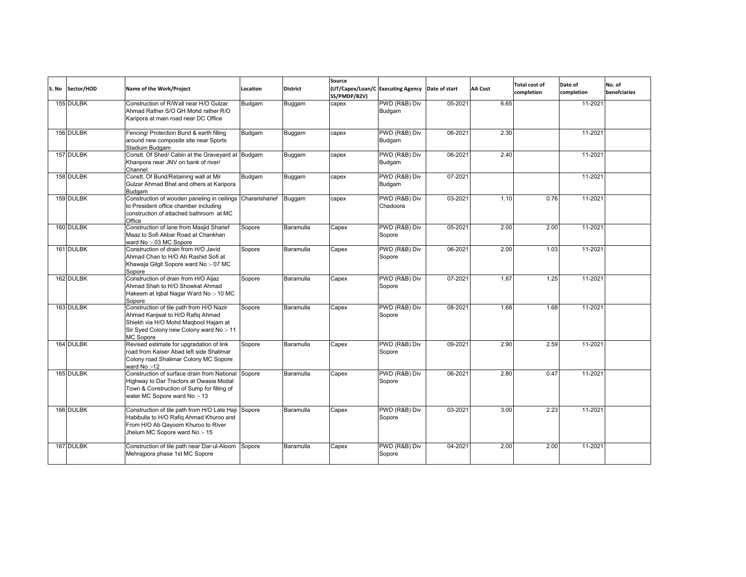| S. No | Sector/HOD | Name of the Work/Project                                                                                                                                                    | Location | <b>District</b> | Source<br>SS/PMDP/B2V) | (UT/Capex/Loan/C Executing Agency Date of start |         | <b>AA Cost</b> | <b>Total cost of</b><br>completion | Date of<br>completion | No. of<br>benefciaries |
|-------|------------|-----------------------------------------------------------------------------------------------------------------------------------------------------------------------------|----------|-----------------|------------------------|-------------------------------------------------|---------|----------------|------------------------------------|-----------------------|------------------------|
|       | 155 DULBK  | Construction of R/Wall near H/O Gulzar<br>Ahmad Rather S/O GH Mohd rather R/O<br>Karipora at main road near DC Office                                                       | Budgam   | Buggam          | capex                  | PWD (R&B) Div<br>Budgam                         | 05-2021 | 6.65           |                                    | 11-2021               |                        |
|       | 156 DULBK  | Fencing/ Protection Bund & earth filling<br>around new composite site near Sports<br>Stadium Budgam                                                                         | Budgam   | Buggam          | capex                  | PWD (R&B) Div<br>Budgam                         | 06-2021 | 2.30           |                                    | 11-2021               |                        |
|       | 157 DULBK  | Constt. Of Shed/ Cabin at the Graveyard at Budgam<br>Khanpora near JNV on bank of river/<br>Channel                                                                         |          | Buggam          | capex                  | PWD (R&B) Div<br>Budgam                         | 06-2021 | 2.40           |                                    | 11-2021               |                        |
|       | 158 DULBK  | Constt. Of Bund/Retaining wall at Mir<br>Gulzar Ahmad Bhat and others at Karipora<br>Budgam                                                                                 | Budgam   | Buggam          | capex                  | PWD (R&B) Div<br>Budgam                         | 07-2021 |                |                                    | 11-2021               |                        |
|       | 159 DULBK  | Construction of wooden paneling in ceilings Chararisharief<br>to President office chamber including<br>construction of attached bathroom at MC<br>Office                    |          | Buggam          | capex                  | PWD (R&B) Div<br>Chadoora                       | 03-2021 | 1.10           | 0.76                               | 11-2021               |                        |
|       | 160 DULBK  | Construction of lane from Masjid Sharief<br>Maaz to Sofi Akbar Road at Chankhan<br>ward No :- 03 MC Sopore                                                                  | Sopore   | Baramulla       | Capex                  | PWD (R&B) Div<br>Sopore                         | 05-2021 | 2.00           | 2.00                               | 11-2021               |                        |
|       | 161 DULBK  | Construction of drain from H/O Javid<br>Ahmad Chan to H/O Ab Rashid Sofi at<br>Khawaja Gilgit Sopore ward No :- 07 MC<br>Sopore                                             | Sopore   | Baramulla       | Capex                  | PWD (R&B) Div<br>Sopore                         | 06-2021 | 2.00           | 1.03                               | 11-2021               |                        |
|       | 162 DULBK  | Construction of drain from H/O Aijaz<br>Ahmad Shah to H/O Showkat Ahmad<br>Hakeem at Iqbal Nagar Ward No :- 10 MC<br>Sopore                                                 | Sopore   | Baramulla       | Capex                  | PWD (R&B) Div<br>Sopore                         | 07-2021 | 1.87           | 1.25                               | 11-2021               |                        |
|       | 163 DULBK  | Construction of tile path from H/O Nazir<br>Ahmad Kanjwal to H/O Rafiq Ahmad<br>Shiekh via H/O Mohd Magbool Hajam at<br>Sir Syed Colony new Colony ward No:-11<br>MC Sopore | Sopore   | Baramulla       | Capex                  | PWD (R&B) Div<br>Sopore                         | 08-2021 | 1.68           | 1.68                               | 11-2021               |                        |
|       | 164 DULBK  | Revised estimate for upgradation of link<br>road from Kaiser Abad left side Shalimar<br>Colony road Shalimar Colony MC Sopore<br>ward No:-12                                | Sopore   | Baramulla       | Capex                  | PWD (R&B) Div<br>Sopore                         | 09-2021 | 2.90           | 2.59                               | 11-2021               |                        |
|       | 165 DULBK  | Construction of surface drain from National<br>Highway to Dar Tractors at Owasia Modal<br>Town & Construction of Sump for filling of<br>water MC Sopore ward No :- 13       | Sopore   | Baramulla       | Capex                  | PWD (R&B) Div<br>Sopore                         | 06-2021 | 2.80           | 0.47                               | $11 - 2021$           |                        |
|       | 166 DULBK  | Construction of tile path from H/O Late Haji Sopore<br>Habibulla to H/O Rafiq Ahmad Khuroo and<br>From H/O Ab Qayoom Khuroo to River<br>Jhelum MC Sopore ward No :- 15      |          | Baramulla       | Capex                  | PWD (R&B) Div<br>Sopore                         | 03-2021 | 3.00           | 2.23                               | 11-2021               |                        |
|       | 167 DULBK  | Construction of tile path near Dar-ul-Aloom<br>Mehrajpora phase 1st MC Sopore                                                                                               | Sopore   | Baramulla       | Capex                  | PWD (R&B) Div<br>Sopore                         | 04-2021 | 2.00           | 2.00                               | 11-2021               |                        |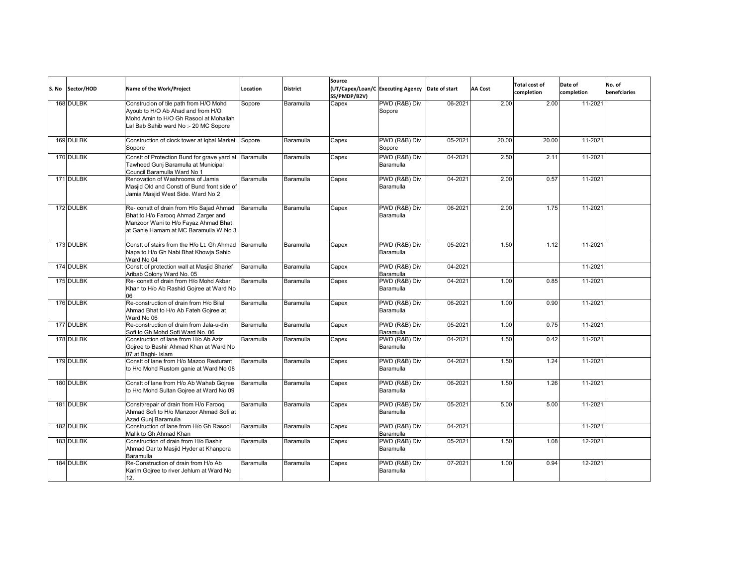| S. No | Sector/HOD | Name of the Work/Project                                                                                                                                         | Location  | <b>District</b> | Source<br>SS/PMDP/B2V) | (UT/Capex/Loan/C Executing Agency Date of start |         | <b>AA Cost</b> | <b>Total cost of</b><br>completion | Date of<br>completion | No. of<br>benefciaries |
|-------|------------|------------------------------------------------------------------------------------------------------------------------------------------------------------------|-----------|-----------------|------------------------|-------------------------------------------------|---------|----------------|------------------------------------|-----------------------|------------------------|
|       | 168 DULBK  | Construcion of tile path from H/O Mohd<br>Ayoub to H/O Ab Ahad and from H/O<br>Mohd Amin to H/O Gh Rasool at Mohallah<br>Lal Bab Sahib ward No :- 20 MC Sopore   | Sopore    | Baramulla       | Capex                  | PWD (R&B) Div<br>Sopore                         | 06-2021 | 2.00           | 2.00                               | 11-2021               |                        |
|       | 169 DULBK  | Construction of clock tower at Iqbal Market<br>Sopore                                                                                                            | Sopore    | Baramulla       | Capex                  | PWD (R&B) Div<br>Sopore                         | 05-2021 | 20.00          | 20.00                              | 11-2021               |                        |
|       | 170 DULBK  | Constt of Protection Bund for grave yard at Baramulla<br>Tawheed Gunj Baramulla at Municipal<br>Council Baramulla Ward No 1                                      |           | Baramulla       | Capex                  | PWD (R&B) Div<br>Baramulla                      | 04-2021 | 2.50           | 2.11                               | 11-2021               |                        |
|       | 171 DULBK  | Renovation of Washrooms of Jamia<br>Masjid Old and Constt of Bund front side of<br>Jamia Masjid West Side. Ward No 2                                             | Baramulla | Baramulla       | Capex                  | PWD (R&B) Div<br>Baramulla                      | 04-2021 | 2.00           | 0.57                               | 11-2021               |                        |
|       | 172 DULBK  | Re- constt of drain from H/o Sajad Ahmad<br>Bhat to H/o Farooq Ahmad Zarger and<br>Manzoor Wani to H/o Fayaz Ahmad Bhat<br>at Ganie Hamam at MC Baramulla W No 3 | Baramulla | Baramulla       | Capex                  | PWD (R&B) Div<br>Baramulla                      | 06-2021 | 2.00           | 1.75                               | 11-2021               |                        |
|       | 173 DULBK  | Constt of stairs from the H/o Lt. Gh Ahmad<br>Napa to H/o Gh Nabi Bhat Khowja Sahib<br>Ward No 04                                                                | Baramulla | Baramulla       | Capex                  | PWD (R&B) Div<br>Baramulla                      | 05-2021 | 1.50           | 1.12                               | 11-2021               |                        |
|       | 174 DULBK  | Constt of protection wall at Masjid Sharief<br>Aribab Colony Ward No. 05                                                                                         | Baramulla | Baramulla       | Capex                  | PWD (R&B) Div<br>Baramulla                      | 04-2021 |                |                                    | 11-2021               |                        |
|       | 175 DULBK  | Re- constt of drain from H/o Mohd Akbar<br>Khan to H/o Ab Rashid Gojree at Ward No<br>በ6                                                                         | Baramulla | Baramulla       | Capex                  | PWD (R&B) Div<br>Baramulla                      | 04-2021 | 1.00           | 0.85                               | 11-2021               |                        |
|       | 176 DULBK  | Re-construction of drain from H/o Bilal<br>Ahmad Bhat to H/o Ab Fateh Gojree at<br>Ward No 06                                                                    | Baramulla | Baramulla       | Capex                  | PWD (R&B) Div<br>Baramulla                      | 06-2021 | 1.00           | 0.90                               | 11-2021               |                        |
|       | 177 DULBK  | Re-construction of drain from Jala-u-din<br>Sofi to Gh Mohd Sofi Ward No. 06                                                                                     | Baramulla | Baramulla       | Capex                  | PWD (R&B) Div<br>Baramulla                      | 05-2021 | 1.00           | 0.75                               | 11-2021               |                        |
|       | 178 DULBK  | Construction of lane from H/o Ab Aziz<br>Goiree to Bashir Ahmad Khan at Ward No<br>07 at Baghi- Islam                                                            | Baramulla | Baramulla       | Capex                  | PWD (R&B) Div<br>Baramulla                      | 04-2021 | 1.50           | 0.42                               | 11-2021               |                        |
|       | 179 DULBK  | Constt of lane from H/o Mazoo Resturant<br>to H/o Mohd Rustom ganie at Ward No 08                                                                                | Baramulla | Baramulla       | Capex                  | PWD (R&B) Div<br>Baramulla                      | 04-2021 | 1.50           | 1.24                               | 11-2021               |                        |
|       | 180 DULBK  | Constt of lane from H/o Ab Wahab Gojree<br>to H/o Mohd Sultan Gojree at Ward No 09                                                                               | Baramulla | Baramulla       | Capex                  | PWD (R&B) Div<br>Baramulla                      | 06-2021 | 1.50           | 1.26                               | 11-2021               |                        |
|       | 181 DULBK  | Constt/repair of drain from H/o Farooq<br>Ahmad Sofi to H/o Manzoor Ahmad Sofi at<br>Azad Gunj Baramulla                                                         | Baramulla | Baramulla       | Capex                  | PWD (R&B) Div<br>Baramulla                      | 05-2021 | 5.00           | 5.00                               | 11-2021               |                        |
|       | 182 DULBK  | Construction of lane from H/o Gh Rasool<br>Malik to Gh Ahmad Khan                                                                                                | Baramulla | Baramulla       | Capex                  | PWD (R&B) Div<br>Baramulla                      | 04-2021 |                |                                    | 11-2021               |                        |
|       | 183 DULBK  | Construction of drain from H/o Bashir<br>Ahmad Dar to Masjid Hyder at Khanpora<br>Baramulla                                                                      | Baramulla | Baramulla       | Capex                  | PWD (R&B) Div<br>Baramulla                      | 05-2021 | 1.50           | 1.08                               | 12-2021               |                        |
|       | 184 DULBK  | Re-Construction of drain from H/o Ab<br>Karim Gojree to river Jehlum at Ward No<br>12.                                                                           | Baramulla | Baramulla       | Capex                  | PWD (R&B) Div<br>Baramulla                      | 07-2021 | 1.00           | 0.94                               | 12-2021               |                        |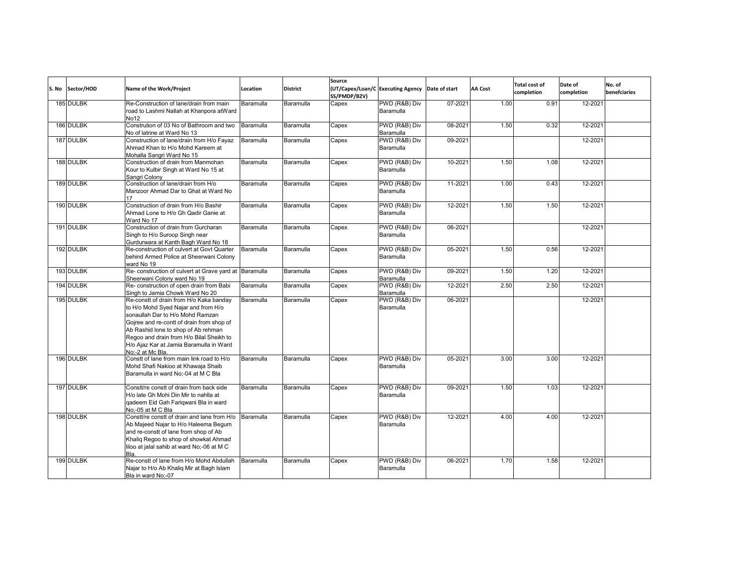| S. No | Sector/HOD | Name of the Work/Project                                                                                                                                                                                                                                                                                          | Location  | <b>District</b> | Source<br>SS/PMDP/B2V) | (UT/Capex/Loan/C Executing Agency | Date of start | <b>AA Cost</b> | <b>Total cost of</b><br>completion | Date of<br>completion | No. of<br>benefciaries |
|-------|------------|-------------------------------------------------------------------------------------------------------------------------------------------------------------------------------------------------------------------------------------------------------------------------------------------------------------------|-----------|-----------------|------------------------|-----------------------------------|---------------|----------------|------------------------------------|-----------------------|------------------------|
|       | 185 DULBK  | Re-Construction of lane/drain from main<br>road to Lashmi Nallah at Khanpora atWard<br>No12                                                                                                                                                                                                                       | Baramulla | Baramulla       | Capex                  | PWD (R&B) Div<br>Baramulla        | 07-2021       | 1.00           | 0.91                               | 12-2021               |                        |
|       | 186 DULBK  | Constrution of 03 No of Bathroom and two<br>No of latrine at Ward No 13                                                                                                                                                                                                                                           | Baramulla | Baramulla       | Capex                  | PWD (R&B) Div<br>Baramulla        | 08-2021       | 1.50           | 0.32                               | 12-2021               |                        |
|       | 187 DULBK  | Construction of lane/drain from H/o Fayaz<br>Ahmad Khan to H/o Mohd Kareem at<br>Mohalla Sangri Ward No 15                                                                                                                                                                                                        | Baramulla | Baramulla       | Capex                  | PWD (R&B) Div<br>Baramulla        | 09-2021       |                |                                    | 12-2021               |                        |
|       | 188 DULBK  | Construction of drain from Manmohan<br>Kour to Kulbir Singh at Ward No 15 at<br>Sangri Colony                                                                                                                                                                                                                     | Baramulla | Baramulla       | Capex                  | PWD (R&B) Div<br>Baramulla        | 10-2021       | 1.50           | 1.08                               | 12-2021               |                        |
|       | 189 DULBK  | Construction of lane/drain from H/o<br>Manzoor Ahmad Dar to Ghat at Ward No<br>17                                                                                                                                                                                                                                 | Baramulla | Baramulla       | Capex                  | PWD (R&B) Div<br>Baramulla        | 11-2021       | 1.00           | 0.43                               | 12-2021               |                        |
|       | 190 DULBK  | Construction of drain from H/o Bashir<br>Ahmad Lone to H/o Gh Qadir Ganie at<br>Ward No 17                                                                                                                                                                                                                        | Baramulla | Baramulla       | Capex                  | PWD (R&B) Div<br>Baramulla        | 12-2021       | 1.50           | 1.50                               | 12-2021               |                        |
|       | 191 DULBK  | Construction of drain from Gurcharan<br>Singh to H/o Suroop Singh near<br>Gurdurwara at Kanth Bagh Ward No 18                                                                                                                                                                                                     | Baramulla | Baramulla       | Capex                  | PWD (R&B) Div<br>Baramulla        | 06-2021       |                |                                    | 12-2021               |                        |
|       | 192 DULBK  | Re-construction of culvert at Govt Quarter<br>behind Armed Police at Sheerwani Colony<br>ward No 19                                                                                                                                                                                                               | Baramulla | Baramulla       | Capex                  | PWD (R&B) Div<br>Baramulla        | 05-2021       | 1.50           | 0.56                               | 12-2021               |                        |
|       | 193 DULBK  | Re- construction of culvert at Grave yard at Baramulla<br>Sheerwani Colony ward No 19                                                                                                                                                                                                                             |           | Baramulla       | Capex                  | PWD (R&B) Div<br>Baramulla        | 09-2021       | 1.50           | 1.20                               | 12-2021               |                        |
|       | 194 DULBK  | Re- construction of open drain from Babi<br>Singh to Jamia Chowk Ward No 20                                                                                                                                                                                                                                       | Baramulla | Baramulla       | Capex                  | PWD (R&B) Div<br>Baramulla        | 12-2021       | 2.50           | 2.50                               | 12-2021               |                        |
|       | 195 DULBK  | Re-constt of drain from H/o Kaka banday<br>to H/o Mohd Syed Najar and from H/o<br>sonaullah Dar to H/o Mohd Ramzan<br>Gojree and re-contt of drain from shop of<br>Ab Rashid lone to shop of Ab rehman<br>Regoo and drain from H/o Bilal Sheikh to<br>H/o Ajaz Kar at Jamia Baramulla in Ward<br>No:-2 at Mc Bla. | Baramulla | Baramulla       | Capex                  | PWD (R&B) Div<br>Baramulla        | 06-2021       |                |                                    | 12-2021               |                        |
|       | 196 DULBK  | Constt of lane from main link road to H/o<br>Mohd Shafi Nakioo at Khawaja Shaib<br>Baramulla in ward No;-04 at M C Bla                                                                                                                                                                                            | Baramulla | Baramulla       | Capex                  | PWD (R&B) Div<br>Baramulla        | 05-2021       | 3.00           | 3.00                               | 12-2021               |                        |
|       | 197 DULBK  | Constt/re constt of drain from back side<br>H/o late Gh Mohi Din Mir to nahlla at<br>gadeem Eid Gah Farigwani Bla in ward<br>No:-05 at M C Bla                                                                                                                                                                    | Baramulla | Baramulla       | Capex                  | PWD (R&B) Div<br>Baramulla        | 09-2021       | 1.50           | 1.03                               | 12-2021               |                        |
|       | 198 DULBK  | Constt/re constt of drain and lane from H/o<br>Ab Majeed Najar to H/o Haleema Begum<br>and re-constt of lane from shop of Ab<br>Khalig Regoo to shop of showkat Ahmad<br>liloo at jalal sahib at ward No;-06 at M C<br>Bla.                                                                                       | Baramulla | Baramulla       | Capex                  | PWD (R&B) Div<br>Baramulla        | 12-2021       | 4.00           | 4.00                               | 12-2021               |                        |
|       | 199 DULBK  | Re-constt of lane from H/o Mohd Abdullah<br>Najar to H/o Ab Khaliq Mir at Bagh Islam<br>Bla in ward No;-07                                                                                                                                                                                                        | Baramulla | Baramulla       | Capex                  | PWD (R&B) Div<br>Baramulla        | 06-2021       | 1.70           | 1.58                               | 12-2021               |                        |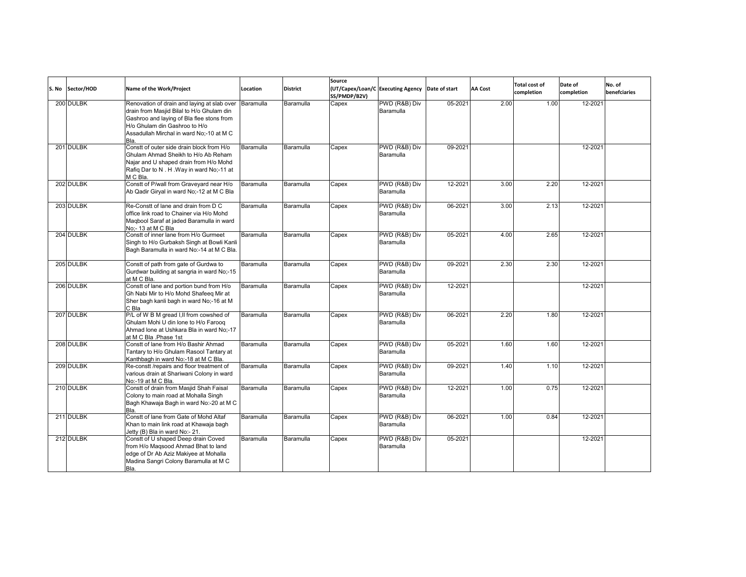| S. No Sector/HOD | Name of the Work/Project                                                                                                                                                                                                   | Location  | <b>District</b> | Source<br>SS/PMDP/B2V) | (UT/Capex/Loan/C Executing Agency Date of start |         | <b>AA Cost</b> | <b>Total cost of</b><br>completion | Date of<br>completion | No. of<br>benefciaries |
|------------------|----------------------------------------------------------------------------------------------------------------------------------------------------------------------------------------------------------------------------|-----------|-----------------|------------------------|-------------------------------------------------|---------|----------------|------------------------------------|-----------------------|------------------------|
| 200 DULBK        | Renovation of drain and laying at slab over<br>drain from Masjid Bilal to H/o Ghulam din<br>Gashroo and laying of Bla flee stons from<br>H/o Ghulam din Gashroo to H/o<br>Assadullah Mirchal in ward No;-10 at M C<br>Bla. | Baramulla | Baramulla       | Capex                  | PWD (R&B) Div<br>Baramulla                      | 05-2021 | 2.00           | 1.00                               | 12-2021               |                        |
| 201 DULBK        | Constt of outer side drain block from H/o<br>Ghulam Ahmad Sheikh to H/o Ab Reham<br>Najar and U shaped drain from H/o Mohd<br>Rafiq Dar to N. H. Way in ward No;-11 at<br>M C Bla.                                         | Baramulla | Baramulla       | Capex                  | PWD (R&B) Div<br>Baramulla                      | 09-2021 |                |                                    | 12-2021               |                        |
| 202 DULBK        | Constt of P/wall from Graveyard near H/o<br>Ab Qadir Giryal in ward No;-12 at M C Bla                                                                                                                                      | Baramulla | Baramulla       | Capex                  | PWD (R&B) Div<br>Baramulla                      | 12-2021 | 3.00           | 2.20                               | 12-2021               |                        |
| 203 DULBK        | Re-Constt of lane and drain from D C<br>office link road to Chainer via H/o Mohd<br>Maqbool Saraf at jaded Baramulla in ward<br>No:- 13 at M C Bla                                                                         | Baramulla | Baramulla       | Capex                  | PWD (R&B) Div<br>Baramulla                      | 06-2021 | 3.00           | 2.13                               | 12-2021               |                        |
| 204 DULBK        | Constt of inner lane from H/o Gurmeet<br>Singh to H/o Gurbaksh Singh at Bowli Kanli<br>Bagh Baramulla in ward No:-14 at M C Bla.                                                                                           | Baramulla | Baramulla       | Capex                  | PWD (R&B) Div<br>Baramulla                      | 05-2021 | 4.00           | 2.65                               | 12-2021               |                        |
| 205 DULBK        | Constt of path from gate of Gurdwa to<br>Gurdwar building at sangria in ward No;-15<br>at M C Bla.                                                                                                                         | Baramulla | Baramulla       | Capex                  | PWD (R&B) Div<br>Baramulla                      | 09-2021 | 2.30           | 2.30                               | 12-2021               |                        |
| 206 DULBK        | Constt of lane and portion bund from H/o<br>Gh Nabi Mir to H/o Mohd Shafeeq Mir at<br>Sher bagh kanli bagh in ward No;-16 at M<br>C Bla                                                                                    | Baramulla | Baramulla       | Capex                  | PWD (R&B) Div<br>Baramulla                      | 12-2021 |                |                                    | 12-2021               |                        |
| 207 DULBK        | P/L of W B M gread I, II from cowshed of<br>Ghulam Mohi U din lone to H/o Farooq<br>Ahmad lone at Ushkara Bla in ward No:-17<br>at M C Bla .Phase 1st                                                                      | Baramulla | Baramulla       | Capex                  | PWD (R&B) Div<br>Baramulla                      | 06-2021 | 2.20           | 1.80                               | 12-2021               |                        |
| 208 DULBK        | Constt of lane from H/o Bashir Ahmad<br>Tantary to H/o Ghulam Rasool Tantary at<br>Kanthbagh in ward No:-18 at M C Bla.                                                                                                    | Baramulla | Baramulla       | Capex                  | PWD (R&B) Div<br>Baramulla                      | 05-2021 | 1.60           | 1.60                               | 12-2021               |                        |
| 209 DULBK        | Re-constt /repairs and floor treatment of<br>various drain at Shariwani Colony in ward<br>No:-19 at M C Bla.                                                                                                               | Baramulla | Baramulla       | Capex                  | PWD (R&B) Div<br>Baramulla                      | 09-2021 | 1.40           | 1.10                               | 12-2021               |                        |
| 210 DULBK        | Constt of drain from Masjid Shah Faisal<br>Colony to main road at Mohalla Singh<br>Bagh Khawaja Bagh in ward No:-20 at M C<br>Bla.                                                                                         | Baramulla | Baramulla       | Capex                  | PWD (R&B) Div<br>Baramulla                      | 12-2021 | 1.00           | 0.75                               | 12-2021               |                        |
| 211 DULBK        | Constt of lane from Gate of Mohd Altaf<br>Khan to main link road at Khawaja bagh<br>Jetty (B) Bla in ward No:- 21.                                                                                                         | Baramulla | Baramulla       | Capex                  | PWD (R&B) Div<br>Baramulla                      | 06-2021 | 1.00           | 0.84                               | 12-2021               |                        |
| 212 DULBK        | Constt of U shaped Deep drain Coved<br>from H/o Maqsood Ahmad Bhat to land<br>edge of Dr Ab Aziz Makiyee at Mohalla<br>Madina Sangri Colony Baramulla at M C<br>Bla.                                                       | Baramulla | Baramulla       | Capex                  | PWD (R&B) Div<br>Baramulla                      | 05-2021 |                |                                    | 12-2021               |                        |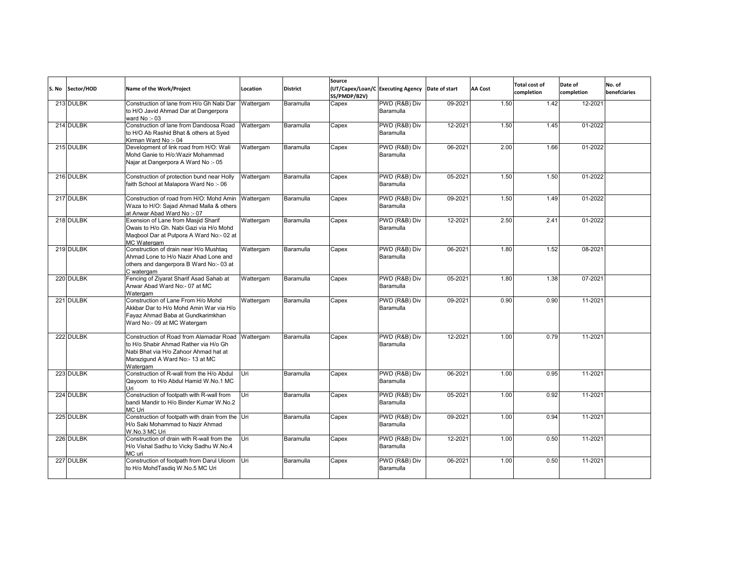| S. No Sector/HOD | Name of the Work/Project                                                                                                                                                           | Location  | <b>District</b> | Source<br>(UT/Capex/Loan/C Executing Agency<br>SS/PMDP/B2V) |                            | Date of start | AA Cost | <b>Total cost of</b><br>completion | Date of<br>completion | No. of<br>benefciaries |
|------------------|------------------------------------------------------------------------------------------------------------------------------------------------------------------------------------|-----------|-----------------|-------------------------------------------------------------|----------------------------|---------------|---------|------------------------------------|-----------------------|------------------------|
| 213 DULBK        | Construction of lane from H/o Gh Nabi Dar<br>to H/O Javid Ahmad Dar at Dangerpora<br>ward No :- 03                                                                                 | Wattergam | Baramulla       | Capex                                                       | PWD (R&B) Div<br>Baramulla | 09-2021       | 1.50    | 1.42                               | 12-2021               |                        |
| 214 DULBK        | Construction of lane from Dandoosa Road<br>to H/O Ab Rashid Bhat & others at Syed<br>Kirman Ward No:-04                                                                            | Wattergam | Baramulla       | Capex                                                       | PWD (R&B) Div<br>Baramulla | 12-2021       | 1.50    | 1.45                               | 01-2022               |                        |
| 215 DULBK        | Development of link road from H/O: Wali<br>Mohd Ganie to H/o: Wazir Mohammad<br>Najar at Dangerpora A Ward No :- 05                                                                | Wattergam | Baramulla       | Capex                                                       | PWD (R&B) Div<br>Baramulla | 06-2021       | 2.00    | 1.66                               | 01-2022               |                        |
| 216 DULBK        | Construction of protection bund near Holly<br>faith School at Malapora Ward No :- 06                                                                                               | Wattergam | Baramulla       | Capex                                                       | PWD (R&B) Div<br>Baramulla | 05-2021       | 1.50    | 1.50                               | 01-2022               |                        |
| 217 DULBK        | Construction of road from H/O: Mohd Amin<br>Waza to H/O: Sajad Ahmad Malla & others<br>at Anwar Abad Ward No :- 07                                                                 | Wattergam | Baramulla       | Capex                                                       | PWD (R&B) Div<br>Baramulla | 09-2021       | 1.50    | 1.49                               | 01-2022               |                        |
| 218 DULBK        | Exension of Lane from Masjid Sharif<br>Owais to H/o Gh. Nabi Gazi via H/o Mohd<br>Magbool Dar at Putpora A Ward No:- 02 at<br>MC Watergam                                          | Wattergam | Baramulla       | Capex                                                       | PWD (R&B) Div<br>Baramulla | 12-2021       | 2.50    | 2.41                               | 01-2022               |                        |
| 219 DULBK        | Construction of drain near H/o Mushtag<br>Ahmad Lone to H/o Nazir Ahad Lone and<br>others and dangerpora B Ward No:- 03 at<br>C watergam                                           | Wattergam | Baramulla       | Capex                                                       | PWD (R&B) Div<br>Baramulla | 06-2021       | 1.80    | 1.52                               | 08-2021               |                        |
| 220 DULBK        | Fencing of Ziyarat Sharif Asad Sahab at<br>Anwar Abad Ward No:- 07 at MC<br>Watergam                                                                                               | Wattergam | Baramulla       | Capex                                                       | PWD (R&B) Div<br>Baramulla | 05-2021       | 1.80    | 1.38                               | 07-2021               |                        |
| 221 DULBK        | Construction of Lane From H/o Mohd<br>Akkbar Dar to H/o Mohd Amin War via H/o<br>Fayaz Ahmad Baba at Gundkarimkhan<br>Ward No:- 09 at MC Watergam                                  | Wattergam | Baramulla       | Capex                                                       | PWD (R&B) Div<br>Baramulla | 09-2021       | 0.90    | 0.90                               | 11-2021               |                        |
| 222 DULBK        | Construction of Road from Alamadar Road Wattergam<br>to H/o Shabir Ahmad Rather via H/o Gh<br>Nabi Bhat via H/o Zahoor Ahmad hat at<br>Marazigund A Ward No:- 13 at MC<br>Watergam |           | Baramulla       | Capex                                                       | PWD (R&B) Div<br>Baramulla | 12-2021       | 1.00    | 0.79                               | 11-2021               |                        |
| 223 DULBK        | Construction of R-wall from the H/o Abdul<br>Qayoom to H/o Abdul Hamid W.No.1 MC<br>Uri                                                                                            | Uri       | Baramulla       | Capex                                                       | PWD (R&B) Div<br>Baramulla | 06-2021       | 1.00    | 0.95                               | 11-2021               |                        |
| 224 DULBK        | Construction of footpath with R-wall from<br>bandi Mandir to H/o Binder Kumar W.No.2<br>MC Uri                                                                                     | Uri       | Baramulla       | Capex                                                       | PWD (R&B) Div<br>Baramulla | 05-2021       | 1.00    | 0.92                               | 11-2021               |                        |
| 225 DULBK        | Construction of footpath with drain from the Uri<br>H/o Saki Mohammad to Nazir Ahmad<br>W.No.3 MC Uri                                                                              |           | Baramulla       | Capex                                                       | PWD (R&B) Div<br>Baramulla | 09-2021       | 1.00    | 0.94                               | 11-2021               |                        |
| 226 DULBK        | Construction of drain with R-wall from the<br>H/o Vishal Sadhu to Vicky Sadhu W.No.4<br>MC uri                                                                                     | Uri       | Baramulla       | Capex                                                       | PWD (R&B) Div<br>Baramulla | 12-2021       | 1.00    | 0.50                               | 11-2021               |                        |
| 227 DULBK        | Construction of footpath from Darul Uloom<br>to H/o MohdTasdiq W.No.5 MC Uri                                                                                                       | Uri       | Baramulla       | Capex                                                       | PWD (R&B) Div<br>Baramulla | 06-2021       | 1.00    | 0.50                               | 11-2021               |                        |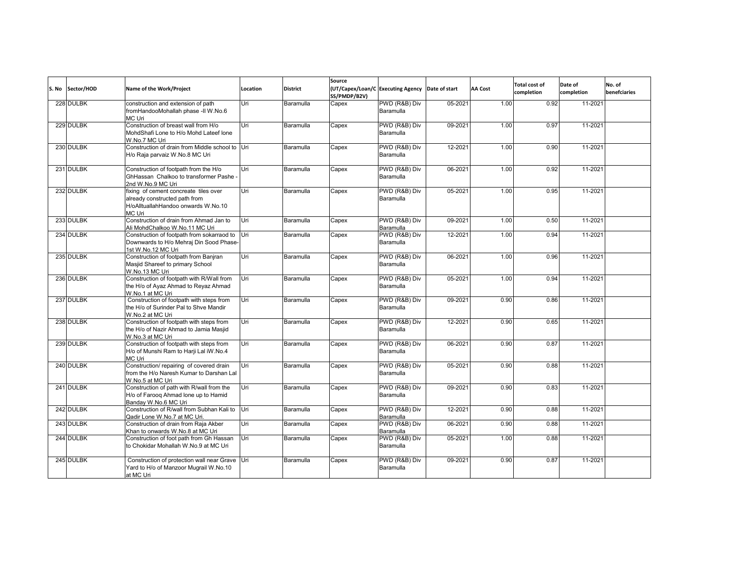| S. No | Sector/HOD | Name of the Work/Project                                                                                                | Location | <b>District</b> | Source<br>SS/PMDP/B2V) | (UT/Capex/Loan/C Executing Agency Date of start |         | <b>AA Cost</b> | <b>Total cost of</b><br>completion | Date of<br>completion | No. of<br>benefciaries |
|-------|------------|-------------------------------------------------------------------------------------------------------------------------|----------|-----------------|------------------------|-------------------------------------------------|---------|----------------|------------------------------------|-----------------------|------------------------|
|       | 228 DULBK  | construction and extension of path<br>fromHandooMohallah phase -II W.No.6<br>MC Uri                                     | Uri      | Baramulla       | Capex                  | PWD (R&B) Div<br>Baramulla                      | 05-2021 | 1.00           | 0.92                               | 11-2021               |                        |
|       | 229 DULBK  | Construction of breast wall from H/o<br>MohdShafi Lone to H/o Mohd Lateef lone<br>W.No.7 MC Uri                         | Uri      | Baramulla       | Capex                  | PWD (R&B) Div<br>Baramulla                      | 09-2021 | 1.00           | 0.97                               | 11-2021               |                        |
|       | 230 DULBK  | Construction of drain from Middle school to Uri<br>H/o Raja parvaiz W.No.8 MC Uri                                       |          | Baramulla       | Capex                  | PWD (R&B) Div<br>Baramulla                      | 12-2021 | 1.00           | 0.90                               | 11-2021               |                        |
|       | 231 DULBK  | Construction of footpath from the H/o<br>GhHassan Chalkoo to transformer Pashe -<br>2nd W.No.9 MC Uri                   | Uri      | Baramulla       | Capex                  | PWD (R&B) Div<br>Baramulla                      | 06-2021 | 1.00           | 0.92                               | 11-2021               |                        |
|       | 232 DULBK  | fixing of cement concreate tiles over<br>already constructed path from<br>H/oAlltuallahHandoo onwards W.No.10<br>MC Uri | Uri      | Baramulla       | Capex                  | PWD (R&B) Div<br>Baramulla                      | 05-2021 | 1.00           | 0.95                               | 11-2021               |                        |
|       | 233 DULBK  | Construction of drain from Ahmad Jan to<br>Ali MohdChalkoo W.No.11 MC Uri                                               | Uri      | Baramulla       | Capex                  | PWD (R&B) Div<br>Baramulla                      | 09-2021 | 1.00           | 0.50                               | 11-2021               |                        |
|       | 234 DULBK  | Construction of footpath from sokarraod to Uri<br>Downwards to H/o Mehraj Din Sood Phase-<br>1st W.No.12 MC Uri         |          | Baramulla       | Capex                  | PWD (R&B) Div<br>Baramulla                      | 12-2021 | 1.00           | 0.94                               | 11-2021               |                        |
|       | 235 DULBK  | Construction of footpath from Banjran<br>Masiid Shareef to primary School<br>W.No.13 MC Uri                             | Uri      | Baramulla       | Capex                  | PWD (R&B) Div<br>Baramulla                      | 06-2021 | 1.00           | 0.96                               | 11-2021               |                        |
|       | 236 DULBK  | Construction of footpath with R/Wall from<br>the H/o of Ayaz Ahmad to Reyaz Ahmad<br>W.No.1 at MC Uri                   | Uri      | Baramulla       | Capex                  | PWD (R&B) Div<br>Baramulla                      | 05-2021 | 1.00           | 0.94                               | 11-2021               |                        |
|       | 237 DULBK  | Construction of footpath with steps from<br>the H/o of Surinder Pal to Shve Mandir<br>W.No.2 at MC Uri                  | Uri      | Baramulla       | Capex                  | PWD (R&B) Div<br>Baramulla                      | 09-2021 | 0.90           | 0.86                               | 11-2021               |                        |
|       | 238 DULBK  | Construction of footpath with steps from<br>the H/o of Nazir Ahmad to Jamia Masjid<br>W.No.3 at MC Uri                  | Uri      | Baramulla       | Capex                  | PWD (R&B) Div<br>Baramulla                      | 12-2021 | 0.90           | 0.65                               | 11-2021               |                        |
|       | 239 DULBK  | Construction of footpath with steps from<br>H/o of Munshi Ram to Harji Lal iW.No.4<br>MC Uri                            | Uri      | Baramulla       | Capex                  | PWD (R&B) Div<br>Baramulla                      | 06-2021 | 0.90           | 0.87                               | 11-2021               |                        |
|       | 240 DULBK  | Construction/repairing of covered drain<br>from the H/o Naresh Kumar to Darshan Lal<br>W.No.5 at MC Uri                 | Uri      | Baramulla       | Capex                  | PWD (R&B) Div<br>Baramulla                      | 05-2021 | 0.90           | 0.88                               | 11-2021               |                        |
|       | 241 DULBK  | Construction of path with R/wall from the<br>H/o of Farooq Ahmad lone up to Hamid<br>Banday W.No.6 MC Uri               | Uri      | Baramulla       | Capex                  | PWD (R&B) Div<br>Baramulla                      | 09-2021 | 0.90           | 0.83                               | 11-2021               |                        |
|       | 242 DULBK  | Construction of R/wall from Subhan Kali to Uri<br>Qadir Lone W.No.7 at MC Uri.                                          |          | Baramulla       | Capex                  | PWD (R&B) Div<br>Baramulla                      | 12-2021 | 0.90           | 0.88                               | 11-2021               |                        |
|       | 243 DULBK  | Construction of drain from Raja Akber<br>Khan to onwards W.No.8 at MC Uri                                               | Uri      | Baramulla       | Capex                  | PWD (R&B) Div<br>Baramulla                      | 06-2021 | 0.90           | 0.88                               | 11-2021               |                        |
|       | 244 DULBK  | Construction of foot path from Gh Hassan<br>to Chokidar Mohallah W.No.9 at MC Uri                                       | Uri      | Baramulla       | Capex                  | PWD (R&B) Div<br>Baramulla                      | 05-2021 | 1.00           | 0.88                               | 11-2021               |                        |
|       | 245 DULBK  | Construction of protection wall near Grave Uri<br>Yard to H/o of Manzoor Mugrail W.No.10<br>at MC Uri                   |          | Baramulla       | Capex                  | PWD (R&B) Div<br>Baramulla                      | 09-2021 | 0.90           | 0.87                               | 11-2021               |                        |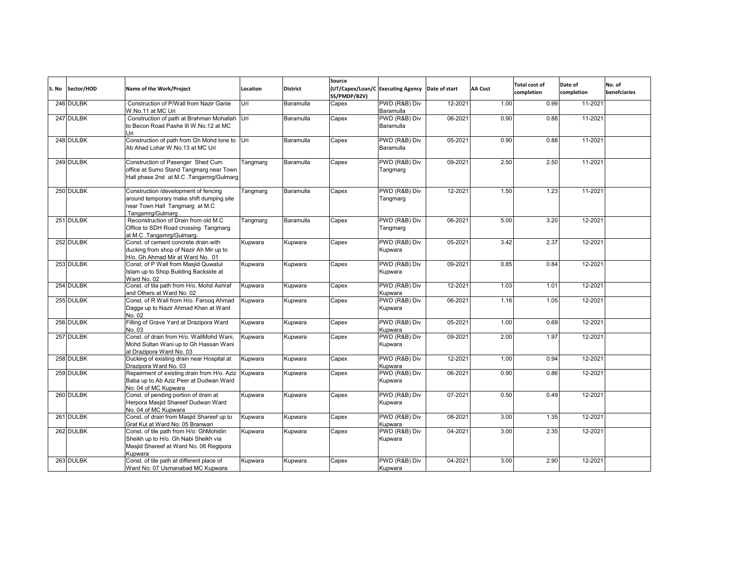| S. No | Sector/HOD | Name of the Work/Project                                                                                                               | Location | <b>District</b> | Source<br>(UT/Capex/Loan/C Executing Agency<br>SS/PMDP/B2V) |                            | Date of start | <b>AA Cost</b> | <b>Total cost of</b><br>completion | Date of<br>completion | No. of<br>benefciaries |
|-------|------------|----------------------------------------------------------------------------------------------------------------------------------------|----------|-----------------|-------------------------------------------------------------|----------------------------|---------------|----------------|------------------------------------|-----------------------|------------------------|
|       | 246 DULBK  | Construction of P/Wall from Nazir Ganie<br>W.No.11 at MC Uri                                                                           | Uri      | Baramulla       | Capex                                                       | PWD (R&B) Div<br>Baramulla | 12-2021       | 1.00           | 0.99                               | 11-2021               |                        |
|       | 247 DULBK  | Construction of path at Brahman Mohallah Uri<br>to Becon Road Pashe III W.No.12 at MC<br>Uri                                           |          | Baramulla       | Capex                                                       | PWD (R&B) Div<br>Baramulla | 06-2021       | 0.90           | 0.88                               | 11-2021               |                        |
|       | 248 DULBK  | Construction of path from Gh Mohd lone to Uri<br>Ab Ahad Lohar W.No.13 at MC Uri                                                       |          | Baramulla       | Capex                                                       | PWD (R&B) Div<br>Baramulla | 05-2021       | 0.90           | 0.88                               | 11-2021               |                        |
|       | 249 DULBK  | Construction of Pasenger Shed Cum<br>office at Sumo Stand Tangmarg near Town<br>Hall phase 2nd at M.C. Tangamrg/Gulmarg                | Tangmarg | Baramulla       | Capex                                                       | PWD (R&B) Div<br>Tangmarg  | 09-2021       | 2.50           | 2.50                               | 11-2021               |                        |
|       | 250 DULBK  | Construction /development of fencing<br>around temporary make shift dumping site<br>near Town Hall Tangmarg at M.C<br>Tangamrg/Gulmarg | Tangmarg | Baramulla       | Capex                                                       | PWD (R&B) Div<br>Tangmarg  | 12-2021       | 1.50           | 1.23                               | 11-2021               |                        |
|       | 251 DULBK  | Reconstruction of Drain from old M.C<br>Office to SDH Road crossing Tangmarg<br>at M.C .Tangamrg/Gulmarg.                              | Tangmarg | Baramulla       | Capex                                                       | PWD (R&B) Div<br>Tangmarg  | 06-2021       | 5.00           | 3.20                               | 12-2021               |                        |
|       | 252 DULBK  | Const. of cement concrete drain with<br>ducking from shop of Nazir Ah Mir up to<br>H/o. Gh Ahmad Mir at Ward No. 01                    | Kupwara  | Kupwara         | Capex                                                       | PWD (R&B) Div<br>Kupwara   | 05-2021       | 3.42           | 2.37                               | 12-2021               |                        |
|       | 253 DULBK  | Const. of P Wall from Masjid Quwatul<br>Islam up to Shop Building Backside at<br>Ward No. 02                                           | Kupwara  | Kupwara         | Capex                                                       | PWD (R&B) Div<br>Kupwara   | 09-2021       | 0.85           | 0.84                               | 12-2021               |                        |
|       | 254 DULBK  | Const. of tila path from H/o. Mohd Ashraf<br>and Others at Ward No. 02                                                                 | Kupwara  | Kupwara         | Capex                                                       | PWD (R&B) Div<br>Kupwara   | 12-2021       | 1.03           | 1.01                               | 12-2021               |                        |
|       | 255 DULBK  | Const. of R Wall from H/o. Faroog Ahmad<br>Dagga up to Nazir Ahmad Khan at Ward<br>No. 02                                              | Kupwara  | Kupwara         | Capex                                                       | PWD (R&B) Div<br>Kupwara   | 06-2021       | 1.16           | 1.05                               | 12-2021               |                        |
|       | 256 DULBK  | Filling of Grave Yard at Drazipora Ward<br>No. 03                                                                                      | Kupwara  | Kupwara         | Capex                                                       | PWD (R&B) Div<br>Kupwara   | 05-2021       | 1.00           | 0.69                               | 12-2021               |                        |
|       | 257 DULBK  | Const. of drain from H/o. WaliMohd Wani,<br>Mohd Sultan Wani up to Gh Hassan Wani<br>at Drazipora Ward No. 03                          | Kupwara  | Kupwara         | Capex                                                       | PWD (R&B) Div<br>Kupwara   | 09-2021       | 2.00           | 1.97                               | 12-2021               |                        |
|       | 258 DULBK  | Ducking of existing drain near Hospital at<br>Drazipora Ward No. 03                                                                    | Kupwara  | Kupwara         | Capex                                                       | PWD (R&B) Div<br>Kupwara   | 12-2021       | 1.00           | 0.94                               | 12-2021               |                        |
|       | 259 DULBK  | Repairment of existing drain from H/o. Aziz<br>Baba up to Ab Aziz Peer at Dudwan Ward<br>No: 04 of MC Kupwara                          | Kupwara  | Kupwara         | Capex                                                       | PWD (R&B) Div<br>Kupwara   | 06-2021       | 0.90           | 0.86                               | 12-2021               |                        |
|       | 260 DULBK  | Const. of pending portion of drain at<br>Herpora Masjid Shareef Dudwan Ward<br>No. 04 of MC Kupwara                                    | Kupwara  | Kupwara         | Capex                                                       | PWD (R&B) Div<br>Kupwara   | 07-2021       | 0.50           | 0.49                               | 12-2021               |                        |
|       | 261 DULBK  | Const. of drain from Masjid Shareef up to<br>Grat Kul at Ward No: 05 Branwari                                                          | Kupwara  | Kupwara         | Capex                                                       | PWD (R&B) Div<br>Kupwara   | 08-2021       | 3.00           | 1.35                               | 12-2021               |                        |
|       | 262 DULBK  | Const. of tile path from H/o: GhMohidin<br>Sheikh up to H/o. Gh Nabi Sheikh via<br>Masjid Shareef at Ward No. 06 Regipora<br>Kupwara   | Kupwara  | Kupwara         | Capex                                                       | PWD (R&B) Div<br>Kupwara   | 04-2021       | 3.00           | 2.35                               | 12-2021               |                        |
|       | 263 DULBK  | Const. of tile path at different place of<br>Ward No: 07 Usmanabad MC Kupwara                                                          | Kupwara  | Kupwara         | Capex                                                       | PWD (R&B) Div<br>Kupwara   | 04-2021       | 3.00           | 2.90                               | 12-2021               |                        |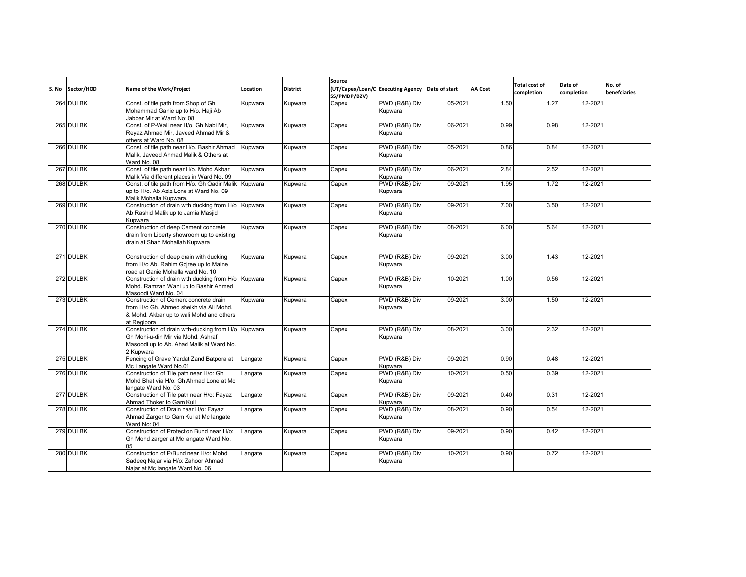| S. No | Sector/HOD | Name of the Work/Project                                                                                                                           | Location | <b>District</b> | Source<br>SS/PMDP/B2V) | (UT/Capex/Loan/C Executing Agency Date of start |         | <b>AA Cost</b> | <b>Total cost of</b><br>completion | Date of<br>completion | No. of<br>benefciaries |
|-------|------------|----------------------------------------------------------------------------------------------------------------------------------------------------|----------|-----------------|------------------------|-------------------------------------------------|---------|----------------|------------------------------------|-----------------------|------------------------|
|       | 264 DULBK  | Const. of tile path from Shop of Gh<br>Mohammad Ganie up to H/o. Haji Ab<br>Jabbar Mir at Ward No: 08                                              | Kupwara  | Kupwara         | Capex                  | PWD (R&B) Div<br>Kupwara                        | 05-2021 | 1.50           | 1.27                               | 12-2021               |                        |
|       | 265 DULBK  | Const, of P-Wall near H/o, Gh Nabi Mir.<br>Reyaz Ahmad Mir, Javeed Ahmad Mir &<br>others at Ward No. 08                                            | Kupwara  | Kupwara         | Capex                  | PWD (R&B) Div<br>Kupwara                        | 06-2021 | 0.99           | 0.98                               | 12-2021               |                        |
|       | 266 DULBK  | Const. of tile path near H/o. Bashir Ahmad<br>Malik, Javeed Ahmad Malik & Others at<br>Ward No. 08                                                 | Kupwara  | Kupwara         | Capex                  | PWD (R&B) Div<br>Kupwara                        | 05-2021 | 0.86           | 0.84                               | 12-2021               |                        |
|       | 267 DULBK  | Const. of tile path near H/o. Mohd Akbar<br>Malik Via different places in Ward No. 09                                                              | Kupwara  | Kupwara         | Capex                  | PWD (R&B) Div<br>Kupwara                        | 06-2021 | 2.84           | 2.52                               | 12-2021               |                        |
|       | 268 DULBK  | Const. of tile path from H/o. Gh Qadir Malik Kupwara<br>up to H/o. Ab Aziz Lone at Ward No. 09<br>Malik Mohalla Kupwara.                           |          | Kupwara         | Capex                  | PWD (R&B) Div<br>Kupwara                        | 09-2021 | 1.95           | 1.72                               | 12-2021               |                        |
|       | 269 DULBK  | Construction of drain with ducking from H/o Kupwara<br>Ab Rashid Malik up to Jamia Masjid<br>Kupwara                                               |          | Kupwara         | Capex                  | PWD (R&B) Div<br>Kupwara                        | 09-2021 | 7.00           | 3.50                               | 12-2021               |                        |
|       | 270 DULBK  | Construction of deep Cement concrete<br>drain from Liberty showroom up to existing<br>drain at Shah Mohallah Kupwara                               | Kupwara  | Kupwara         | Capex                  | PWD (R&B) Div<br>Kupwara                        | 08-2021 | 6.00           | 5.64                               | 12-2021               |                        |
|       | 271 DULBK  | Construction of deep drain with ducking<br>from H/o Ab. Rahim Gojree up to Maine<br>road at Ganie Mohalla ward No. 10                              | Kupwara  | Kupwara         | Capex                  | PWD (R&B) Div<br>Kupwara                        | 09-2021 | 3.00           | 1.43                               | 12-2021               |                        |
|       | 272 DULBK  | Construction of drain with ducking from H/o Kupwara<br>Mohd. Ramzan Wani up to Bashir Ahmed<br>Masoodi Ward No. 04                                 |          | Kupwara         | Capex                  | PWD (R&B) Div<br>Kupwara                        | 10-2021 | 1.00           | 0.56                               | 12-2021               |                        |
|       | 273 DULBK  | Construction of Cement concrete drain<br>from H/o Gh. Ahmed sheikh via Ali Mohd.<br>& Mohd. Akbar up to wali Mohd and others<br>at Regipora        | Kupwara  | Kupwara         | Capex                  | PWD (R&B) Div<br>Kupwara                        | 09-2021 | 3.00           | 1.50                               | 12-2021               |                        |
|       | 274 DULBK  | Construction of drain with-ducking from H/o Kupwara<br>Gh Mohi-u-din Mir via Mohd. Ashraf<br>Masoodi up to Ab. Ahad Malik at Ward No.<br>2 Kupwara |          | Kupwara         | Capex                  | PWD (R&B) Div<br>Kupwara                        | 08-2021 | 3.00           | 2.32                               | 12-2021               |                        |
|       | 275 DULBK  | Fencing of Grave Yardat Zand Batpora at<br>Mc Langate Ward No.01                                                                                   | Langate  | Kupwara         | Capex                  | PWD (R&B) Div<br>Kupwara                        | 09-2021 | 0.90           | 0.48                               | 12-2021               |                        |
|       | 276 DULBK  | Construction of Tile path near H/o: Gh<br>Mohd Bhat via H/o: Gh Ahmad Lone at Mc<br>langate Ward No. 03                                            | Langate  | Kupwara         | Capex                  | PWD (R&B) Div<br>Kupwara                        | 10-2021 | 0.50           | 0.39                               | 12-2021               |                        |
|       | 277 DULBK  | Construction of Tile path near H/o: Fayaz<br>Ahmad Thoker to Gam Kull                                                                              | Langate  | Kupwara         | Capex                  | PWD (R&B) Div<br>Kupwara                        | 09-2021 | 0.40           | 0.31                               | 12-2021               |                        |
|       | 278 DULBK  | Construction of Drain near H/o: Fayaz<br>Ahmad Zarger to Gam Kul at Mc langate<br>Ward No: 04                                                      | Langate  | Kupwara         | Capex                  | PWD (R&B) Div<br>Kupwara                        | 08-2021 | 0.90           | 0.54                               | 12-2021               |                        |
|       | 279 DULBK  | Construction of Protection Bund near H/o:<br>Gh Mohd zarger at Mc langate Ward No.<br>05                                                           | Langate  | Kupwara         | Capex                  | PWD (R&B) Div<br>Kupwara                        | 09-2021 | 0.90           | 0.42                               | 12-2021               |                        |
|       | 280 DULBK  | Construction of P/Bund near H/o: Mohd<br>Sadeeg Najar via H/o: Zahoor Ahmad<br>Najar at Mc langate Ward No. 06                                     | Langate  | Kupwara         | Capex                  | PWD (R&B) Div<br>Kupwara                        | 10-2021 | 0.90           | 0.72                               | 12-2021               |                        |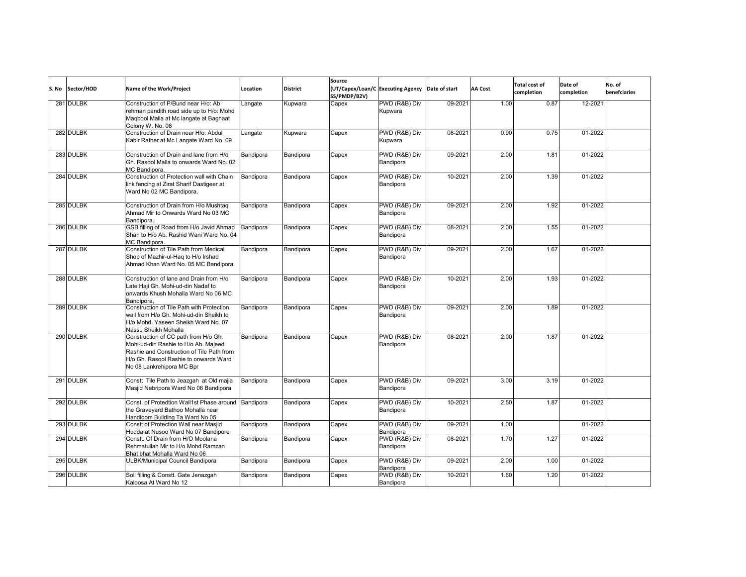| S. No | Sector/HOD | Name of the Work/Project                                                                                                                                                                        | Location  | <b>District</b> | Source<br>SS/PMDP/B2V) | (UT/Capex/Loan/C Executing Agency Date of start |         | <b>AA Cost</b> | <b>Total cost of</b><br>completion | Date of<br>completion | No. of<br>benefciaries |
|-------|------------|-------------------------------------------------------------------------------------------------------------------------------------------------------------------------------------------------|-----------|-----------------|------------------------|-------------------------------------------------|---------|----------------|------------------------------------|-----------------------|------------------------|
|       | 281 DULBK  | Construction of P/Bund near H/o: Ab<br>rehman pandith road side up to H/o: Mohd<br>Magbool Malla at Mc langate at Baghaat<br>Colony W. No. 08                                                   | Langate   | Kupwara         | Capex                  | PWD (R&B) Div<br>Kupwara                        | 09-2021 | 1.00           | 0.87                               | 12-2021               |                        |
|       | 282 DULBK  | Construction of Drain near H/o: Abdul<br>Kabir Rather at Mc Langate Ward No. 09                                                                                                                 | Langate   | Kupwara         | Capex                  | PWD (R&B) Div<br>Kupwara                        | 08-2021 | 0.90           | 0.75                               | 01-2022               |                        |
|       | 283 DULBK  | Construction of Drain and lane from H/o<br>Gh. Rasool Malla to onwards Ward No. 02<br>MC Bandipora                                                                                              | Bandipora | Bandipora       | Capex                  | PWD (R&B) Div<br>Bandipora                      | 09-2021 | 2.00           | 1.81                               | 01-2022               |                        |
|       | 284 DULBK  | Construction of Protection wall with Chain<br>link fencing at Zirat Sharif Dastigeer at<br>Ward No 02 MC Bandipora.                                                                             | Bandipora | Bandipora       | Capex                  | PWD (R&B) Div<br>Bandipora                      | 10-2021 | 2.00           | 1.39                               | 01-2022               |                        |
|       | 285 DULBK  | Construction of Drain from H/o Mushtag<br>Ahmad Mir to Onwards Ward No 03 MC<br>Bandipora.                                                                                                      | Bandipora | Bandipora       | Capex                  | PWD (R&B) Div<br>Bandipora                      | 09-2021 | 2.00           | 1.92                               | 01-2022               |                        |
|       | 286 DULBK  | GSB filling of Road from H/o Javid Ahmad<br>Shah to H/o Ab. Rashid Wani Ward No. 04<br>MC Bandipora.                                                                                            | Bandipora | Bandipora       | Capex                  | PWD (R&B) Div<br>Bandipora                      | 08-2021 | 2.00           | 1.55                               | 01-2022               |                        |
|       | 287 DULBK  | Construction of Tile Path from Medical<br>Shop of Mazhir-ul-Hag to H/o Irshad<br>Ahmad Khan Ward No. 05 MC Bandipora.                                                                           | Bandipora | Bandipora       | Capex                  | PWD (R&B) Div<br>Bandipora                      | 09-2021 | 2.00           | 1.67                               | 01-2022               |                        |
|       | 288 DULBK  | Construction of lane and Drain from H/o<br>Late Haji Gh. Mohi-ud-din Nadaf to<br>onwards Khush Mohalla Ward No 06 MC<br>Bandipora.                                                              | Bandipora | Bandipora       | Capex                  | PWD (R&B) Div<br>Bandipora                      | 10-2021 | 2.00           | 1.93                               | 01-2022               |                        |
|       | 289 DULBK  | Construction of Tile Path with Protection<br>wall from H/o Gh. Mohi-ud-din Sheikh to<br>H/o Mohd. Yaseen Sheikh Ward No. 07<br>Nassu Sheikh Mohalla                                             | Bandipora | Bandipora       | Capex                  | PWD (R&B) Div<br>Bandipora                      | 09-2021 | 2.00           | 1.89                               | 01-2022               |                        |
|       | 290 DULBK  | Construction of CC path from H/o Gh.<br>Mohi-ud-din Rashie to H/o Ab. Majeed<br>Rashie and Construction of Tile Path from<br>H/o Gh. Rasool Rashie to onwards Ward<br>No 08 Lankrehipora MC Bpr | Bandipora | Bandipora       | Capex                  | PWD (R&B) Div<br>Bandipora                      | 08-2021 | 2.00           | 1.87                               | 01-2022               |                        |
|       | 291 DULBK  | Constt Tile Path to Jeazgah at Old majia<br>Masjid Nebripora Ward No 06 Bandipora                                                                                                               | Bandipora | Bandipora       | Capex                  | PWD (R&B) Div<br>Bandipora                      | 09-2021 | 3.00           | 3.19                               | $01 - 2022$           |                        |
|       | 292 DULBK  | Const. of Protedtion Wall1st Phase around Bandipora<br>the Graveyard Bathoo Mohalla near<br>Handloom Building Ta Ward No 05                                                                     |           | Bandipora       | Capex                  | PWD (R&B) Div<br>Bandipora                      | 10-2021 | 2.50           | 1.87                               | 01-2022               |                        |
|       | 293 DULBK  | Constt of Protection Wall near Masjid<br>Hudda at Nusoo Ward No 07 Bandipore                                                                                                                    | Bandipora | Bandipora       | Capex                  | PWD (R&B) Div<br>Bandipora                      | 09-2021 | 1.00           |                                    | 01-2022               |                        |
|       | 294 DULBK  | Constt. Of Drain from H/O Moolana<br>Rehmatullah Mir to H/o Mohd Ramzan<br>Bhat bhat Mohalla Ward No 06                                                                                         | Bandipora | Bandipora       | Capex                  | PWD (R&B) Div<br>Bandipora                      | 08-2021 | 1.70           | 1.27                               | 01-2022               |                        |
|       | 295 DULBK  | ULBK/Municipal Council Bandipora                                                                                                                                                                | Bandipora | Bandipora       | Capex                  | PWD (R&B) Div<br>Bandipora                      | 09-2021 | 2.00           | 1.00                               | 01-2022               |                        |
|       | 296 DULBK  | Soil filling & Constt. Gate Jenazgah<br>Kaloosa At Ward No 12                                                                                                                                   | Bandipora | Bandipora       | Capex                  | PWD (R&B) Div<br>Bandipora                      | 10-2021 | 1.60           | 1.20                               | 01-2022               |                        |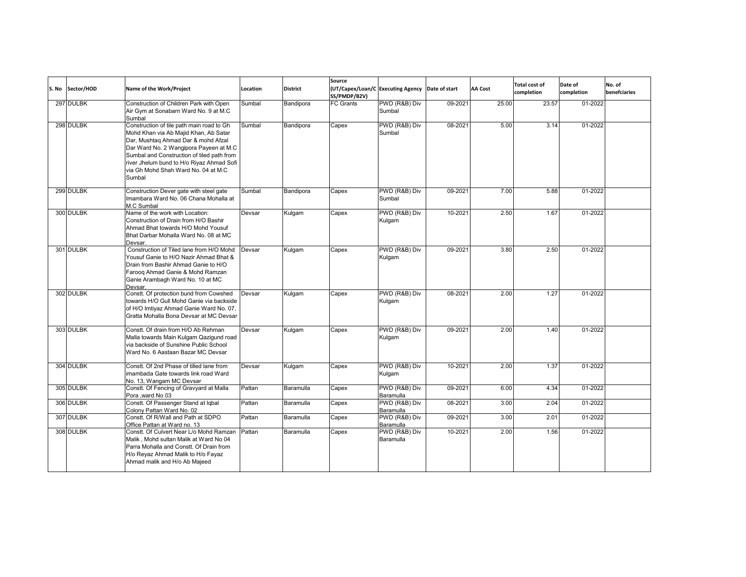| S. No | Sector/HOD | Name of the Work/Project                                                                                                                                                                                                                                                                                        | Location | <b>District</b> | Source<br>SS/PMDP/B2V) | (UT/Capex/Loan/C Executing Agency Date of start |         | <b>AA Cost</b> | <b>Total cost of</b><br>completion | Date of<br>completion | No. of<br>benefciaries |
|-------|------------|-----------------------------------------------------------------------------------------------------------------------------------------------------------------------------------------------------------------------------------------------------------------------------------------------------------------|----------|-----------------|------------------------|-------------------------------------------------|---------|----------------|------------------------------------|-----------------------|------------------------|
|       | 297 DULBK  | Construction of Children Park with Open<br>Air Gym at Sonabarn Ward No. 9 at M.C<br>Sumbal                                                                                                                                                                                                                      | Sumbal   | Bandipora       | <b>FC Grants</b>       | PWD (R&B) Div<br>Sumbal                         | 09-2021 | 25.00          | 23.57                              | $01 - 2022$           |                        |
|       | 298 DULBK  | Construction of tile path main road to Gh<br>Mohd Khan via Ab Majid Khan, Ab Satar<br>Dar, Mushtaq Ahmad Dar & mohd Afzal<br>Dar Ward No. 2 Wangipora Payeen at M.C<br>Sumbal and Construction of tiled path from<br>river Jhelum bund to H/o Riyaz Ahmad Sofi<br>via Gh Mohd Shah Ward No. 04 at M.C<br>Sumbal | Sumbal   | Bandipora       | Capex                  | PWD (R&B) Div<br>Sumbal                         | 08-2021 | 5.00           | 3.14                               | 01-2022               |                        |
|       | 299 DULBK  | Construction Dever gate with steel gate<br>Imambara Ward No. 06 Chana Mohalla at<br>M.C Sumbal                                                                                                                                                                                                                  | Sumbal   | Bandipora       | Capex                  | PWD (R&B) Div<br>Sumbal                         | 09-2021 | 7.00           | 5.88                               | 01-2022               |                        |
|       | 300 DULBK  | Name of the work with Location:<br>Construction of Drain from H/O Bashir<br>Ahmad Bhat towards H/O Mohd Yousuf<br>Bhat Darbar Mohalla Ward No. 08 at MC<br>Devsar.                                                                                                                                              | Devsar   | Kulgam          | Capex                  | PWD (R&B) Div<br>Kulgam                         | 10-2021 | 2.50           | 1.67                               | 01-2022               |                        |
|       | 301 DULBK  | Construction of Tiled lane from H/O Mohd<br>Yousuf Ganie to H/O Nazir Ahmad Bhat &<br>Drain from Bashir Ahmad Ganie to H/O<br>Faroog Ahmad Ganie & Mohd Ramzan<br>Ganie Arambagh Ward No. 10 at MC<br>Devsar.                                                                                                   | Devsar   | Kulgam          | Capex                  | PWD (R&B) Div<br>Kulgam                         | 09-2021 | 3.80           | 2.50                               | 01-2022               |                        |
|       | 302 DULBK  | Constt. Of protection bund from Cowshed<br>towards H/O Gull Mohd Ganie via backside<br>of H/O Imtiyaz Ahmad Ganie Ward No. 07,<br>Gratta Mohalla Bona Devsar at MC Devsar                                                                                                                                       | Devsar   | Kulgam          | Capex                  | PWD (R&B) Div<br>Kulgam                         | 08-2021 | 2.00           | 1.27                               | 01-2022               |                        |
|       | 303 DULBK  | Constt. Of drain from H/O Ab Rehman<br>Malla towards Main Kulgam Qazigund road<br>via backside of Sunshine Public School<br>Ward No. 6 Aastaan Bazar MC Devsar                                                                                                                                                  | Devsar   | Kulgam          | Capex                  | PWD (R&B) Div<br>Kulgam                         | 09-2021 | 2.00           | 1.40                               | 01-2022               |                        |
|       | 304 DULBK  | Constt. Of 2nd Phase of tilled lane from<br>imambada Gate towards link road Ward<br>No. 13. Wangam MC Devsar                                                                                                                                                                                                    | Devsar   | Kulgam          | Capex                  | PWD (R&B) Div<br>Kulgam                         | 10-2021 | 2.00           | 1.37                               | 01-2022               |                        |
|       | 305 DULBK  | Constt. Of Fencing of Gravyard at Malla<br>Pora .ward No 03                                                                                                                                                                                                                                                     | Pattan   | Baramulla       | Capex                  | PWD (R&B) Div<br>Baramulla                      | 09-2021 | 6.00           | 4.34                               | 01-2022               |                        |
|       | 306 DULBK  | Constt. Of Passenger Stand at Igbal<br>Colony Pattan Ward No. 02                                                                                                                                                                                                                                                | Pattan   | Baramulla       | Capex                  | PWD (R&B) Div<br>Baramulla                      | 08-2021 | 3.00           | 2.04                               | 01-2022               |                        |
|       | 307 DULBK  | Constt. Of R/Wall and Path at SDPO<br>Office Pattan at Ward no. 13                                                                                                                                                                                                                                              | Pattan   | Baramulla       | Capex                  | PWD (R&B) Div<br>Baramulla                      | 09-2021 | 3.00           | 2.01                               | 01-2022               |                        |
|       | 308 DULBK  | Constt. Of Culvert Near L/o Mohd Ramzan<br>Malik, Mohd sultan Malik at Ward No 04<br>Parra Mohalla and Constt. Of Drain from<br>H/o Reyaz Ahmad Malik to H/o Fayaz<br>Ahmad malik and H/o Ab Majeed                                                                                                             | Pattan   | Baramulla       | Capex                  | PWD (R&B) Div<br>Baramulla                      | 10-2021 | 2.00           | 1.56                               | 01-2022               |                        |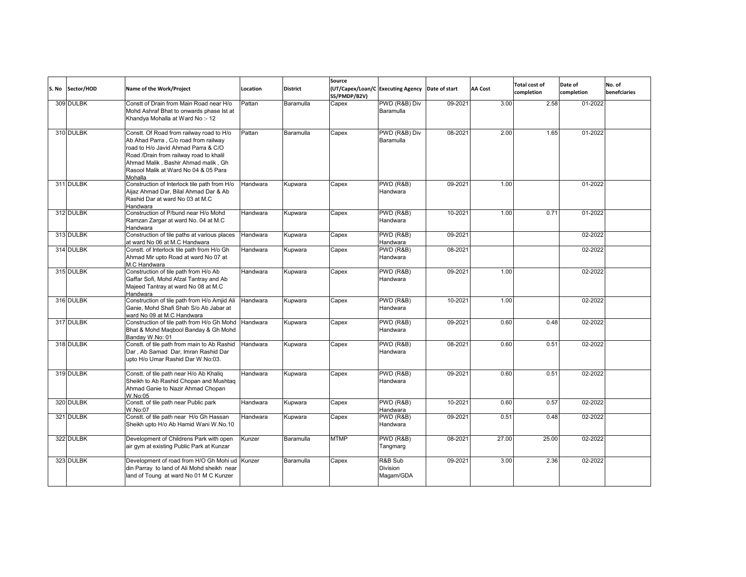| S. No | Sector/HOD | <b>Name of the Work/Project</b>                                                                                                                                                                                                                              | Location | <b>District</b> | Source<br>SS/PMDP/B2V) | (UT/Capex/Loan/C Executing Agency Date of start |         | <b>AA Cost</b> | <b>Total cost of</b><br>completion | Date of<br>completion | No. of<br>benefciaries |
|-------|------------|--------------------------------------------------------------------------------------------------------------------------------------------------------------------------------------------------------------------------------------------------------------|----------|-----------------|------------------------|-------------------------------------------------|---------|----------------|------------------------------------|-----------------------|------------------------|
|       | 309 DULBK  | Constt of Drain from Main Road near H/o<br>Mohd Ashraf Bhat to onwards phase Ist at<br>Khandya Mohalla at Ward No:-12                                                                                                                                        | Pattan   | Baramulla       | Capex                  | PWD (R&B) Div<br>Baramulla                      | 09-2021 | 3.00           | 2.58                               | 01-2022               |                        |
|       | 310 DULBK  | Constt. Of Road from railway road to H/o<br>Ab Ahad Parra, C/o road from railway<br>road to H/o Javid Ahmad Parra & C/O<br>Road /Drain from railway road to khalil<br>Ahmad Malik, Bashir Ahmad malik, Gh<br>Rasool Malik at Ward No 04 & 05 Para<br>Mohalla | Pattan   | Baramulla       | Capex                  | PWD (R&B) Div<br>Baramulla                      | 08-2021 | 2.00           | 1.65                               | 01-2022               |                        |
|       | 311 DULBK  | Construction of Interlock tile path from H/o<br>Aijaz Ahmad Dar, Bilal Ahmad Dar & Ab<br>Rashid Dar at ward No 03 at M.C.<br>Handwara                                                                                                                        | Handwara | Kupwara         | Capex                  | PWD (R&B)<br>Handwara                           | 09-2021 | 1.00           |                                    | 01-2022               |                        |
|       | 312 DULBK  | Construction of P/bund near H/o Mohd<br>Ramzan Zargar at ward No. 04 at M.C<br>Handwara                                                                                                                                                                      | Handwara | Kupwara         | Capex                  | PWD (R&B)<br>Handwara                           | 10-2021 | 1.00           | 0.71                               | 01-2022               |                        |
|       | 313 DULBK  | Construction of tile paths at various places<br>at ward No 06 at M.C Handwara                                                                                                                                                                                | Handwara | Kupwara         | Capex                  | PWD (R&B)<br>Handwara                           | 09-2021 |                |                                    | 02-2022               |                        |
|       | 314 DULBK  | Constt. of Interlock tile path from H/o Gh<br>Ahmad Mir upto Road at ward No 07 at<br>M.C Handwara                                                                                                                                                           | Handwara | Kupwara         | Capex                  | PWD (R&B)<br>Handwara                           | 08-2021 |                |                                    | 02-2022               |                        |
|       | 315 DULBK  | Construction of tile path from H/o Ab<br>Gaffar Sofi, Mohd Afzal Tantray and Ab<br>Majeed Tantray at ward No 08 at M.C<br>Handwara                                                                                                                           | Handwara | Kupwara         | Capex                  | PWD (R&B)<br>Handwara                           | 09-2021 | 1.00           |                                    | 02-2022               |                        |
|       | 316 DULBK  | Construction of tile path from H/o Amjid Ali<br>Ganie, Mohd Shafi Shah S/o Ab Jabar at<br>ward No 09 at M.C Handwara                                                                                                                                         | Handwara | Kupwara         | Capex                  | PWD (R&B)<br>Handwara                           | 10-2021 | 1.00           |                                    | 02-2022               |                        |
|       | 317 DULBK  | Construction of tile path from H/o Gh Mohd Handwara<br>Bhat & Mohd Magbool Banday & Gh Mohd<br>Banday W.No: 01                                                                                                                                               |          | Kupwara         | Capex                  | PWD (R&B)<br>Handwara                           | 09-2021 | 0.60           | 0.48                               | 02-2022               |                        |
|       | 318 DULBK  | Constt. of tile path from main to Ab Rashid<br>Dar, Ab Samad Dar, Imran Rashid Dar<br>upto H/o Umar Rashid Dar W.No:03.                                                                                                                                      | Handwara | <b>Kupwara</b>  | Capex                  | PWD (R&B)<br>Handwara                           | 08-2021 | 0.60           | 0.51                               | 02-2022               |                        |
|       | 319 DULBK  | Constt. of tile path near H/o Ab Khaliq<br>Sheikh to Ab Rashid Chopan and Mushtaq<br>Ahmad Ganie to Nazir Ahmad Chopan<br>W.No:05                                                                                                                            | Handwara | Kupwara         | Capex                  | PWD (R&B)<br>Handwara                           | 09-2021 | 0.60           | 0.51                               | 02-2022               |                        |
|       | 320 DULBK  | Constt. of tile path near Public park<br>W.No:07                                                                                                                                                                                                             | Handwara | Kupwara         | Capex                  | PWD (R&B)<br>Handwara                           | 10-2021 | 0.60           | 0.57                               | 02-2022               |                        |
|       | 321 DULBK  | Constt. of tile path near H/o Gh Hassan<br>Sheikh upto H/o Ab Hamid Wani W.No.10                                                                                                                                                                             | Handwara | Kupwara         | Capex                  | $\overline{\text{PWD}}$ (R&B)<br>Handwara       | 09-2021 | 0.51           | 0.48                               | 02-2022               |                        |
|       | 322 DULBK  | Development of Childrens Park with open<br>air gym at existing Public Park at Kunzar                                                                                                                                                                         | Kunzer   | Baramulla       | <b>MTMP</b>            | <b>PWD (R&amp;B)</b><br>Tangmarg                | 08-2021 | 27.00          | 25.00                              | 02-2022               |                        |
|       | 323 DULBK  | Development of road from H/O Gh Mohi ud Kunzer<br>din Parray to land of Ali Mohd sheikh near<br>land of Toung at ward No 01 M C Kunzer                                                                                                                       |          | Baramulla       | Capex                  | R&B Sub<br><b>Division</b><br>Magam/GDA         | 09-2021 | 3.00           | 2.36                               | 02-2022               |                        |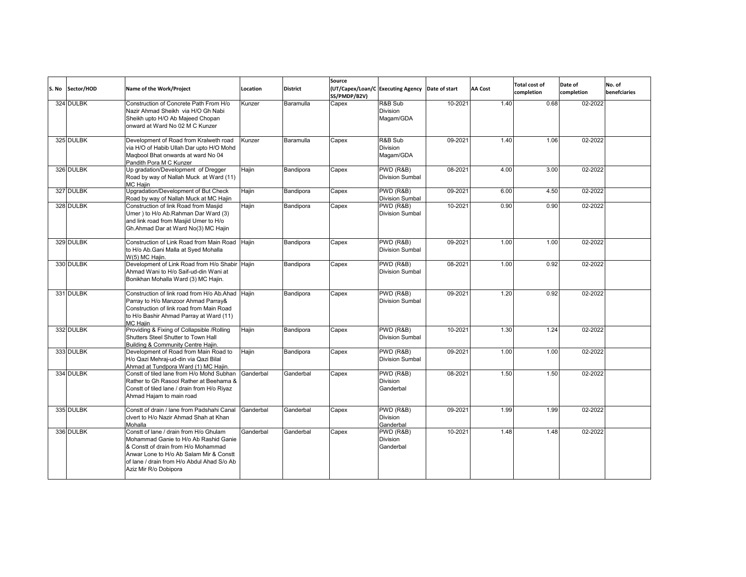| S. No | Sector/HOD | Name of the Work/Project                                                                                                                                                                                                                 | Location  | <b>District</b> | Source<br>SS/PMDP/B2V) | (UT/Capex/Loan/C Executing Agency Date of start |         | <b>AA Cost</b> | <b>Total cost of</b><br>completion | Date of<br>completion | No. of<br>benefciaries |
|-------|------------|------------------------------------------------------------------------------------------------------------------------------------------------------------------------------------------------------------------------------------------|-----------|-----------------|------------------------|-------------------------------------------------|---------|----------------|------------------------------------|-----------------------|------------------------|
|       | 324 DULBK  | Construction of Concrete Path From H/o<br>Nazir Ahmad Sheikh via H/O Gh Nabi<br>Sheikh upto H/O Ab Majeed Chopan<br>onward at Ward No 02 M C Kunzer                                                                                      | Kunzer    | Baramulla       | Capex                  | R&B Sub<br><b>Division</b><br>Magam/GDA         | 10-2021 | 1.40           | 0.68                               | 02-2022               |                        |
|       | 325 DULBK  | Development of Road from Kralweth road<br>via H/O of Habib Ullah Dar upto H/O Mohd<br>Magbool Bhat onwards at ward No 04<br>Pandith Pora M C Kunzer                                                                                      | Kunzer    | Baramulla       | Capex                  | R&B Sub<br><b>Division</b><br>Magam/GDA         | 09-2021 | 1.40           | 1.06                               | 02-2022               |                        |
|       | 326 DULBK  | Up gradation/Development of Dregger<br>Road by way of Nallah Muck at Ward (11)<br>MC Haiin                                                                                                                                               | Hajin     | Bandipora       | Capex                  | PWD (R&B)<br><b>Division Sumbal</b>             | 08-2021 | 4.00           | 3.00                               | 02-2022               |                        |
|       | 327 DULBK  | Upgradation/Development of But Check<br>Road by way of Nallah Muck at MC Hajin                                                                                                                                                           | Hajin     | Bandipora       | Capex                  | PWD (R&B)<br>Division Sumbal                    | 09-2021 | 6.00           | 4.50                               | 02-2022               |                        |
|       | 328 DULBK  | Construction of link Road from Masjid<br>Umer) to H/o Ab.Rahman Dar Ward (3)<br>and link road from Masjid Umer to H/o<br>Gh.Ahmad Dar at Ward No(3) MC Hajin                                                                             | Hajin     | Bandipora       | Capex                  | PWD (R&B)<br><b>Division Sumbal</b>             | 10-2021 | 0.90           | 0.90                               | 02-2022               |                        |
|       | 329 DULBK  | Construction of Link Road from Main Road Haiin<br>to H/o Ab.Gani Malla at Syed Mohalla<br>W(5) MC Hajin.                                                                                                                                 |           | Bandipora       | Capex                  | PWD (R&B)<br><b>Division Sumbal</b>             | 09-2021 | 1.00           | 1.00                               | 02-2022               |                        |
|       | 330 DULBK  | Development of Link Road from H/o Shabir Hajin<br>Ahmad Wani to H/o Saif-ud-din Wani at<br>Bonikhan Mohalla Ward (3) MC Hajin.                                                                                                           |           | Bandipora       | Capex                  | PWD (R&B)<br><b>Division Sumbal</b>             | 08-2021 | 1.00           | 0.92                               | 02-2022               |                        |
|       | 331 DULBK  | Construction of link road from H/o Ab.Ahad Haiin<br>Parray to H/o Manzoor Ahmad Parray&<br>Construction of link road from Main Road<br>to H/o Bashir Ahmad Parray at Ward (11)<br><b>MC Haiin</b>                                        |           | Bandipora       | Capex                  | PWD (R&B)<br><b>Division Sumbal</b>             | 09-2021 | 1.20           | 0.92                               | 02-2022               |                        |
|       | 332 DULBK  | Providing & Fixing of Collapsible / Rolling<br>Shutters Steel Shutter to Town Hall<br>Building & Community Centre Hajin.                                                                                                                 | Hajin     | Bandipora       | Capex                  | PWD (R&B)<br><b>Division Sumbal</b>             | 10-2021 | 1.30           | 1.24                               | 02-2022               |                        |
|       | 333 DULBK  | Development of Road from Main Road to<br>H/o Qazi Mehraj-ud-din via Qazi Bilal<br>Ahmad at Tundpora Ward (1) MC Hajin.                                                                                                                   | Hajin     | Bandipora       | Capex                  | PWD (R&B)<br><b>Division Sumbal</b>             | 09-2021 | 1.00           | 1.00                               | 02-2022               |                        |
|       | 334 DULBK  | Constt of tiled lane from H/o Mohd Subhan<br>Rather to Gh Rasool Rather at Beehama &<br>Constt of tiled lane / drain from H/o Riyaz<br>Ahmad Hajam to main road                                                                          | Ganderbal | Ganderbal       | Capex                  | PWD (R&B)<br><b>Division</b><br>Ganderbal       | 08-2021 | 1.50           | 1.50                               | 02-2022               |                        |
|       | 335 DULBK  | Constt of drain / lane from Padshahi Canal<br>civert to H/o Nazir Ahmad Shah at Khan<br>Mohalla                                                                                                                                          | Ganderbal | Ganderbal       | Capex                  | PWD (R&B)<br><b>Division</b><br>Ganderbal       | 09-2021 | 1.99           | 1.99                               | 02-2022               |                        |
|       | 336 DULBK  | Constt of lane / drain from H/o Ghulam<br>Mohammad Ganie to H/o Ab Rashid Ganie<br>& Constt of drain from H/o Mohammad<br>Anwar Lone to H/o Ab Salam Mir & Constt<br>of lane / drain from H/o Abdul Ahad S/o Ab<br>Aziz Mir R/o Dobipora | Ganderbal | Ganderbal       | Capex                  | PWD (R&B)<br>Division<br>Ganderbal              | 10-2021 | 1.48           | 1.48                               | 02-2022               |                        |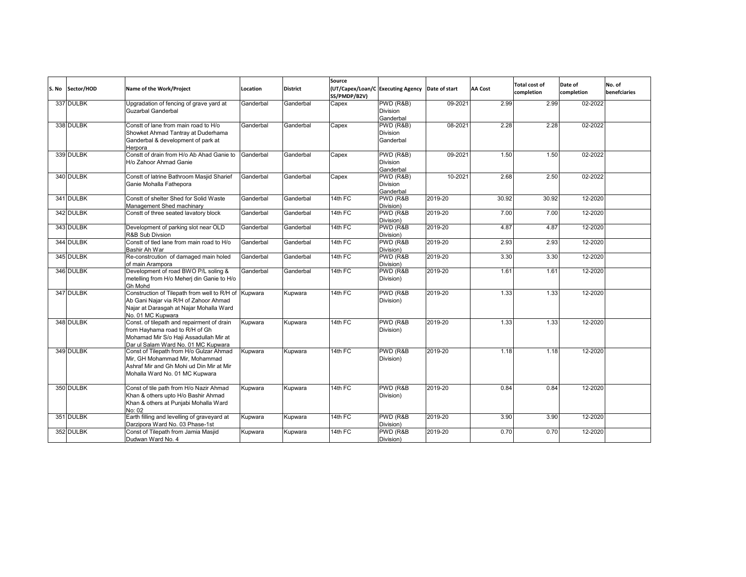| S. No | Sector/HOD | Name of the Work/Project                                                                                                                                      | Location  | <b>District</b> | Source<br>SS/PMDP/B2V) | (UT/Capex/Loan/C Executing Agency Date of start |         | <b>AA Cost</b> | <b>Total cost of</b><br>completion | Date of<br>completion | No. of<br>benefciaries |
|-------|------------|---------------------------------------------------------------------------------------------------------------------------------------------------------------|-----------|-----------------|------------------------|-------------------------------------------------|---------|----------------|------------------------------------|-----------------------|------------------------|
|       | 337 DULBK  | Upgradation of fencing of grave yard at<br><b>Guzarbal Ganderbal</b>                                                                                          | Ganderbal | Ganderbal       | Capex                  | PWD (R&B)<br><b>Division</b><br>Ganderbal       | 09-2021 | 2.99           | 2.99                               | 02-2022               |                        |
|       | 338 DULBK  | Constt of lane from main road to H/o<br>Showket Ahmad Tantray at Duderhama<br>Ganderbal & development of park at<br>Herpora                                   | Ganderbal | Ganderbal       | Capex                  | PWD (R&B)<br><b>Division</b><br>Ganderbal       | 08-2021 | 2.28           | 2.28                               | 02-2022               |                        |
|       | 339 DULBK  | Constt of drain from H/o Ab Ahad Ganie to<br>H/o Zahoor Ahmad Ganie                                                                                           | Ganderbal | Ganderbal       | Capex                  | PWD (R&B)<br>Division<br>Ganderbal              | 09-2021 | 1.50           | 1.50                               | 02-2022               |                        |
|       | 340 DULBK  | Constt of latrine Bathroom Masjid Sharief<br>Ganie Mohalla Fathepora                                                                                          | Ganderbal | Ganderbal       | Capex                  | PWD (R&B)<br>Division<br>Ganderbal              | 10-2021 | 2.68           | 2.50                               | 02-2022               |                        |
|       | 341 DULBK  | Constt of shelter Shed for Solid Waste<br>Management Shed machinary                                                                                           | Ganderbal | Ganderbal       | 14th FC                | PWD (R&B<br>Division)                           | 2019-20 | 30.92          | 30.92                              | 12-2020               |                        |
|       | 342 DULBK  | Constt of three seated lavatory block                                                                                                                         | Ganderbal | Ganderbal       | 14th FC                | PWD (R&B<br>Division)                           | 2019-20 | 7.00           | 7.00                               | 12-2020               |                        |
|       | 343 DULBK  | Development of parking slot near OLD<br>R&B Sub Divsion                                                                                                       | Ganderbal | Ganderbal       | 14th FC                | PWD (R&B<br>Division)                           | 2019-20 | 4.87           | 4.87                               | 12-2020               |                        |
|       | 344 DULBK  | Constt of tled lane from main road to H/o<br>Bashir Ah War                                                                                                    | Ganderbal | Ganderbal       | 14th FC                | PWD (R&B<br>Division)                           | 2019-20 | 2.93           | 2.93                               | 12-2020               |                        |
|       | 345 DULBK  | Re-constrcution of damaged main holed<br>of main Arampora                                                                                                     | Ganderbal | Ganderbal       | 14th FC                | PWD (R&B<br>Division)                           | 2019-20 | 3.30           | 3.30                               | 12-2020               |                        |
|       | 346 DULBK  | Development of road BWO P/L soling &<br>metelling from H/o Meherj din Ganie to H/o<br>Gh Mohd                                                                 | Ganderbal | Ganderbal       | 14th FC                | PWD (R&B<br>Division)                           | 2019-20 | 1.61           | 1.61                               | 12-2020               |                        |
|       | 347 DULBK  | Construction of Tilepath from well to R/H of<br>Ab Gani Najar via R/H of Zahoor Ahmad<br>Najar at Darasgah at Najar Mohalla Ward<br>No. 01 MC Kupwara         | Kupwara   | Kupwara         | 14th FC                | PWD (R&B<br>Division)                           | 2019-20 | 1.33           | 1.33                               | 12-2020               |                        |
|       | 348 DULBK  | Const. of tilepath and repairment of drain<br>from Hayhama road to R/H of Gh<br>Mohamad Mir S/o Haji Assadullah Mir at<br>Dar ul Salam Ward No. 01 MC Kupwara | Kupwara   | Kupwara         | 14th FC                | PWD (R&B<br>Division)                           | 2019-20 | 1.33           | 1.33                               | 12-2020               |                        |
|       | 349 DULBK  | Const of Tilepath from H/o Gulzar Ahmad<br>Mir, GH Mohammad Mir, Mohammad<br>Ashraf Mir and Gh Mohi ud Din Mir at Mir<br>Mohalla Ward No. 01 MC Kupwara       | Kupwara   | Kupwara         | 14th FC                | PWD (R&B<br>Division)                           | 2019-20 | 1.18           | 1.18                               | 12-2020               |                        |
|       | 350 DULBK  | Const of tile path from H/o Nazir Ahmad<br>Khan & others upto H/o Bashir Ahmad<br>Khan & others at Punjabi Mohalla Ward<br>No: 02                             | Kupwara   | Kupwara         | 14th FC                | PWD (R&B<br>Division)                           | 2019-20 | 0.84           | 0.84                               | 12-2020               |                        |
|       | 351 DULBK  | Earth filling and levelling of graveyard at<br>Darzipora Ward No. 03 Phase-1st                                                                                | Kupwara   | Kupwara         | 14th FC                | PWD (R&B<br>Division)                           | 2019-20 | 3.90           | 3.90                               | 12-2020               |                        |
|       | 352 DULBK  | Const of Tilepath from Jamia Masjid<br>Dudwan Ward No. 4                                                                                                      | Kupwara   | Kupwara         | 14th FC                | PWD (R&B<br>Division)                           | 2019-20 | 0.70           | 0.70                               | 12-2020               |                        |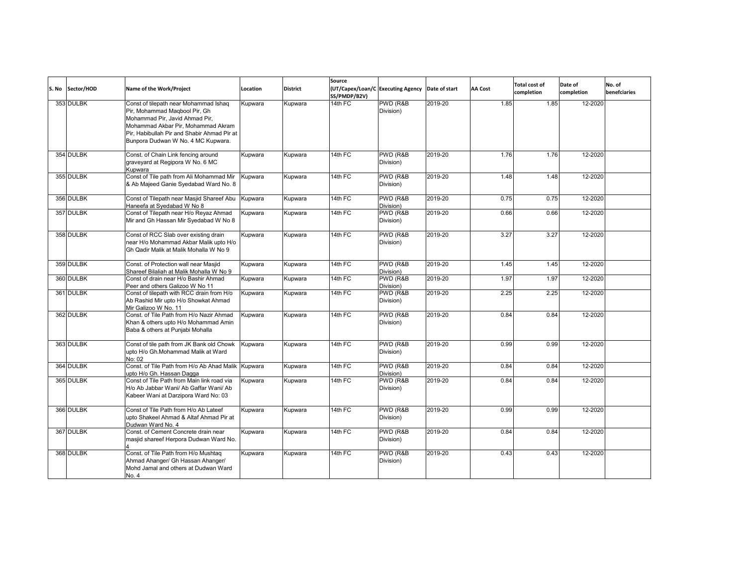| S. No | Sector/HOD | Name of the Work/Project                                                                                                                                                                                                            | Location | <b>District</b> | Source<br>SS/PMDP/B2V) | (UT/Capex/Loan/C Executing Agency | Date of start | <b>AA Cost</b> | <b>Total cost of</b><br>completion | Date of<br>completion | No. of<br>benefciaries |
|-------|------------|-------------------------------------------------------------------------------------------------------------------------------------------------------------------------------------------------------------------------------------|----------|-----------------|------------------------|-----------------------------------|---------------|----------------|------------------------------------|-----------------------|------------------------|
|       | 353 DULBK  | Const of tilepath near Mohammad Ishaq<br>Pir, Mohammad Magbool Pir, Gh<br>Mohammad Pir, Javid Ahmad Pir,<br>Mohammad Akbar Pir, Mohammad Akram<br>Pir. Habibullah Pir and Shabir Ahmad Pir at<br>Bunpora Dudwan W No. 4 MC Kupwara. | Kupwara  | Kupwara         | $14th$ FC              | PWD (R&B<br>Division)             | 2019-20       | 1.85           | 1.85                               | 12-2020               |                        |
|       | 354 DULBK  | Const. of Chain Link fencing around<br>graveyard at Regipora W No. 6 MC<br>Kupwara                                                                                                                                                  | Kupwara  | Kupwara         | $14th$ FC              | PWD (R&B<br>Division)             | 2019-20       | 1.76           | 1.76                               | 12-2020               |                        |
|       | 355 DULBK  | Const of Tile path from Ali Mohammad Mir<br>& Ab Majeed Ganie Syedabad Ward No. 8                                                                                                                                                   | Kupwara  | Kupwara         | 14th FC                | PWD (R&B<br>Division)             | 2019-20       | 1.48           | 1.48                               | 12-2020               |                        |
|       | 356 DULBK  | Const of Tilepath near Masjid Shareef Abu<br>Haneefa at Syedabad W No 8                                                                                                                                                             | Kupwara  | Kupwara         | 14th FC                | PWD (R&B<br>Division)             | 2019-20       | 0.75           | 0.75                               | 12-2020               |                        |
|       | 357 DULBK  | Const of Tilepath near H/o Reyaz Ahmad<br>Mir and Gh Hassan Mir Syedabad W No 8                                                                                                                                                     | Kupwara  | Kupwara         | 14th FC                | PWD (R&B<br>Division)             | 2019-20       | 0.66           | 0.66                               | 12-2020               |                        |
|       | 358 DULBK  | Const of RCC Slab over existing drain<br>near H/o Mohammad Akbar Malik upto H/o<br>Gh Qadir Malik at Malik Mohalla W No 9                                                                                                           | Kupwara  | Kupwara         | 14th $FC$              | PWD (R&B<br>Division)             | 2019-20       | 3.27           | 3.27                               | 12-2020               |                        |
|       | 359 DULBK  | Const. of Protection wall near Masjid<br>Shareef Bilaliah at Malik Mohalla W No 9                                                                                                                                                   | Kupwara  | Kupwara         | 14th FC                | PWD (R&B<br>Division)             | 2019-20       | 1.45           | 1.45                               | 12-2020               |                        |
|       | 360 DULBK  | Const of drain near H/o Bashir Ahmad<br>Peer and others Galizoo W No 11                                                                                                                                                             | Kupwara  | Kupwara         | 14th FC                | PWD (R&B<br>Division)             | 2019-20       | 1.97           | 1.97                               | 12-2020               |                        |
|       | 361 DULBK  | Const of tilepath with RCC drain from H/o<br>Ab Rashid Mir upto H/o Showkat Ahmad<br>Mir Galizoo W No. 11                                                                                                                           | Kupwara  | Kupwara         | 14th FC                | PWD (R&B)<br>Division)            | 2019-20       | 2.25           | 2.25                               | 12-2020               |                        |
|       | 362 DULBK  | Const. of Tile Path from H/o Nazir Ahmad<br>Khan & others upto H/o Mohammad Amin<br>Baba & others at Punjabi Mohalla                                                                                                                | Kupwara  | Kupwara         | 14th FC                | PWD (R&B<br>Division)             | 2019-20       | 0.84           | 0.84                               | 12-2020               |                        |
|       | 363 DULBK  | Const of tile path from JK Bank old Chowk<br>upto H/o Gh.Mohammad Malik at Ward<br>No: 02                                                                                                                                           | Kupwara  | Kupwara         | 14th FC                | PWD (R&B<br>Division)             | 2019-20       | 0.99           | 0.99                               | 12-2020               |                        |
|       | 364 DULBK  | Const. of Tile Path from H/o Ab Ahad Malik<br>upto H/o Gh. Hassan Dagga                                                                                                                                                             | Kupwara  | Kupwara         | $14th$ FC              | PWD (R&B)<br>Division)            | 2019-20       | 0.84           | 0.84                               | 12-2020               |                        |
|       | 365 DULBK  | Const of Tile Path from Main link road via<br>H/o Ab Jabbar Wani/ Ab Gaffar Wani/ Ab<br>Kabeer Wani at Darzipora Ward No: 03                                                                                                        | Kupwara  | Kupwara         | 14th FC                | PWD (R&B<br>Division)             | 2019-20       | 0.84           | 0.84                               | 12-2020               |                        |
|       | 366 DULBK  | Const of Tile Path from H/o Ab Lateef<br>upto Shakeel Ahmad & Altaf Ahmad Pir at<br>Dudwan Ward No. 4                                                                                                                               | Kupwara  | Kupwara         | 14th FC                | PWD (R&B<br>Division)             | 2019-20       | 0.99           | 0.99                               | 12-2020               |                        |
|       | 367 DULBK  | Const. of Cement Concrete drain near<br>masjid shareef Herpora Dudwan Ward No.                                                                                                                                                      | Kupwara  | Kupwara         | 14th FC                | PWD (R&B<br>Division)             | 2019-20       | 0.84           | 0.84                               | 12-2020               |                        |
|       | 368 DULBK  | Const. of Tile Path from H/o Mushtaq<br>Ahmad Ahanger/ Gh Hassan Ahanger/<br>Mohd Jamal and others at Dudwan Ward<br>No. 4                                                                                                          | Kupwara  | Kupwara         | 14th FC                | PWD (R&B<br>Division)             | 2019-20       | 0.43           | 0.43                               | 12-2020               |                        |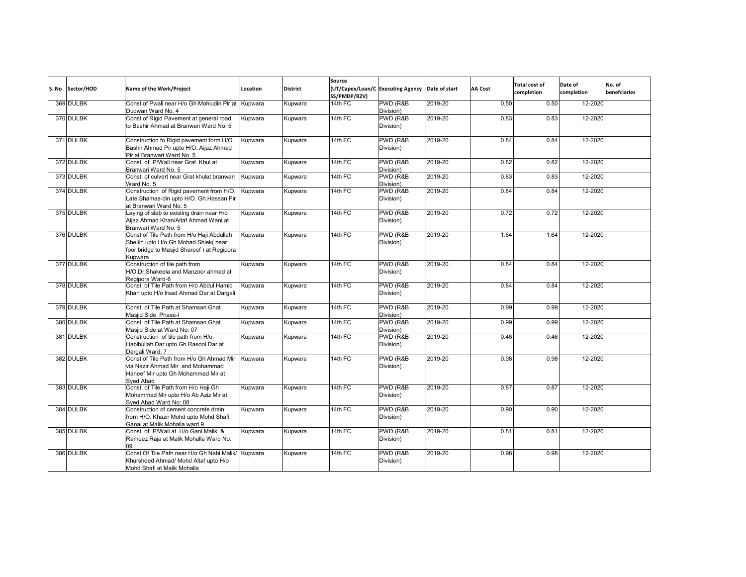| S. No | Sector/HOD | Name of the Work/Project                                                                                                                  | Location | <b>District</b> | Source<br>SS/PMDP/B2V) | (UT/Capex/Loan/C Executing Agency | Date of start | <b>AA Cost</b> | <b>Total cost of</b><br>completion | Date of<br>completion | No. of<br>benefciaries |
|-------|------------|-------------------------------------------------------------------------------------------------------------------------------------------|----------|-----------------|------------------------|-----------------------------------|---------------|----------------|------------------------------------|-----------------------|------------------------|
|       | 369 DULBK  | Const of Pwall near H/o Gh Mohiudin Pir at Kupwara<br>Dudwan Ward No. 4                                                                   |          | Kupwara         | 14th FC                | PWD (R&B<br>Division)             | 2019-20       | 0.50           | 0.50                               | 12-2020               |                        |
|       | 370 DULBK  | Const of Rigid Pavement at general road<br>to Bashir Ahmad at Branwari Ward No. 5                                                         | Kupwara  | Kupwara         | 14th FC                | PWD (R&B<br>Division)             | 2019-20       | 0.83           | 0.83                               | 12-2020               |                        |
|       | 371 DULBK  | Construction fo Rigid pavement form H/O<br>Bashir Ahmad Pir upto H/O. Aijaz Ahmad<br>Pir at Branwari Ward No. 5                           | Kupwara  | Kupwara         | 14th FC                | PWD (R&B<br>Division)             | 2019-20       | 0.84           | 0.84                               | 12-2020               |                        |
|       | 372 DULBK  | Const. of P/Wall near Grat Khul at<br>Branwari Ward No. 5                                                                                 | Kupwara  | Kupwara         | 14th FC                | PWD (R&B<br>Division)             | 2019-20       | 0.82           | 0.82                               | 12-2020               |                        |
|       | 373 DULBK  | Const. of culvert near Grat khulat branwari<br>Ward No. 5                                                                                 | Kupwara  | Kupwara         | 14th FC                | PWD (R&B<br>Division)             | 2019-20       | 0.83           | 0.83                               | 12-2020               |                        |
|       | 374 DULBK  | Construction of Rigid pavement from H/O.<br>Late Shamas-din upto H/O. Gh.Hassan Pir<br>at Branwari Ward No. 5                             | Kupwara  | Kupwara         | $14th$ FC              | PWD (R&B)<br>Division)            | 2019-20       | 0.84           | 0.84                               | 12-2020               |                        |
|       | 375 DULBK  | Laying of slab to existing drain near H/o<br>Aijaz Ahmad Khan/Altaf Ahmad Wani at<br>Branwari Ward No. 5                                  | Kupwara  | Kupwara         | 14th FC                | PWD (R&B<br>Division)             | 2019-20       | 0.72           | 0.72                               | 12-2020               |                        |
|       | 376 DULBK  | Const of Tile Path from H/o Haji Abdullah<br>Sheikh upto H/o Gh Mohad Shiek(near<br>foor bridge to Masjid Shareef) at Regipora<br>Kupwara | Kupwara  | Kupwara         | $14th$ FC              | PWD (R&B<br>Division)             | 2019-20       | 1.64           | 1.64                               | 12-2020               |                        |
|       | 377 DULBK  | Construction of tile path from<br>H/O.Dr.Shakeela and Manzoor ahmad at<br>Regipora Ward-6                                                 | Kupwara  | Kupwara         | 14th FC                | PWD (R&B<br>Division)             | 2019-20       | 0.84           | 0.84                               | 12-2020               |                        |
|       | 378 DULBK  | Const. of Tile Path from H/o Abdul Hamid<br>Khan upto H/o Irsad Ahmad Dar at Dargali                                                      | Kupwara  | Kupwara         | 14th FC                | PWD (R&B<br>Division)             | 2019-20       | 0.84           | 0.84                               | 12-2020               |                        |
|       | 379 DULBK  | Const. of Tile Path at Shamsan Ghat<br>Masiid Side Phase-I                                                                                | Kupwara  | Kupwara         | 14th FC                | PWD (R&B<br>Division)             | 2019-20       | 0.99           | 0.99                               | 12-2020               |                        |
|       | 380 DULBK  | Const. of Tile Path at Shamsan Ghat<br>Masjid Side at Ward No: 07                                                                         | Kupwara  | Kupwara         | 14th FC                | PWD (R&B<br>Division)             | 2019-20       | 0.99           | 0.99                               | 12-2020               |                        |
|       | 381 DULBK  | Construction of tile path from H/o.<br>Habibullah Dar upto Gh.Rasool Dar at<br>Dargali Ward: 7                                            | Kupwara  | Kupwara         | 14th FC                | PWD (R&B<br>Division)             | 2019-20       | 0.46           | 0.46                               | 12-2020               |                        |
|       | 382 DULBK  | Const of Tile Path from H/o Gh Ahmad Mir<br>via Nazir Ahmad Mir and Mohammad<br>Haneef Mir upto Gh Mohammad Mir at<br>Sved Abad           | Kupwara  | Kupwara         | 14th FC                | PWD (R&B<br>Division)             | 2019-20       | 0.98           | 0.98                               | 12-2020               |                        |
|       | 383 DULBK  | Const. of Tile Path from H/o Haji Gh<br>Mohammad Mir upto H/o Ab Aziz Mir at<br>Sved Abad Ward No: 08                                     | Kupwara  | Kupwara         | 14th FC                | PWD (R&B<br>Division)             | 2019-20       | 0.87           | 0.87                               | 12-2020               |                        |
|       | 384 DULBK  | Construction of cement concrete drain<br>from H/O. Khazir Mohd upto Mohd Shafi<br>Ganai at Malik Mohalla ward 9                           | Kupwara  | Kupwara         | 14th FC                | PWD (R&B<br>Division)             | 2019-20       | 0.90           | 0.90                               | 12-2020               |                        |
|       | 385 DULBK  | Const. of P/Wall at H/o Gani Malik &<br>Rameez Raja at Malik Mohalla Ward No:<br>09                                                       | Kupwara  | Kupwara         | 14th FC                | PWD (R&B<br>Division)             | 2019-20       | 0.81           | 0.81                               | 12-2020               |                        |
|       | 386 DULBK  | Const Of Tile Path near H/o Gh Nabi Malik<br>Khursheed Ahmad/ Mohd Altaf upto H/o<br>Mohd Shafi at Malik Mohalla                          | Kupwara  | Kupwara         | 14th FC                | PWD (R&B<br>Division)             | 2019-20       | 0.98           | 0.98                               | 12-2020               |                        |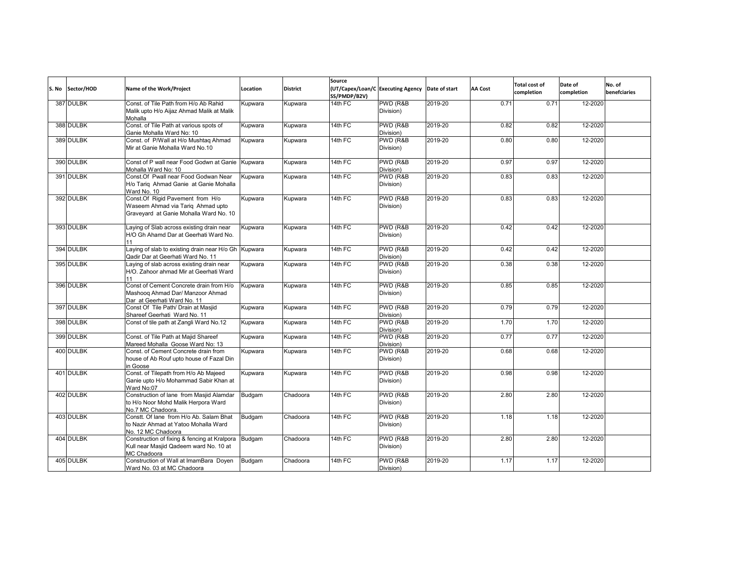| S. No | Sector/HOD | Name of the Work/Project                                                                                        | Location       | <b>District</b> | Source<br>SS/PMDP/B2V) | (UT/Capex/Loan/C Executing Agency | Date of start | <b>AA Cost</b> | <b>Total cost of</b><br>completion | Date of<br>completion | No. of<br>benefciaries |
|-------|------------|-----------------------------------------------------------------------------------------------------------------|----------------|-----------------|------------------------|-----------------------------------|---------------|----------------|------------------------------------|-----------------------|------------------------|
|       | 387 DULBK  | Const. of Tile Path from H/o Ab Rahid<br>Malik upto H/o Aijaz Ahmad Malik at Malik<br>Mohalla                   | Kupwara        | Kupwara         | $14th$ FC              | PWD (R&B<br>Division)             | 2019-20       | 0.71           | 0.71                               | 12-2020               |                        |
|       | 388 DULBK  | Const. of Tile Path at various spots of<br>Ganie Mohalla Ward No: 10                                            | Kupwara        | Kupwara         | 14th FC                | PWD (R&B<br>Division)             | 2019-20       | 0.82           | 0.82                               | 12-2020               |                        |
|       | 389 DULBK  | Const. of P/Wall at H/o Mushtaq Ahmad<br>Mir at Ganie Mohalla Ward No.10                                        | Kupwara        | Kupwara         | $14th$ FC              | PWD (R&B<br>Division)             | 2019-20       | 0.80           | 0.80                               | 12-2020               |                        |
|       | 390 DULBK  | Const of P wall near Food Godwn at Ganie<br>Mohalla Ward No: 10                                                 | Kupwara        | Kupwara         | $14th$ FC              | PWD (R&B<br>Division)             | 2019-20       | 0.97           | 0.97                               | 12-2020               |                        |
|       | 391 DULBK  | Const.Of Pwall near Food Godwan Near<br>H/o Tariq Ahmad Ganie at Ganie Mohalla<br>Ward No. 10                   | Kupwara        | Kupwara         | $14th$ FC              | PWD (R&B<br>Division)             | 2019-20       | 0.83           | 0.83                               | 12-2020               |                        |
|       | 392 DULBK  | Const.Of Rigid Pavement from H/o<br>Waseem Ahmad via Tariq Ahmad upto<br>Graveyard at Ganie Mohalla Ward No. 10 | Kupwara        | Kupwara         | $14th$ FC              | PWD (R&B<br>Division)             | 2019-20       | 0.83           | 0.83                               | 12-2020               |                        |
|       | 393 DULBK  | Laying of Slab across existing drain near<br>H/O Gh Ahamd Dar at Geerhati Ward No.                              | Kupwara        | Kupwara         | 14th FC                | PWD (R&B<br>Division)             | 2019-20       | 0.42           | 0.42                               | 12-2020               |                        |
|       | 394 DULBK  | Laying of slab to existing drain near H/o Gh Kupwara<br>Qadir Dar at Geerhati Ward No. 11                       |                | Kupwara         | 14th FC                | PWD (R&B<br>Division)             | 2019-20       | 0.42           | 0.42                               | 12-2020               |                        |
|       | 395 DULBK  | Laying of slab across existing drain near<br>H/O. Zahoor ahmad Mir at Geerhati Ward                             | <b>Kupwara</b> | Kupwara         | 14th FC                | PWD (R&B<br>Division)             | 2019-20       | 0.38           | 0.38                               | 12-2020               |                        |
|       | 396 DULBK  | Const of Cement Concrete drain from H/o<br>Mashoog Ahmad Dar/ Manzoor Ahmad<br>Dar at Geerhati Ward No. 11      | Kupwara        | Kupwara         | 14th FC                | PWD (R&B<br>Division)             | 2019-20       | 0.85           | 0.85                               | 12-2020               |                        |
|       | 397 DULBK  | Const Of Tile Path/ Drain at Masjid<br>Shareef Geerhati Ward No. 11                                             | Kupwara        | Kupwara         | 14th FC                | PWD (R&B<br>Division)             | 2019-20       | 0.79           | 0.79                               | 12-2020               |                        |
|       | 398 DULBK  | Const of tile path at Zangli Ward No.12                                                                         | Kupwara        | Kupwara         | 14th FC                | PWD (R&B<br>Division)             | 2019-20       | 1.70           | 1.70                               | 12-2020               |                        |
|       | 399 DULBK  | Const. of Tile Path at Majid Shareef<br>Mareed Mohalla Goose Ward No: 13                                        | Kupwara        | Kupwara         | 14th FC                | PWD (R&B<br>Division)             | 2019-20       | 0.77           | 0.77                               | 12-2020               |                        |
|       | 400 DULBK  | Const. of Cement Concrete drain from<br>house of Ab Rouf upto house of Fazal Din<br>in Goose                    | Kupwara        | Kupwara         | 14th FC                | PWD (R&B<br>Division)             | 2019-20       | 0.68           | 0.68                               | 12-2020               |                        |
|       | 401 DULBK  | Const. of Tilepath from H/o Ab Majeed<br>Ganie upto H/o Mohammad Sabir Khan at<br>Ward No:07                    | Kupwara        | Kupwara         | 14th FC                | PWD (R&B<br>Division)             | 2019-20       | 0.98           | 0.98                               | 12-2020               |                        |
|       | 402 DULBK  | Construction of lane from Masjid Alamdar<br>to H/o Noor Mohd Malik Herpora Ward<br>No.7 MC Chadoora.            | Budgam         | Chadoora        | 14th FC                | PWD (R&B<br>Division)             | 2019-20       | 2.80           | 2.80                               | 12-2020               |                        |
|       | 403 DULBK  | Constt. Of lane from H/o Ab. Salam Bhat<br>to Nazir Ahmad at Yatoo Mohalla Ward<br>No. 12 MC Chadoora           | Budgam         | Chadoora        | 14th FC                | PWD (R&B<br>Division)             | 2019-20       | 1.18           | 1.18                               | 12-2020               |                        |
|       | 404 DULBK  | Construction of fixing & fencing at Kralpora<br>Kull near Masjid Qadeem ward No. 10 at<br>MC Chadoora           | Budgam         | Chadoora        | $14th$ FC              | PWD (R&B<br>Division)             | 2019-20       | 2.80           | 2.80                               | 12-2020               |                        |
|       | 405 DULBK  | Construction of Wall at ImamBara Doyen<br>Ward No. 03 at MC Chadoora                                            | Budgam         | Chadoora        | 14th FC                | PWD (R&B<br>Division)             | 2019-20       | 1.17           | 1.17                               | 12-2020               |                        |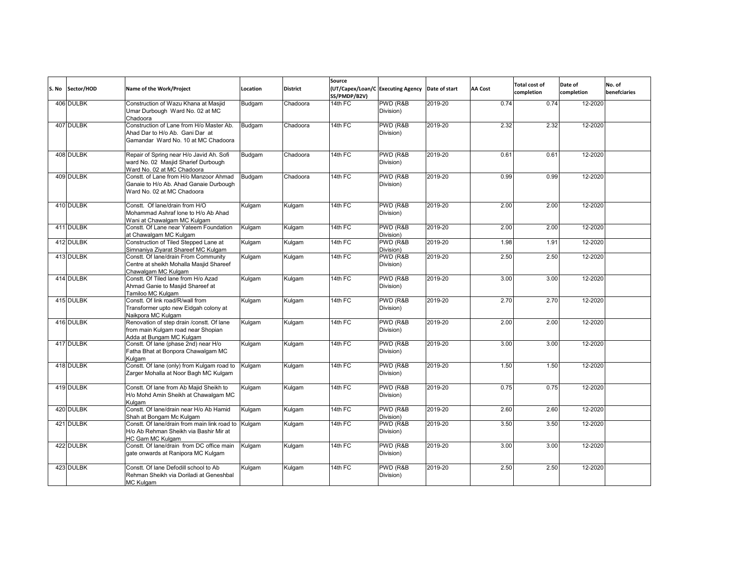| S. No | Sector/HOD | Name of the Work/Project                                                                                           | Location | <b>District</b> | Source<br>SS/PMDP/B2V) | (UT/Capex/Loan/C Executing Agency | Date of start | <b>AA Cost</b> | <b>Total cost of</b><br>completion | Date of<br>completion | No. of<br>benefciaries |
|-------|------------|--------------------------------------------------------------------------------------------------------------------|----------|-----------------|------------------------|-----------------------------------|---------------|----------------|------------------------------------|-----------------------|------------------------|
|       | 406 DULBK  | Construction of Wazu Khana at Masjid<br>Umar Durbough Ward No. 02 at MC<br>Chadoora                                | Budgam   | Chadoora        | 14th FC                | PWD (R&B<br>Division)             | 2019-20       | 0.74           | 0.74                               | 12-2020               |                        |
|       | 407 DULBK  | Construction of Lane from H/o Master Ab.<br>Ahad Dar to H/o Ab. Gani Dar at<br>Gamandar Ward No. 10 at MC Chadoora | Budgam   | Chadoora        | $14th$ FC              | PWD (R&B<br>Division)             | 2019-20       | 2.32           | 2.32                               | 12-2020               |                        |
|       | 408 DULBK  | Repair of Spring near H/o Javid Ah. Sofi<br>ward No. 02 Masjid Sharief Durbough<br>Ward No. 02 at MC Chadoora      | Budgam   | Chadoora        | $14th$ FC              | PWD (R&B)<br>Division)            | 2019-20       | 0.61           | 0.61                               | 12-2020               |                        |
|       | 409 DULBK  | Constt. of Lane from H/o Manzoor Ahmad<br>Ganaie to H/o Ab. Ahad Ganaie Durbough<br>Ward No. 02 at MC Chadoora     | Budgam   | Chadoora        | 14th FC                | PWD (R&B<br>Division)             | 2019-20       | 0.99           | 0.99                               | 12-2020               |                        |
|       | 410 DULBK  | Constt. Of lane/drain from H/O<br>Mohammad Ashraf lone to H/o Ab Ahad<br>Wani at Chawalgam MC Kulgam               | Kulgam   | Kulgam          | 14th FC                | PWD (R&B<br>Division)             | 2019-20       | 2.00           | 2.00                               | 12-2020               |                        |
|       | 411 DULBK  | Constt. Of Lane near Yateem Foundation<br>at Chawalgam MC Kulgam                                                   | Kulgam   | Kulgam          | $14th$ FC              | PWD (R&B<br>Division)             | 2019-20       | 2.00           | 2.00                               | 12-2020               |                        |
|       | 412 DULBK  | Construction of Tiled Stepped Lane at<br>Simnaniya Ziyarat Shareef MC Kulgam                                       | Kulgam   | Kulgam          | $14th$ FC              | PWD (R&B<br>Division)             | 2019-20       | 1.98           | 1.91                               | 12-2020               |                        |
|       | 413 DULBK  | Constt. Of lane/drain From Community<br>Centre at sheikh Mohalla Masjid Shareef<br>Chawalgam MC Kulgam             | Kulgam   | Kulgam          | 14th FC                | PWD (R&B<br>Division)             | 2019-20       | 2.50           | 2.50                               | 12-2020               |                        |
|       | 414 DULBK  | Constt. Of Tiled lane from H/o Azad<br>Ahmad Ganie to Masjid Shareef at<br>Tamiloo MC Kulgam                       | Kulgam   | Kulgam          | $14th$ FC              | PWD (R&B<br>Division)             | 2019-20       | 3.00           | 3.00                               | 12-2020               |                        |
|       | 415 DULBK  | Constt. Of link road/R/wall from<br>Transformer upto new Eidgah colony at<br>Naikpora MC Kulgam                    | Kulgam   | Kulgam          | 14th FC                | PWD (R&B<br>Division)             | 2019-20       | 2.70           | 2.70                               | 12-2020               |                        |
|       | 416 DULBK  | Renovation of step drain /constt. Of lane<br>from main Kulgam road near Shopian<br>Adda at Bungam MC Kulgam        | Kulgam   | Kulgam          | 14th FC                | PWD (R&B<br>Division)             | 2019-20       | 2.00           | 2.00                               | 12-2020               |                        |
|       | 417 DULBK  | Constt. Of lane (phase 2nd) near H/o<br>Fatha Bhat at Bonpora Chawalgam MC<br>Kulgam                               | Kulgam   | Kulgam          | 14th FC                | PWD (R&B<br>Division)             | 2019-20       | 3.00           | 3.00                               | 12-2020               |                        |
|       | 418 DULBK  | Constt. Of lane (only) from Kulgam road to<br>Zarger Mohalla at Noor Bagh MC Kulgam                                | Kulgam   | Kulgam          | 14th FC                | PWD (R&B<br>Division)             | 2019-20       | 1.50           | 1.50                               | 12-2020               |                        |
|       | 419 DULBK  | Constt. Of lane from Ab Majid Sheikh to<br>H/o Mohd Amin Sheikh at Chawalgam MC<br>Kulgam                          | Kulgam   | Kulgam          | 14th FC                | PWD (R&B<br>Division)             | 2019-20       | 0.75           | 0.75                               | 12-2020               |                        |
|       | 420 DULBK  | Constt. Of lane/drain near H/o Ab Hamid<br>Shah at Bongam Mc Kulgam                                                | Kulgam   | Kulgam          | 14th FC                | PWD (R&B<br>Division)             | 2019-20       | 2.60           | 2.60                               | 12-2020               |                        |
|       | 421 DULBK  | Constt. Of lane/drain from main link road to<br>H/o Ab Rehman Sheikh via Bashir Mir at<br>HC Gam MC Kulgam         | Kulgam   | Kulgam          | 14th FC                | PWD (R&B<br>Division)             | 2019-20       | 3.50           | 3.50                               | 12-2020               |                        |
|       | 422 DULBK  | Constt. Of lane/drain from DC office main<br>gate onwards at Ranipora MC Kulgam                                    | Kulgam   | Kulgam          | 14th FC                | PWD (R&B<br>Division)             | 2019-20       | 3.00           | 3.00                               | 12-2020               |                        |
|       | 423 DULBK  | Constt. Of lane Defodill school to Ab<br>Rehman Sheikh via Doriladi at Geneshbal<br><b>MC Kulgam</b>               | Kulgam   | Kulgam          | 14th FC                | PWD (R&B<br>Division)             | 2019-20       | 2.50           | 2.50                               | 12-2020               |                        |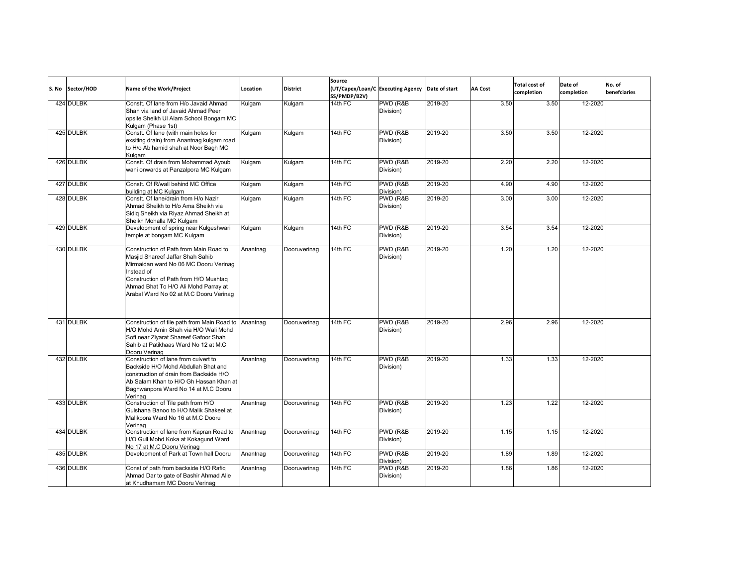| S. No Sector/HOD | Name of the Work/Project                                                                                                                                                                                                                                     | Location | <b>District</b> | Source<br>SS/PMDP/B2V) | (UT/Capex/Loan/C Executing Agency Date of start |         | <b>AA Cost</b> | <b>Total cost of</b><br>completion | Date of<br>completion | No. of<br>benefciaries |
|------------------|--------------------------------------------------------------------------------------------------------------------------------------------------------------------------------------------------------------------------------------------------------------|----------|-----------------|------------------------|-------------------------------------------------|---------|----------------|------------------------------------|-----------------------|------------------------|
| 424 DULBK        | Constt. Of lane from H/o Javaid Ahmad<br>Shah via land of Javaid Ahmad Peer<br>opsite Sheikh UI Alam School Bongam MC<br>Kulgam (Phase 1st)                                                                                                                  | Kulgam   | Kulgam          | 14th $FC$              | PWD (R&B<br>Division)                           | 2019-20 | 3.50           | 3.50                               | 12-2020               |                        |
| 425 DULBK        | Constt. Of lane (with main holes for<br>exsiting drain) from Anantnag kulgam road<br>to H/o Ab hamid shah at Noor Bagh MC<br>Kulgam                                                                                                                          | Kulgam   | Kulgam          | 14th FC                | PWD (R&B<br>Division)                           | 2019-20 | 3.50           | 3.50                               | 12-2020               |                        |
| 426 DULBK        | Constt. Of drain from Mohammad Ayoub<br>wani onwards at Panzalpora MC Kulgam                                                                                                                                                                                 | Kulgam   | Kulgam          | 14th FC                | PWD (R&B<br>Division)                           | 2019-20 | 2.20           | 2.20                               | 12-2020               |                        |
| 427 DULBK        | Constt. Of R/wall behind MC Office<br>building at MC Kulgam                                                                                                                                                                                                  | Kulgam   | Kulgam          | 14th $FC$              | PWD (R&B<br>Division)                           | 2019-20 | 4.90           | 4.90                               | 12-2020               |                        |
| 428 DULBK        | Constt. Of lane/drain from H/o Nazir<br>Ahmad Sheikh to H/o Ama Sheikh via<br>Sidiq Sheikh via Riyaz Ahmad Sheikh at<br>Sheikh Mohalla MC Kulgam                                                                                                             | Kulgam   | Kulgam          | 14th FC                | PWD (R&B<br>Division)                           | 2019-20 | 3.00           | 3.00                               | 12-2020               |                        |
| 429 DULBK        | Development of spring near Kulgeshwari<br>temple at bongam MC Kulgam                                                                                                                                                                                         | Kulgam   | Kulgam          | 14th FC                | PWD (R&B<br>Division)                           | 2019-20 | 3.54           | 3.54                               | 12-2020               |                        |
| 430 DULBK        | Construction of Path from Main Road to<br>Masjid Shareef Jaffar Shah Sahib<br>Mirmaidan ward No 06 MC Dooru Verinag<br>Instead of<br>Construction of Path from H/O Mushtaq<br>Ahmad Bhat To H/O Ali Mohd Parray at<br>Arabal Ward No 02 at M.C Dooru Verinag | Anantnag | Dooruverinag    | 14th FC                | PWD (R&B<br>Division)                           | 2019-20 | 1.20           | 1.20                               | 12-2020               |                        |
| 431 DULBK        | Construction of tile path from Main Road to Anantnag<br>H/O Mohd Amin Shah via H/O Wali Mohd<br>Sofi near Ziyarat Shareef Gafoor Shah<br>Sahib at Patikhaas Ward No 12 at M.C<br>Dooru Verinag                                                               |          | Dooruverinag    | 14th FC                | PWD (R&B<br>Division)                           | 2019-20 | 2.96           | 2.96                               | 12-2020               |                        |
| 432 DULBK        | Construction of lane from culvert to<br>Backside H/O Mohd Abdullah Bhat and<br>construction of drain from Backside H/O<br>Ab Salam Khan to H/O Gh Hassan Khan at<br>Baghwanpora Ward No 14 at M.C Dooru<br>Verinag                                           | Anantnag | Dooruverinag    | 14th FC                | PWD (R&B)<br>Division)                          | 2019-20 | 1.33           | 1.33                               | 12-2020               |                        |
| 433 DULBK        | Construction of Tile path from H/O<br>Gulshana Banoo to H/O Malik Shakeel at<br>Malikpora Ward No 16 at M.C Dooru<br>Verinag                                                                                                                                 | Anantnag | Dooruverinag    | 14th FC                | PWD (R&B<br>Division)                           | 2019-20 | 1.23           | 1.22                               | 12-2020               |                        |
| 434 DULBK        | Construction of lane from Kapran Road to<br>H/O Gull Mohd Koka at Kokagund Ward<br>No 17 at M.C Dooru Verinag                                                                                                                                                | Anantnag | Dooruverinag    | 14th FC                | PWD (R&B<br>Division)                           | 2019-20 | 1.15           | 1.15                               | 12-2020               |                        |
| 435 DULBK        | Development of Park at Town hall Dooru                                                                                                                                                                                                                       | Anantnag | Dooruverinag    | 14th FC                | PWD (R&B<br>Division)                           | 2019-20 | 1.89           | 1.89                               | 12-2020               |                        |
| 436 DULBK        | Const of path from backside H/O Rafiq<br>Ahmad Dar to gate of Bashir Ahmad Alie<br>at Khudhamam MC Dooru Verinag                                                                                                                                             | Anantnag | Dooruverinag    | 14th FC                | PWD (R&B<br>Division)                           | 2019-20 | 1.86           | 1.86                               | 12-2020               |                        |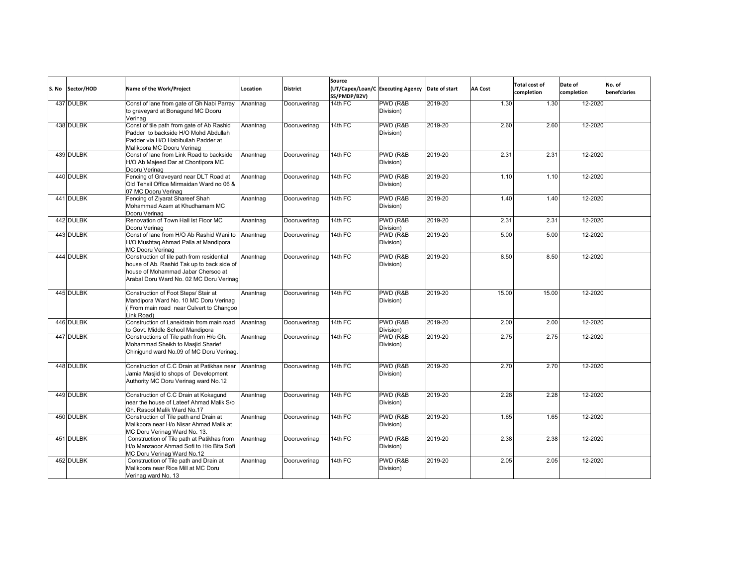| S. No | Sector/HOD | Name of the Work/Project                                                                                                                                                  | Location | <b>District</b> | Source<br>(UT/Capex/Loan/C Executing Agency Date of start<br>SS/PMDP/B2V) |                        |         | AA Cost | <b>Total cost of</b><br>completion | Date of<br>completion | No. of<br>benefciaries |
|-------|------------|---------------------------------------------------------------------------------------------------------------------------------------------------------------------------|----------|-----------------|---------------------------------------------------------------------------|------------------------|---------|---------|------------------------------------|-----------------------|------------------------|
|       | 437 DULBK  | Const of lane from gate of Gh Nabi Parray<br>to graveyard at Bonagund MC Dooru<br>Verinag                                                                                 | Anantnag | Dooruverinag    | 14th FC                                                                   | PWD (R&B<br>Division)  | 2019-20 | 1.30    | 1.30                               | 12-2020               |                        |
|       | 438 DULBK  | Const of tile path from gate of Ab Rashid<br>Padder to backside H/O Mohd Abdullah<br>Padder via H/O Habibullah Padder at<br>Malikpora MC Dooru Verinag                    | Anantnag | Dooruverinag    | 14th FC                                                                   | PWD (R&B<br>Division)  | 2019-20 | 2.60    | 2.60                               | 12-2020               |                        |
|       | 439 DULBK  | Const of lane from Link Road to backside<br>H/O Ab Majeed Dar at Chontipora MC<br>Dooru Verinag                                                                           | Anantnag | Dooruverinag    | 14th FC                                                                   | PWD (R&B)<br>Division) | 2019-20 | 2.31    | 2.31                               | 12-2020               |                        |
|       | 440 DULBK  | Fencing of Graveyard near DLT Road at<br>Old Tehsil Office Mirmaidan Ward no 06 &<br>07 MC Dooru Verinag                                                                  | Anantnag | Dooruverinag    | 14th FC                                                                   | PWD (R&B<br>Division)  | 2019-20 | 1.10    | 1.10                               | 12-2020               |                        |
|       | 441 DULBK  | Fencing of Ziyarat Shareef Shah<br>Mohammad Azam at Khudhamam MC<br>Dooru Verinag                                                                                         | Anantnag | Dooruverinag    | 14th FC                                                                   | PWD (R&B<br>Division)  | 2019-20 | 1.40    | 1.40                               | 12-2020               |                        |
|       | 442 DULBK  | Renovation of Town Hall Ist Floor MC<br>Dooru Verinag                                                                                                                     | Anantnag | Dooruverinag    | $14th$ FC                                                                 | PWD (R&B<br>Division)  | 2019-20 | 2.31    | 2.31                               | 12-2020               |                        |
|       | 443 DULBK  | Const of lane from H/O Ab Rashid Wani to<br>H/O Mushtag Ahmad Palla at Mandipora<br><b>MC Dooru Verinag</b>                                                               | Anantnag | Dooruverinag    | 14th FC                                                                   | PWD (R&B<br>Division)  | 2019-20 | 5.00    | 5.00                               | 12-2020               |                        |
|       | 444 DULBK  | Construction of tile path from residential<br>house of Ab. Rashid Tak up to back side of<br>house of Mohammad Jabar Chersoo at<br>Arabal Doru Ward No. 02 MC Doru Verinag | Anantnag | Dooruverinag    | 14th FC                                                                   | PWD (R&B<br>Division)  | 2019-20 | 8.50    | 8.50                               | 12-2020               |                        |
|       | 445 DULBK  | Construction of Foot Steps/ Stair at<br>Mandipora Ward No. 10 MC Doru Verinag<br>(From main road near Culvert to Changoo<br>Link Road)                                    | Anantnag | Dooruverinag    | 14th FC                                                                   | PWD (R&B)<br>Division) | 2019-20 | 15.00   | 15.00                              | 12-2020               |                        |
|       | 446 DULBK  | Construction of Lane/drain from main road<br>to Govt. Middle School Mandipora                                                                                             | Anantnag | Dooruverinag    | $14th$ FC                                                                 | PWD (R&B)<br>Division) | 2019-20 | 2.00    | 2.00                               | 12-2020               |                        |
|       | 447 DULBK  | Constructions of Tile path from H/o Gh.<br>Mohammad Sheikh to Masjid Sharief<br>Chiniqund ward No.09 of MC Doru Verinag.                                                  | Anantnag | Dooruverinag    | 14th FC                                                                   | PWD (R&B<br>Division)  | 2019-20 | 2.75    | 2.75                               | 12-2020               |                        |
|       | 448 DULBK  | Construction of C.C Drain at Patikhas near<br>Jamia Masjid to shops of Development<br>Authority MC Doru Verinag ward No.12                                                | Anantnag | Dooruverinag    | $14th$ FC                                                                 | PWD (R&B)<br>Division) | 2019-20 | 2.70    | 2.70                               | 12-2020               |                        |
|       | 449 DULBK  | Construction of C.C Drain at Kokagund<br>near the house of Lateef Ahmad Malik S/o<br>Gh. Rasool Malik Ward No.17                                                          | Anantnag | Dooruverinag    | 14th FC                                                                   | PWD (R&B<br>Division)  | 2019-20 | 2.28    | 2.28                               | 12-2020               |                        |
|       | 450 DULBK  | Construction of Tile path and Drain at<br>Malikpora near H/o Nisar Ahmad Malik at<br>MC Doru Verinag Ward No. 13.                                                         | Anantnag | Dooruverinag    | 14th FC                                                                   | PWD (R&B<br>Division)  | 2019-20 | 1.65    | 1.65                               | 12-2020               |                        |
|       | 451 DULBK  | Construction of Tile path at Patikhas from<br>H/o Manzaoor Ahmad Sofi to H/o Bita Sofi<br>MC Doru Verinag Ward No.12                                                      | Anantnag | Dooruverinag    | 14th FC                                                                   | PWD (R&B<br>Division)  | 2019-20 | 2.38    | 2.38                               | 12-2020               |                        |
|       | 452 DULBK  | Construction of Tile path and Drain at<br>Malikpora near Rice Mill at MC Doru<br>Verinag ward No. 13                                                                      | Anantnag | Dooruverinag    | 14th FC                                                                   | PWD (R&B<br>Division)  | 2019-20 | 2.05    | 2.05                               | 12-2020               |                        |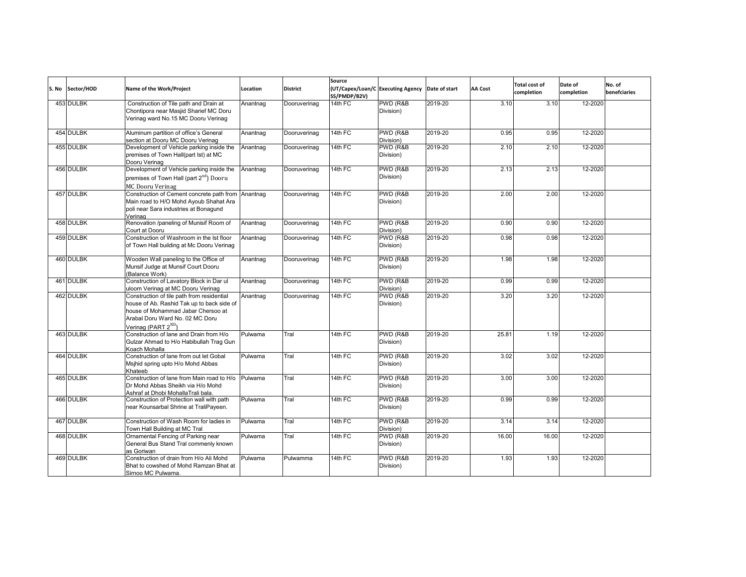| S. No | Sector/HOD | Name of the Work/Project                                                                                                                                                                             | Location | <b>District</b> | Source<br>SS/PMDP/B2V) | (UT/Capex/Loan/C Executing Agency Date of start |         | <b>AA Cost</b> | <b>Total cost of</b><br>completion | Date of<br>completion | No. of<br>benefciaries |
|-------|------------|------------------------------------------------------------------------------------------------------------------------------------------------------------------------------------------------------|----------|-----------------|------------------------|-------------------------------------------------|---------|----------------|------------------------------------|-----------------------|------------------------|
|       | 453 DULBK  | Construction of Tile path and Drain at<br>Chontipora near Masjid Sharief MC Doru<br>Verinag ward No.15 MC Dooru Verinag                                                                              | Anantnag | Dooruverinag    | $14th$ FC              | PWD (R&B)<br>Division)                          | 2019-20 | 3.10           | 3.10                               | 12-2020               |                        |
|       | 454 DULBK  | Aluminum partition of office's General<br>section at Dooru MC Dooru Verinag                                                                                                                          | Anantnag | Dooruverinag    | 14th FC                | PWD (R&B<br>Division)                           | 2019-20 | 0.95           | 0.95                               | 12-2020               |                        |
|       | 455 DULBK  | Development of Vehicle parking inside the<br>premises of Town Hall(part lst) at MC<br>Dooru Verinag                                                                                                  | Anantnag | Dooruverinag    | 14th FC                | PWD (R&B<br>Division)                           | 2019-20 | 2.10           | 2.10                               | 12-2020               |                        |
|       | 456 DULBK  | Development of Vehicle parking inside the<br>premises of Town Hall (part 2 <sup>nd</sup> ) Dooru<br>MC Dooru Verinag                                                                                 | Anantnag | Dooruverinag    | 14th FC                | PWD (R&B)<br>Division)                          | 2019-20 | 2.13           | 2.13                               | 12-2020               |                        |
|       | 457 DULBK  | Construction of Cement concrete path from Anantnag<br>Main road to H/O Mohd Ayoub Shahat Ara<br>poli near Sara industries at Bonagund<br>Verinag                                                     |          | Dooruverinag    | 14th FC                | PWD (R&B<br>Division)                           | 2019-20 | 2.00           | 2.00                               | 12-2020               |                        |
|       | 458 DULBK  | Renovation /paneling of Munisif Room of<br>Court at Dooru                                                                                                                                            | Anantnag | Dooruverinag    | 14th FC                | PWD (R&B<br>Division)                           | 2019-20 | 0.90           | 0.90                               | 12-2020               |                        |
|       | 459 DULBK  | Construction of Washroom in the Ist floor<br>of Town Hall building at Mc Dooru Verinag                                                                                                               | Anantnag | Dooruverinag    | 14th FC                | PWD (R&B<br>Division)                           | 2019-20 | 0.98           | 0.98                               | 12-2020               |                        |
|       | 460 DULBK  | Wooden Wall paneling to the Office of<br>Munsif Judge at Munsif Court Dooru<br>(Balance Work)                                                                                                        | Anantnag | Dooruverinag    | $14th$ FC              | PWD (R&B<br>Division)                           | 2019-20 | 1.98           | 1.98                               | 12-2020               |                        |
|       | 461 DULBK  | Construction of Lavatory Block in Dar ul<br>uloom Verinag at MC Dooru Verinag                                                                                                                        | Anantnag | Dooruverinag    | 14th FC                | PWD (R&B<br>Division)                           | 2019-20 | 0.99           | 0.99                               | 12-2020               |                        |
|       | 462 DULBK  | Construction of tile path from residential<br>house of Ab. Rashid Tak up to back side of<br>house of Mohammad Jabar Chersoo at<br>Arabal Doru Ward No. 02 MC Doru<br>Verinag (PART 2 <sup>ND</sup> ) | Anantnag | Dooruverinag    | 14th FC                | PWD (R&B<br>Division)                           | 2019-20 | 3.20           | 3.20                               | 12-2020               |                        |
|       | 463 DULBK  | Construction of lane and Drain from H/o<br>Gulzar Ahmad to H/o Habibullah Trag Gun<br>Koach Mohalla                                                                                                  | Pulwama  | Tral            | $14th$ FC              | PWD (R&B)<br>Division)                          | 2019-20 | 25.81          | 1.19                               | 12-2020               |                        |
|       | 464 DULBK  | Construction of lane from out let Gobal<br>Msjhid spring upto H/o Mohd Abbas<br>Khateeb                                                                                                              | Pulwama  | Tral            | 14th FC                | PWD (R&B<br>Division)                           | 2019-20 | 3.02           | 3.02                               | 12-2020               |                        |
|       | 465 DULBK  | Construction of lane from Main road to H/o<br>Dr Mohd Abbas Sheikh via H/o Mohd<br>Ashraf at Dhobi MohallaTrali bala.                                                                                | Pulwama  | Tral            | 14th FC                | PWD (R&B<br>Division)                           | 2019-20 | 3.00           | 3.00                               | 12-2020               |                        |
|       | 466 DULBK  | Construction of Protection wall with path<br>near Kounsarbal Shrine at TraliPayeen.                                                                                                                  | Pulwama  | Tral            | 14th FC                | PWD (R&B<br>Division)                           | 2019-20 | 0.99           | 0.99                               | 12-2020               |                        |
|       | 467 DULBK  | Construction of Wash Room for ladies in<br>Town Hall Building at MC Tral                                                                                                                             | Pulwama  | Tral            | 14th FC                | PWD (R&B<br>Division)                           | 2019-20 | 3.14           | 3.14                               | 12-2020               |                        |
|       | 468 DULBK  | Ornamental Fencing of Parking near<br>General Bus Stand Tral commenly known<br>as Goriwan                                                                                                            | Pulwama  | Tral            | 14th FC                | PWD (R&B)<br>Division)                          | 2019-20 | 16.00          | 16.00                              | 12-2020               |                        |
|       | 469 DULBK  | Construction of drain from H/o Ali Mohd<br>Bhat to cowshed of Mohd Ramzan Bhat at<br>Sirnoo MC Pulwama.                                                                                              | Pulwama  | Pulwamma        | 14th FC                | PWD (R&B<br>Division)                           | 2019-20 | 1.93           | 1.93                               | 12-2020               |                        |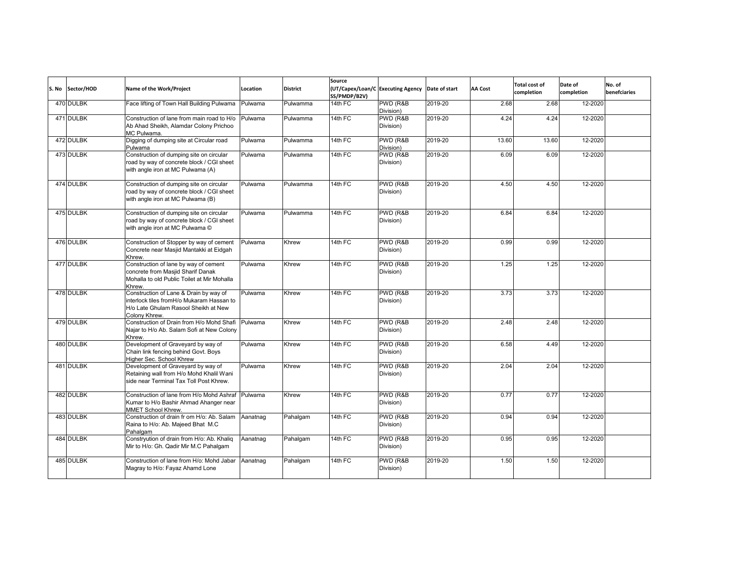| S. No | Sector/HOD | Name of the Work/Project                                                                                                                     | Location | <b>District</b> | Source<br>(UT/Capex/Loan/C Executing Agency Date of start<br>SS/PMDP/B2V) |                       |         | <b>AA Cost</b> | <b>Total cost of</b><br>completion | Date of<br>completion | No. of<br>benefciaries |
|-------|------------|----------------------------------------------------------------------------------------------------------------------------------------------|----------|-----------------|---------------------------------------------------------------------------|-----------------------|---------|----------------|------------------------------------|-----------------------|------------------------|
|       | 470 DULBK  | Face lifting of Town Hall Building Pulwama                                                                                                   | Pulwama  | Pulwamma        | 14th FC                                                                   | PWD (R&B<br>Division) | 2019-20 | 2.68           | 2.68                               | 12-2020               |                        |
|       | 471 DULBK  | Construction of lane from main road to H/o<br>Ab Ahad Sheikh, Alamdar Colony Prichoo<br>MC Pulwama.                                          | Pulwama  | Pulwamma        | 14th FC                                                                   | PWD (R&B<br>Division) | 2019-20 | 4.24           | 4.24                               | 12-2020               |                        |
|       | 472 DULBK  | Digging of dumping site at Circular road<br>Pulwama                                                                                          | Pulwama  | Pulwamma        | 14th FC                                                                   | PWD (R&B<br>Division) | 2019-20 | 13.60          | 13.60                              | 12-2020               |                        |
|       | 473 DULBK  | Construction of dumping site on circular<br>road by way of concrete block / CGI sheet<br>with angle iron at MC Pulwama (A)                   | Pulwama  | Pulwamma        | $14th$ FC                                                                 | PWD (R&B<br>Division) | 2019-20 | 6.09           | 6.09                               | 12-2020               |                        |
|       | 474 DULBK  | Construction of dumping site on circular<br>road by way of concrete block / CGI sheet<br>with angle iron at MC Pulwama (B)                   | Pulwama  | Pulwamma        | 14th FC                                                                   | PWD (R&B<br>Division) | 2019-20 | 4.50           | 4.50                               | 12-2020               |                        |
|       | 475 DULBK  | Construction of dumping site on circular<br>road by way of concrete block / CGI sheet<br>with angle iron at MC Pulwama ©                     | Pulwama  | Pulwamma        | 14th FC                                                                   | PWD (R&B<br>Division) | 2019-20 | 6.84           | 6.84                               | 12-2020               |                        |
|       | 476 DULBK  | Construction of Stopper by way of cement<br>Concrete near Masjid Mantakki at Eidgah<br>Khrew.                                                | Pulwama  | Khrew           | 14th FC                                                                   | PWD (R&B<br>Division) | 2019-20 | 0.99           | 0.99                               | 12-2020               |                        |
|       | 477 DULBK  | Construction of lane by way of cement<br>concrete from Masjid Sharif Danak<br>Mohalla to old Public Toilet at Mir Mohalla<br>Khrew.          | Pulwama  | Khrew           | 14th FC                                                                   | PWD (R&B<br>Division) | 2019-20 | 1.25           | 1.25                               | 12-2020               |                        |
|       | 478 DULBK  | Construction of Lane & Drain by way of<br>interlock tiles fromH/o Mukaram Hassan to<br>H/o Late Ghulam Rasool Sheikh at New<br>Colony Khrew. | Pulwama  | Khrew           | 14th FC                                                                   | PWD (R&B<br>Division) | 2019-20 | 3.73           | 3.73                               | 12-2020               |                        |
|       | 479 DULBK  | Construction of Drain from H/o Mohd Shafi<br>Najar to H/o Ab. Salam Sofi at New Colony<br>Khrew.                                             | Pulwama  | Khrew           | 14th FC                                                                   | PWD (R&B<br>Division) | 2019-20 | 2.48           | 2.48                               | 12-2020               |                        |
|       | 480 DULBK  | Development of Graveyard by way of<br>Chain link fencing behind Govt. Boys<br>Higher Sec. School Khrew                                       | Pulwama  | Khrew           | 14th FC                                                                   | PWD (R&B<br>Division) | 2019-20 | 6.58           | 4.49                               | 12-2020               |                        |
|       | 481 DULBK  | Development of Graveyard by way of<br>Retaining wall from H/o Mohd Khalil Wani<br>side near Terminal Tax Toll Post Khrew.                    | Pulwama  | Khrew           | 14th FC                                                                   | PWD (R&B<br>Division) | 2019-20 | 2.04           | 2.04                               | 12-2020               |                        |
|       | 482 DULBK  | Construction of lane from H/o Mohd Ashraf<br>Kumar to H/o Bashir Ahmad Ahanger near<br>MMET School Khrew.                                    | Pulwama  | Khrew           | $14th$ FC                                                                 | PWD (R&B<br>Division) | 2019-20 | 0.77           | 0.77                               | 12-2020               |                        |
|       | 483 DULBK  | Construction of drain fr om H/o: Ab. Salam<br>Raina to H/o: Ab. Majeed Bhat M.C<br>Pahalgam                                                  | Aanatnag | Pahalgam        | 14th FC                                                                   | PWD (R&B<br>Division) | 2019-20 | 0.94           | 0.94                               | 12-2020               |                        |
|       | 484 DULBK  | Constryution of drain from H/o: Ab. Khaliq<br>Mir to H/o: Gh. Qadir Mir M.C Pahalgam                                                         | Aanatnag | Pahalgam        | 14th FC                                                                   | PWD (R&B<br>Division) | 2019-20 | 0.95           | 0.95                               | 12-2020               |                        |
|       | 485 DULBK  | Construction of lane from H/o: Mohd Jabar<br>Magray to H/o: Fayaz Ahamd Lone                                                                 | Aanatnag | Pahalgam        | 14th FC                                                                   | PWD (R&B<br>Division) | 2019-20 | 1.50           | 1.50                               | 12-2020               |                        |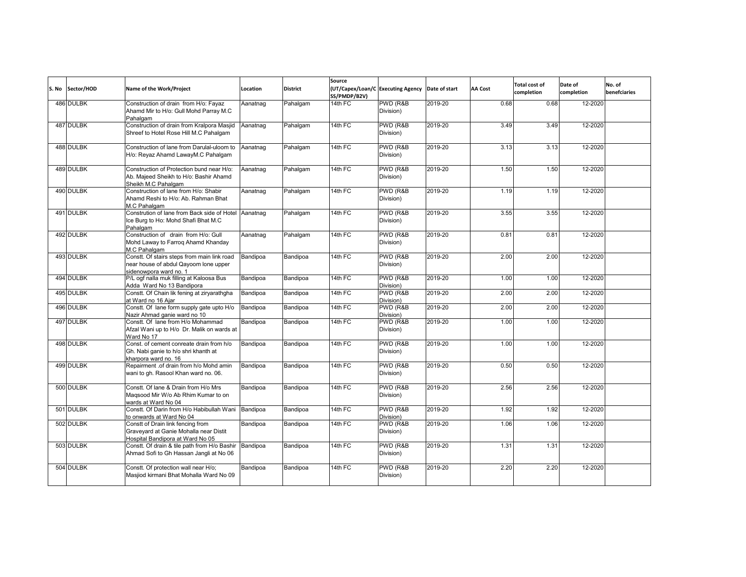| S. No | Sector/HOD | Name of the Work/Project                                                                                        | Location | <b>District</b> | Source<br>SS/PMDP/B2V) | (UT/Capex/Loan/C Executing Agency | Date of start | <b>AA Cost</b> | <b>Total cost of</b><br>completion | Date of<br>completion | No. of<br>benefciaries |
|-------|------------|-----------------------------------------------------------------------------------------------------------------|----------|-----------------|------------------------|-----------------------------------|---------------|----------------|------------------------------------|-----------------------|------------------------|
|       | 486 DULBK  | Construction of drain from H/o: Fayaz<br>Ahamd Mir to H/o: Gull Mohd Parray M.C<br>Pahalgam                     | Aanatnag | Pahalgam        | 14th FC                | PWD (R&B<br>Division)             | 2019-20       | 0.68           | 0.68                               | 12-2020               |                        |
|       | 487 DULBK  | Construction of drain from Kralpora Masjid<br>Shreef to Hotel Rose Hill M.C Pahalgam                            | Aanatnag | Pahalgam        | $14th$ FC              | PWD (R&B<br>Division)             | 2019-20       | 3.49           | 3.49                               | 12-2020               |                        |
|       | 488 DULBK  | Construction of lane from Darulal-uloom to<br>H/o: Reyaz Ahamd LawayM.C Pahalgam                                | Aanatnag | Pahalgam        | 14th FC                | PWD (R&B<br>Division)             | 2019-20       | 3.13           | 3.13                               | 12-2020               |                        |
|       | 489 DULBK  | Construction of Protection bund near H/o:<br>Ab. Maieed Sheikh to H/o: Bashir Ahamd<br>Sheikh M.C Pahalgam      | Aanatnag | Pahalgam        | $14th$ FC              | PWD (R&B<br>Division)             | 2019-20       | 1.50           | 1.50                               | 12-2020               |                        |
|       | 490 DULBK  | Construction of lane from H/o: Shabir<br>Ahamd Reshi to H/o: Ab. Rahman Bhat<br>M.C Pahalgam                    | Aanatnag | Pahalgam        | 14th FC                | PWD (R&B<br>Division)             | 2019-20       | 1.19           | 1.19                               | 12-2020               |                        |
|       | 491 DULBK  | Constrution of lane from Back side of Hotel Aanatnag<br>Ice Burg to Ho: Mohd Shafi Bhat M.C<br>Pahalgam         |          | Pahalgam        | 14th FC                | PWD (R&B<br>Division)             | 2019-20       | 3.55           | 3.55                               | 12-2020               |                        |
|       | 492 DULBK  | Construction of drain from H/o: Gull<br>Mohd Laway to Farroq Ahamd Khanday<br>M.C Pahalgam                      | Aanatnag | Pahalgam        | 14th FC                | PWD (R&B)<br>Division)            | 2019-20       | 0.81           | 0.81                               | 12-2020               |                        |
|       | 493 DULBK  | Constt. Of stairs steps from main link road<br>near house of abdul Qayoom lone upper<br>sidenowpora ward no. 1  | Bandipoa | Bandipoa        | 14th FC                | PWD (R&B)<br>Division)            | 2019-20       | 2.00           | 2.00                               | 12-2020               |                        |
|       | 494 DULBK  | P/L ogf nalla muk filling at Kaloosa Bus<br>Adda Ward No 13 Bandipora                                           | Bandipoa | Bandipoa        | 14th FC                | PWD (R&B<br>Division)             | 2019-20       | 1.00           | 1.00                               | 12-2020               |                        |
|       | 495 DULBK  | Constt. Of Chain lik fening at ziryarathgha<br>at Ward no 16 Aiar                                               | Bandipoa | Bandipoa        | 14th FC                | PWD (R&B<br>Division)             | 2019-20       | 2.00           | 2.00                               | 12-2020               |                        |
|       | 496 DULBK  | Constt. Of lane form supply gate upto H/o<br>Nazir Ahmad ganie ward no 10                                       | Bandipoa | Bandipoa        | 14th FC                | PWD (R&B<br>Division)             | 2019-20       | 2.00           | 2.00                               | 12-2020               |                        |
|       | 497 DULBK  | Constt. Of lane from H/o Mohammad<br>Afzal Wani up to H/o Dr. Malik on wards at<br>Ward No 17                   | Bandipoa | Bandipoa        | 14th FC                | PWD (R&B<br>Division)             | 2019-20       | 1.00           | 1.00                               | 12-2020               |                        |
|       | 498 DULBK  | Const. of cement conreate drain from h/o<br>Gh. Nabi ganie to h/o shri khanth at<br>kharpora ward no. 16        | Bandipoa | Bandipoa        | 14th FC                | PWD (R&B<br>Division)             | 2019-20       | 1.00           | 1.00                               | 12-2020               |                        |
|       | 499 DULBK  | Repairment .of drain from h/o Mohd amin<br>wani to gh. Rasool Khan ward no. 06.                                 | Bandipoa | Bandipoa        | 14th FC                | PWD (R&B<br>Division)             | 2019-20       | 0.50           | 0.50                               | 12-2020               |                        |
|       | 500 DULBK  | Constt. Of lane & Drain from H/o Mrs<br>Magsood Mir W/o Ab Rhim Kumar to on<br>wards at Ward No 04              | Bandipoa | Bandipoa        | 14th FC                | PWD (R&B<br>Division)             | 2019-20       | 2.56           | 2.56                               | 12-2020               |                        |
|       | 501 DULBK  | Constt. Of Darin from H/o Habibullah Wani<br>to onwards at Ward No 04                                           | Bandipoa | Bandipoa        | $14th$ FC              | PWD (R&B<br>Division)             | 2019-20       | 1.92           | 1.92                               | 12-2020               |                        |
|       | 502 DULBK  | Constt of Drain link fencing from<br>Graveyard at Ganie Mohalla near Distit<br>Hospital Bandipora at Ward No 05 | Bandipoa | Bandipoa        | 14th FC                | PWD (R&B<br>Division)             | 2019-20       | 1.06           | 1.06                               | 12-2020               |                        |
|       | 503 DULBK  | Constt. Of drain & tile path from H/o Bashir Bandipoa<br>Ahmad Sofi to Gh Hassan Jangli at No 06                |          | Bandipoa        | 14th FC                | PWD (R&B<br>Division)             | 2019-20       | 1.31           | 1.31                               | 12-2020               |                        |
|       | 504 DULBK  | Constt. Of protection wall near H/o;<br>Masjiod kirmani Bhat Mohalla Ward No 09                                 | Bandipoa | Bandipoa        | $14th$ FC              | PWD (R&B<br>Division)             | 2019-20       | 2.20           | 2.20                               | 12-2020               |                        |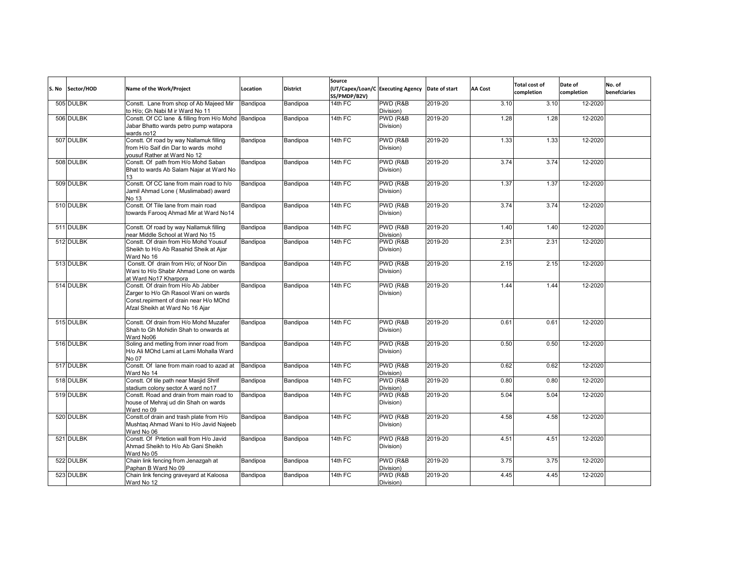| S. No Sector/HOD | Name of the Work/Project                                                                                                                                  | Location | <b>District</b> | Source<br>(UT/Capex/Loan/C Executing Agency<br>SS/PMDP/B2V) |                        | Date of start | AA Cost | <b>Total cost of</b><br>completion | Date of<br>completion | No. of<br>benefciaries |
|------------------|-----------------------------------------------------------------------------------------------------------------------------------------------------------|----------|-----------------|-------------------------------------------------------------|------------------------|---------------|---------|------------------------------------|-----------------------|------------------------|
| 505 DULBK        | Constt. Lane from shop of Ab Majeed Mir<br>to H/o: Gh Nabi M ir Ward No 11                                                                                | Bandipoa | Bandipoa        | 14th FC                                                     | PWD (R&B<br>Division)  | 2019-20       | 3.10    | 3.10                               | 12-2020               |                        |
| 506 DULBK        | Constt. Of CC lane & filling from H/o Mohd<br>Jabar Bhatto wards petro pump watapora<br>wards no12                                                        | Bandipoa | Bandipoa        | 14th FC                                                     | PWD (R&B<br>Division)  | 2019-20       | 1.28    | 1.28                               | 12-2020               |                        |
| 507 DULBK        | Constt. Of road by way Nallamuk filling<br>from H/o Saif din Dar to wards mohd<br>vousuf Rather at Ward No 12                                             | Bandipoa | Bandipoa        | $14th$ FC                                                   | PWD (R&B<br>Division)  | 2019-20       | 1.33    | 1.33                               | 12-2020               |                        |
| 508 DULBK        | Constt. Of path from H/o Mohd Saban<br>Bhat to wards Ab Salam Najar at Ward No<br>13                                                                      | Bandipoa | Bandipoa        | 14th FC                                                     | PWD (R&B<br>Division)  | 2019-20       | 3.74    | 3.74                               | 12-2020               |                        |
| 509 DULBK        | Constt. Of CC lane from main road to h/o<br>Jamil Ahmad Lone (Muslimabad) award<br>No 13                                                                  | Bandipoa | Bandipoa        | 14th FC                                                     | PWD (R&B<br>Division)  | 2019-20       | 1.37    | 1.37                               | 12-2020               |                        |
| 510 DULBK        | Constt. Of Tile lane from main road<br>towards Farooq Ahmad Mir at Ward No14                                                                              | Bandipoa | Bandipoa        | $14th$ FC                                                   | PWD (R&B)<br>Division) | 2019-20       | 3.74    | 3.74                               | 12-2020               |                        |
| 511 DULBK        | Constt. Of road by way Nallamuk filling<br>near Middle School at Ward No 15                                                                               | Bandipoa | Bandipoa        | 14th FC                                                     | PWD (R&B<br>Division)  | 2019-20       | 1.40    | 1.40                               | 12-2020               |                        |
| 512 DULBK        | Constt. Of drain from H/o Mohd Yousuf<br>Sheikh to H/o Ab Rasahid Sheik at Ajar<br>Ward No 16                                                             | Bandipoa | Bandipoa        | 14th FC                                                     | PWD (R&B<br>Division)  | 2019-20       | 2.31    | 2.31                               | 12-2020               |                        |
| 513 DULBK        | Constt. Of drain from H/o; of Noor Din<br>Wani to H/o Shabir Ahmad Lone on wards<br>at Ward No17 Kharpora                                                 | Bandipoa | Bandipoa        | 14th FC                                                     | PWD (R&B<br>Division)  | 2019-20       | 2.15    | 2.15                               | 12-2020               |                        |
| 514 DULBK        | Constt. Of drain from H/o Ab Jabber<br>Zarger to H/o Gh Rasool Wani on wards<br>Const.repirment of drain near H/o MOhd<br>Afzal Sheikh at Ward No 16 Ajar | Bandipoa | Bandipoa        | $14th$ FC                                                   | PWD (R&B<br>Division)  | 2019-20       | 1.44    | 1.44                               | 12-2020               |                        |
| 515 DULBK        | Constt. Of drain from H/o Mohd Muzafer<br>Shah to Gh Mohidin Shah to onwards at<br>Ward No06                                                              | Bandipoa | Bandipoa        | 14th FC                                                     | PWD (R&B<br>Division)  | 2019-20       | 0.61    | 0.61                               | 12-2020               |                        |
| 516 DULBK        | Soling and metling from inner road from<br>H/o Ali MOhd Lami at Lami Mohalla Ward<br>No 07                                                                | Bandipoa | Bandipoa        | $14th$ FC                                                   | PWD (R&B<br>Division)  | 2019-20       | 0.50    | 0.50                               | 12-2020               |                        |
| 517 DULBK        | Constt. Of lane from main road to azad at<br>Ward No 14                                                                                                   | Bandipoa | Bandipoa        | 14th FC                                                     | PWD (R&B<br>Division)  | 2019-20       | 0.62    | 0.62                               | 12-2020               |                        |
| 518 DULBK        | Constt. Of tile path near Masjid Shrif<br>stadium colony sector A ward no17                                                                               | Bandipoa | Bandipoa        | 14th $FC$                                                   | PWD (R&B<br>Division)  | 2019-20       | 0.80    | 0.80                               | 12-2020               |                        |
| 519 DULBK        | Constt. Road and drain from main road to<br>house of Mehraj ud din Shah on wards<br>Ward no 09                                                            | Bandipoa | Bandipoa        | 14th FC                                                     | PWD (R&B<br>Division)  | 2019-20       | 5.04    | 5.04                               | 12-2020               |                        |
| 520 DULBK        | Constt.of drain and trash plate from H/o<br>Mushtag Ahmad Wani to H/o Javid Najeeb<br>Ward No 06                                                          | Bandipoa | Bandipoa        | 14th FC                                                     | PWD (R&B<br>Division)  | 2019-20       | 4.58    | 4.58                               | 12-2020               |                        |
| 521 DULBK        | Constt. Of Prtetion wall from H/o Javid<br>Ahmad Sheikh to H/o Ab Gani Sheikh<br>Ward No 05                                                               | Bandipoa | Bandipoa        | 14th FC                                                     | PWD (R&B<br>Division)  | 2019-20       | 4.51    | 4.51                               | 12-2020               |                        |
| 522 DULBK        | Chain link fencing from Jenazgah at<br>Paphan B Ward No 09                                                                                                | Bandipoa | Bandipoa        | 14th FC                                                     | PWD (R&B<br>Division)  | 2019-20       | 3.75    | 3.75                               | 12-2020               |                        |
| 523 DULBK        | Chain link fencing graveyard at Kaloosa<br>Ward No 12                                                                                                     | Bandipoa | Bandipoa        | 14th FC                                                     | PWD (R&B<br>Division)  | 2019-20       | 4.45    | 4.45                               | 12-2020               |                        |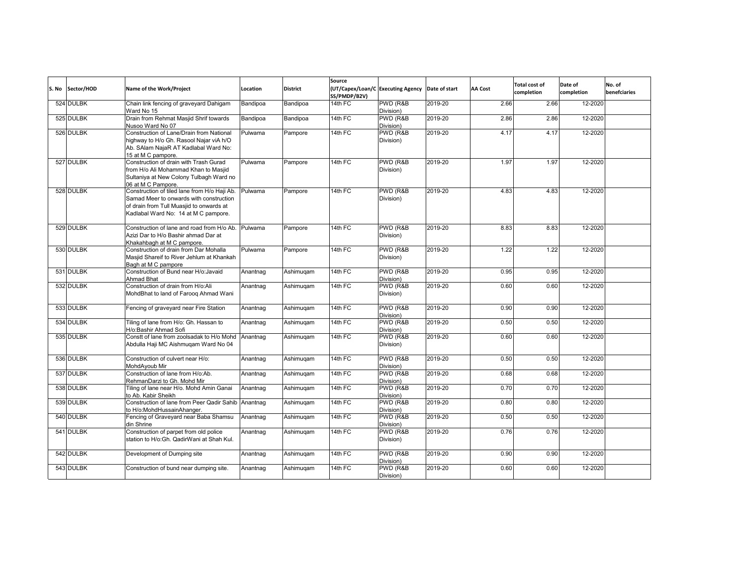| S. No | Sector/HOD | Name of the Work/Project                                                                                                                                                    | Location | <b>District</b> | Source<br>SS/PMDP/B2V) | (UT/Capex/Loan/C Executing Agency | Date of start | <b>AA Cost</b> | <b>Total cost of</b><br>completion | Date of<br>completion | No. of<br>benefciaries |
|-------|------------|-----------------------------------------------------------------------------------------------------------------------------------------------------------------------------|----------|-----------------|------------------------|-----------------------------------|---------------|----------------|------------------------------------|-----------------------|------------------------|
|       | 524 DULBK  | Chain link fencing of graveyard Dahigam<br>Ward No 15                                                                                                                       | Bandipoa | Bandipoa        | 14th FC                | PWD (R&B<br>Division)             | 2019-20       | 2.66           | 2.66                               | 12-2020               |                        |
|       | 525 DULBK  | Drain from Rehmat Masjid Shrif towards<br>Nusoo Ward No 07                                                                                                                  | Bandipoa | Bandipoa        | 14th FC                | PWD (R&B<br>Division)             | 2019-20       | 2.86           | 2.86                               | 12-2020               |                        |
|       | 526 DULBK  | Construction of Lane/Drain from National<br>highway to H/o Gh. Rasool Najar viA h/O<br>Ab. SAlam NajaR AT Kadlabal Ward No:<br>15 at M C pampore.                           | Pulwama  | Pampore         | 14th FC                | PWD (R&B<br>Division)             | 2019-20       | 4.17           | 4.17                               | 12-2020               |                        |
|       | 527 DULBK  | Construction of drain with Trash Gurad<br>from H/o Ali Mohammad Khan to Masjid<br>Sultaniya at New Colony Tulbagh Ward no<br>06 at M C Pampore.                             | Pulwama  | Pampore         | 14th FC                | PWD (R&B<br>Division)             | 2019-20       | 1.97           | 1.97                               | 12-2020               |                        |
|       | 528 DULBK  | Construction of tiled lane from H/o Haji Ab.<br>Samad Meer to onwards with construction<br>of drain from Tull Muasjid to onwards at<br>Kadlabal Ward No: 14 at M C pampore. | Pulwama  | Pampore         | 14th FC                | PWD (R&B)<br>Division)            | 2019-20       | 4.83           | 4.83                               | 12-2020               |                        |
|       | 529 DULBK  | Construction of lane and road from H/o Ab.<br>Azizi Dar to H/o Bashir ahmad Dar at<br>Khakahbagh at M C pampore.                                                            | Pulwama  | Pampore         | 14th FC                | PWD (R&B<br>Division)             | 2019-20       | 8.83           | 8.83                               | 12-2020               |                        |
|       | 530 DULBK  | Construction of drain from Dar Mohalla<br>Masjid Shareif to River Jehlum at Khankah<br>Bagh at M C pampore                                                                  | Pulwama  | Pampore         | $14th$ FC              | PWD (R&B<br>Division)             | 2019-20       | 1.22           | 1.22                               | 12-2020               |                        |
|       | 531 DULBK  | Construction of Bund near H/o:Javaid<br>Ahmad Bhat                                                                                                                          | Anantnag | Ashimuqam       | 14th FC                | PWD (R&B<br>Division)             | 2019-20       | 0.95           | 0.95                               | 12-2020               |                        |
|       | 532 DULBK  | Construction of drain from H/o:Ali<br>MohdBhat to land of Faroog Ahmad Wani                                                                                                 | Anantnag | Ashimuqam       | $14th$ FC              | PWD (R&B<br>Division)             | 2019-20       | 0.60           | 0.60                               | 12-2020               |                        |
|       | 533 DULBK  | Fencing of graveyard near Fire Station                                                                                                                                      | Anantnag | Ashimuqam       | 14th FC                | PWD (R&B<br>Division)             | 2019-20       | 0.90           | 0.90                               | 12-2020               |                        |
|       | 534 DULBK  | Tiling of lane from H/o: Gh. Hassan to<br>H/o:Bashir Ahmad Sofi                                                                                                             | Anantnag | Ashimuqam       | 14th FC                | PWD (R&B<br>Division)             | 2019-20       | 0.50           | 0.50                               | 12-2020               |                        |
|       | 535 DULBK  | Constt of lane from zoolsadak to H/o Mohd<br>Abdulla Haji MC Aishmugam Ward No 04                                                                                           | Anantnag | Ashimugam       | 14th FC                | PWD (R&B<br>Division)             | 2019-20       | 0.60           | 0.60                               | 12-2020               |                        |
|       | 536 DULBK  | Construction of culvert near H/o:<br>MohdAvoub Mir                                                                                                                          | Anantnag | Ashimuqam       | $14th$ FC              | PWD (R&B<br>Division)             | 2019-20       | 0.50           | 0.50                               | 12-2020               |                        |
|       | 537 DULBK  | Construction of lane from H/o:Ab.<br>RehmanDarzi to Gh. Mohd Mir                                                                                                            | Anantnag | Ashimuqam       | $14th$ FC              | PWD (R&B)<br>Division)            | 2019-20       | 0.68           | 0.68                               | 12-2020               |                        |
|       | 538 DULBK  | Tiling of lane near H/o. Mohd Amin Ganai<br>to Ab. Kabir Sheikh                                                                                                             | Anantnag | Ashimuqam       | 14th FC                | PWD (R&B<br>Division)             | 2019-20       | 0.70           | 0.70                               | 12-2020               |                        |
|       | 539 DULBK  | Construction of lane from Peer Qadir Sahib Anantnag<br>to H/o:MohdHussainAhanger.                                                                                           |          | Ashimuqam       | $14th$ FC              | PWD (R&B<br>Division)             | 2019-20       | 0.80           | 0.80                               | 12-2020               |                        |
|       | 540 DULBK  | Fencing of Graveyard near Baba Shamsu<br>din Shrine                                                                                                                         | Anantnag | Ashimuqam       | 14th FC                | PWD (R&B<br>Division)             | 2019-20       | 0.50           | 0.50                               | 12-2020               |                        |
|       | 541 DULBK  | Construction of parpet from old police<br>station to H/o:Gh. QadirWani at Shah Kul.                                                                                         | Anantnag | Ashimuqam       | 14th FC                | PWD (R&B<br>Division)             | 2019-20       | 0.76           | 0.76                               | 12-2020               |                        |
|       | 542 DULBK  | Development of Dumping site                                                                                                                                                 | Anantnag | Ashimuqam       | 14th FC                | PWD (R&B<br>Division)             | 2019-20       | 0.90           | 0.90                               | 12-2020               |                        |
|       | 543 DULBK  | Construction of bund near dumping site.                                                                                                                                     | Anantnag | Ashimuqam       | 14th FC                | PWD (R&B<br>Division)             | 2019-20       | 0.60           | 0.60                               | 12-2020               |                        |